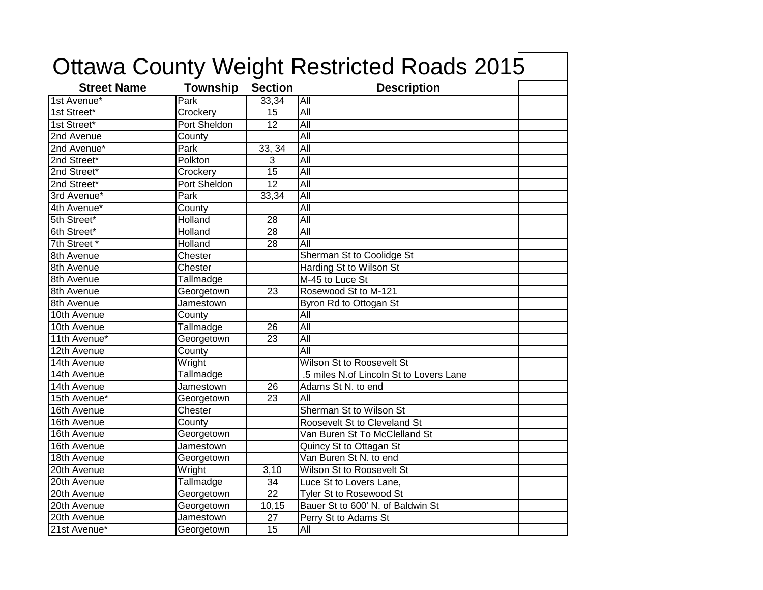|                    |                 |                 | <b>Ottawa County Weight Restricted Roads 2015</b> |  |
|--------------------|-----------------|-----------------|---------------------------------------------------|--|
| <b>Street Name</b> | <b>Township</b> | <b>Section</b>  | <b>Description</b>                                |  |
| 1st Avenue*        | Park            | 33,34           | All                                               |  |
| 1st Street*        | Crockery        | 15              | All                                               |  |
| 1st Street*        | Port Sheldon    | $\overline{12}$ | $\overline{All}$                                  |  |
| 2nd Avenue         | County          |                 | All                                               |  |
| 2nd Avenue*        | Park            | 33, 34          | All                                               |  |
| 2nd Street*        | Polkton         | $\overline{3}$  | All                                               |  |
| 2nd Street*        | Crockery        | $\overline{15}$ | $\overline{All}$                                  |  |
| 2nd Street*        | Port Sheldon    | 12              | $\overline{All}$                                  |  |
| 3rd Avenue*        | Park            | 33,34           | All                                               |  |
| 4th Avenue*        | County          |                 | All                                               |  |
| 5th Street*        | Holland         | 28              | $\overline{All}$                                  |  |
| 6th Street*        | Holland         | 28              | $\overline{All}$                                  |  |
| 7th Street *       | Holland         | 28              | All                                               |  |
| 8th Avenue         | Chester         |                 | Sherman St to Coolidge St                         |  |
| 8th Avenue         | Chester         |                 | Harding St to Wilson St                           |  |
| 8th Avenue         | Tallmadge       |                 | M-45 to Luce St                                   |  |
| 8th Avenue         | Georgetown      | 23              | Rosewood St to M-121                              |  |
| 8th Avenue         | Jamestown       |                 | Byron Rd to Ottogan St                            |  |
| 10th Avenue        | County          |                 | $\overline{All}$                                  |  |
| 10th Avenue        | Tallmadge       | $\overline{26}$ | All                                               |  |
| 11th Avenue*       | Georgetown      | $\overline{23}$ | All                                               |  |
| 12th Avenue        | County          |                 | All                                               |  |
| 14th Avenue        | Wright          |                 | Wilson St to Roosevelt St                         |  |
| 14th Avenue        | Tallmadge       |                 | .5 miles N.of Lincoln St to Lovers Lane           |  |
| 14th Avenue        | Jamestown       | 26              | Adams St N. to end                                |  |
| 15th Avenue*       | Georgetown      | $\overline{23}$ | $\overline{All}$                                  |  |
| 16th Avenue        | Chester         |                 | Sherman St to Wilson St                           |  |
| 16th Avenue        | County          |                 | Roosevelt St to Cleveland St                      |  |
| 16th Avenue        | Georgetown      |                 | Van Buren St To McClelland St                     |  |
| 16th Avenue        | Jamestown       |                 | Quincy St to Ottagan St                           |  |
| 18th Avenue        | Georgetown      |                 | Van Buren St N. to end                            |  |
| 20th Avenue        | Wright          | 3,10            | Wilson St to Roosevelt St                         |  |
| 20th Avenue        | Tallmadge       | 34              | Luce St to Lovers Lane,                           |  |
| 20th Avenue        | Georgetown      | $\overline{22}$ | <b>Tyler St to Rosewood St</b>                    |  |
| 20th Avenue        | Georgetown      | 10,15           | Bauer St to 600' N. of Baldwin St                 |  |
| 20th Avenue        | Jamestown       | 27              | Perry St to Adams St                              |  |
| 21st Avenue*       | Georgetown      | 15              | All                                               |  |

٦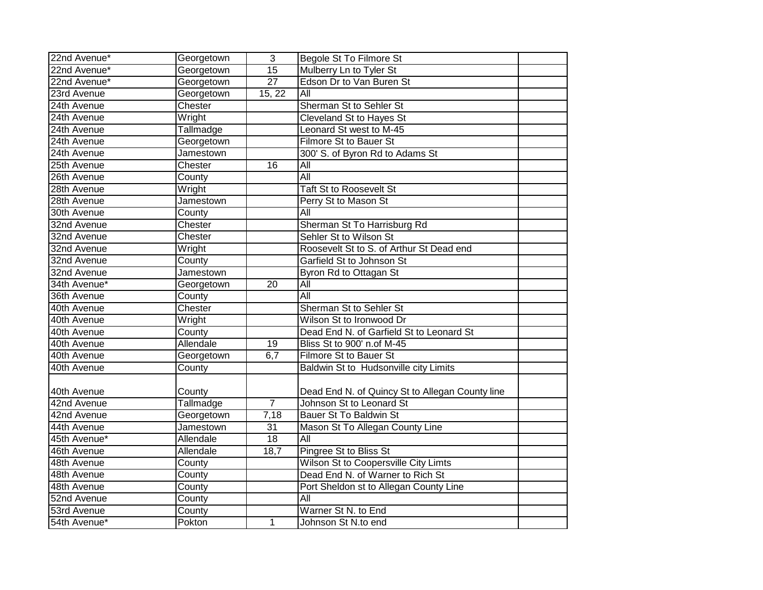| 22nd Avenue* | Georgetown | 3               | Begole St To Filmore St                         |  |
|--------------|------------|-----------------|-------------------------------------------------|--|
| 22nd Avenue* | Georgetown | 15              | Mulberry Ln to Tyler St                         |  |
| 22nd Avenue* | Georgetown | $\overline{27}$ | Edson Dr to Van Buren St                        |  |
| 23rd Avenue  | Georgetown | 15, 22          | $\overline{All}$                                |  |
| 24th Avenue  | Chester    |                 | Sherman St to Sehler St                         |  |
| 24th Avenue  | Wright     |                 | <b>Cleveland St to Hayes St</b>                 |  |
| 24th Avenue  | Tallmadge  |                 | Leonard St west to M-45                         |  |
| 24th Avenue  | Georgetown |                 | Filmore St to Bauer St                          |  |
| 24th Avenue  | Jamestown  |                 | 300' S. of Byron Rd to Adams St                 |  |
| 25th Avenue  | Chester    | 16              | All                                             |  |
| 26th Avenue  | County     |                 | $\overline{All}$                                |  |
| 28th Avenue  | Wright     |                 | Taft St to Roosevelt St                         |  |
| 28th Avenue  | Jamestown  |                 | Perry St to Mason St                            |  |
| 30th Avenue  | County     |                 | All                                             |  |
| 32nd Avenue  | Chester    |                 | Sherman St To Harrisburg Rd                     |  |
| 32nd Avenue  | Chester    |                 | Sehler St to Wilson St                          |  |
| 32nd Avenue  | Wright     |                 | Roosevelt St to S. of Arthur St Dead end        |  |
| 32nd Avenue  | County     |                 | Garfield St to Johnson St                       |  |
| 32nd Avenue  | Jamestown  |                 | Byron Rd to Ottagan St                          |  |
| 34th Avenue* | Georgetown | $\overline{20}$ | $\overline{All}$                                |  |
| 36th Avenue  | County     |                 | $\overline{All}$                                |  |
| 40th Avenue  | Chester    |                 | Sherman St to Sehler St                         |  |
| 40th Avenue  | Wright     |                 | Wilson St to Ironwood Dr                        |  |
| 40th Avenue  | County     |                 | Dead End N. of Garfield St to Leonard St        |  |
| 40th Avenue  | Allendale  | 19              | Bliss St to 900' n.of M-45                      |  |
| 40th Avenue  | Georgetown | 6,7             | Filmore St to Bauer St                          |  |
| 40th Avenue  | County     |                 | Baldwin St to Hudsonville city Limits           |  |
| 40th Avenue  | County     |                 | Dead End N. of Quincy St to Allegan County line |  |
| 42nd Avenue  | Tallmadge  | $\overline{7}$  | Johnson St to Leonard St                        |  |
| 42nd Avenue  | Georgetown | 7,18            | <b>Bauer St To Baldwin St</b>                   |  |
| 44th Avenue  | Jamestown  | $\overline{31}$ | Mason St To Allegan County Line                 |  |
| 45th Avenue* | Allendale  | 18              | All                                             |  |
| 46th Avenue  | Allendale  | 18,7            | Pingree St to Bliss St                          |  |
| 48th Avenue  | County     |                 | Wilson St to Coopersville City Limts            |  |
| 48th Avenue  | County     |                 | Dead End N. of Warner to Rich St                |  |
| 48th Avenue  | County     |                 | Port Sheldon st to Allegan County Line          |  |
| 52nd Avenue  | County     |                 | $\overline{All}$                                |  |
| 53rd Avenue  | County     |                 | Warner St N. to End                             |  |
| 54th Avenue* | Pokton     | 1               | Johnson St N.to end                             |  |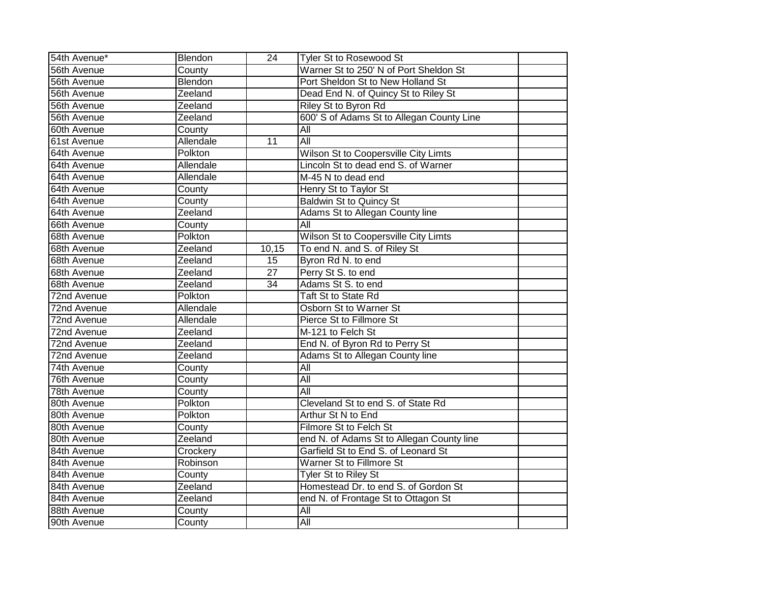| 54th Avenue* | Blendon   | 24     | <b>Tyler St to Rosewood St</b>            |  |
|--------------|-----------|--------|-------------------------------------------|--|
| 56th Avenue  | County    |        | Warner St to 250' N of Port Sheldon St    |  |
| 56th Avenue  | Blendon   |        | Port Sheldon St to New Holland St         |  |
| 56th Avenue  | Zeeland   |        | Dead End N. of Quincy St to Riley St      |  |
| 56th Avenue  | Zeeland   |        | Riley St to Byron Rd                      |  |
| 56th Avenue  | Zeeland   |        | 600' S of Adams St to Allegan County Line |  |
| 60th Avenue  | County    |        | $\overline{All}$                          |  |
| 61st Avenue  | Allendale | 11     | All                                       |  |
| 64th Avenue  | Polkton   |        | Wilson St to Coopersville City Limts      |  |
| 64th Avenue  | Allendale |        | Lincoln St to dead end S. of Warner       |  |
| 64th Avenue  | Allendale |        | M-45 N to dead end                        |  |
| 64th Avenue  | County    |        | Henry St to Taylor St                     |  |
| 64th Avenue  | County    |        | <b>Baldwin St to Quincy St</b>            |  |
| 64th Avenue  | Zeeland   |        | Adams St to Allegan County line           |  |
| 66th Avenue  | County    |        | All                                       |  |
| 68th Avenue  | Polkton   |        | Wilson St to Coopersville City Limts      |  |
| 68th Avenue  | Zeeland   | 10, 15 | To end N. and S. of Riley St              |  |
| 68th Avenue  | Zeeland   | 15     | Byron Rd N. to end                        |  |
| 68th Avenue  | Zeeland   | 27     | Perry St S. to end                        |  |
| 68th Avenue  | Zeeland   | 34     | Adams St S. to end                        |  |
| 72nd Avenue  | Polkton   |        | <b>Taft St to State Rd</b>                |  |
| 72nd Avenue  | Allendale |        | Osborn St to Warner St                    |  |
| 72nd Avenue  | Allendale |        | Pierce St to Fillmore St                  |  |
| 72nd Avenue  | Zeeland   |        | M-121 to Felch St                         |  |
| 72nd Avenue  | Zeeland   |        | End N. of Byron Rd to Perry St            |  |
| 72nd Avenue  | Zeeland   |        | Adams St to Allegan County line           |  |
| 74th Avenue  | County    |        | All                                       |  |
| 76th Avenue  | County    |        | $\overline{All}$                          |  |
| 78th Avenue  | County    |        | $\overline{All}$                          |  |
| 80th Avenue  | Polkton   |        | Cleveland St to end S. of State Rd        |  |
| 80th Avenue  | Polkton   |        | Arthur St N to End                        |  |
| 80th Avenue  | County    |        | Filmore St to Felch St                    |  |
| 80th Avenue  | Zeeland   |        | end N. of Adams St to Allegan County line |  |
| 84th Avenue  | Crockery  |        | Garfield St to End S. of Leonard St       |  |
| 84th Avenue  | Robinson  |        | Warner St to Fillmore St                  |  |
| 84th Avenue  | County    |        | Tyler St to Riley St                      |  |
| 84th Avenue  | Zeeland   |        | Homestead Dr. to end S. of Gordon St      |  |
| 84th Avenue  | Zeeland   |        | end N. of Frontage St to Ottagon St       |  |
| 88th Avenue  | County    |        | All                                       |  |
| 90th Avenue  | County    |        | All                                       |  |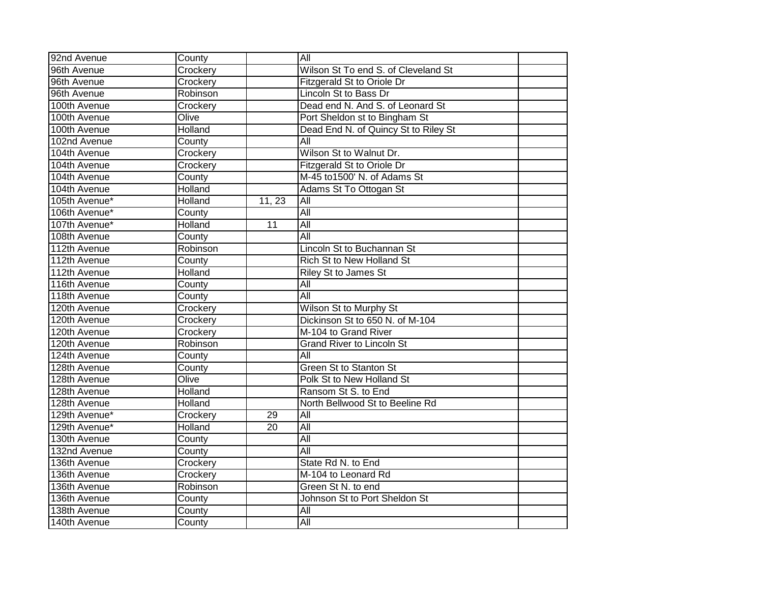| 92nd Avenue   | County         |                 | $\overline{All}$                     |  |
|---------------|----------------|-----------------|--------------------------------------|--|
| 96th Avenue   | Crockery       |                 | Wilson St To end S. of Cleveland St  |  |
| 96th Avenue   | Crockery       |                 | <b>Fitzgerald St to Oriole Dr</b>    |  |
| 96th Avenue   | Robinson       |                 | Lincoln St to Bass Dr                |  |
| 100th Avenue  | Crockery       |                 | Dead end N. And S. of Leonard St     |  |
| 100th Avenue  | Olive          |                 | Port Sheldon st to Bingham St        |  |
| 100th Avenue  | <b>Holland</b> |                 | Dead End N. of Quincy St to Riley St |  |
| 102nd Avenue  | County         |                 | All                                  |  |
| 104th Avenue  | Crockery       |                 | Wilson St to Walnut Dr.              |  |
| 104th Avenue  | Crockery       |                 | Fitzgerald St to Oriole Dr           |  |
| 104th Avenue  | County         |                 | M-45 to1500' N. of Adams St          |  |
| 104th Avenue  | <b>Holland</b> |                 | Adams St To Ottogan St               |  |
| 105th Avenue* | Holland        | 11, 23          | Αll                                  |  |
| 106th Avenue* | County         |                 | All                                  |  |
| 107th Avenue* | Holland        | 11              | $\overline{All}$                     |  |
| 108th Avenue  | County         |                 | All                                  |  |
| 112th Avenue  | Robinson       |                 | Lincoln St to Buchannan St           |  |
| 112th Avenue  | County         |                 | <b>Rich St to New Holland St</b>     |  |
| 112th Avenue  | Holland        |                 | <b>Riley St to James St</b>          |  |
| 116th Avenue  | County         |                 | All                                  |  |
| 118th Avenue  | County         |                 | All                                  |  |
| 120th Avenue  | Crockery       |                 | Wilson St to Murphy St               |  |
| 120th Avenue  | Crockery       |                 | Dickinson St to 650 N. of M-104      |  |
| 120th Avenue  | Crockery       |                 | M-104 to Grand River                 |  |
| 120th Avenue  | Robinson       |                 | <b>Grand River to Lincoln St</b>     |  |
| 124th Avenue  | County         |                 | $\overline{All}$                     |  |
| 128th Avenue  | County         |                 | <b>Green St to Stanton St</b>        |  |
| 128th Avenue  | Olive          |                 | Polk St to New Holland St            |  |
| 128th Avenue  | <b>Holland</b> |                 | Ransom St S. to End                  |  |
| 128th Avenue  | Holland        |                 | North Bellwood St to Beeline Rd      |  |
| 129th Avenue* | Crockery       | 29              | $\overline{All}$                     |  |
| 129th Avenue* | Holland        | $\overline{20}$ | All                                  |  |
| 130th Avenue  | County         |                 | $\overline{All}$                     |  |
| 132nd Avenue  | County         |                 | All                                  |  |
| 136th Avenue  | Crockery       |                 | State Rd N. to End                   |  |
| 136th Avenue  | Crockery       |                 | M-104 to Leonard Rd                  |  |
| 136th Avenue  | Robinson       |                 | Green St N. to end                   |  |
| 136th Avenue  | County         |                 | Johnson St to Port Sheldon St        |  |
| 138th Avenue  | County         |                 | All                                  |  |
| 140th Avenue  | County         |                 | All                                  |  |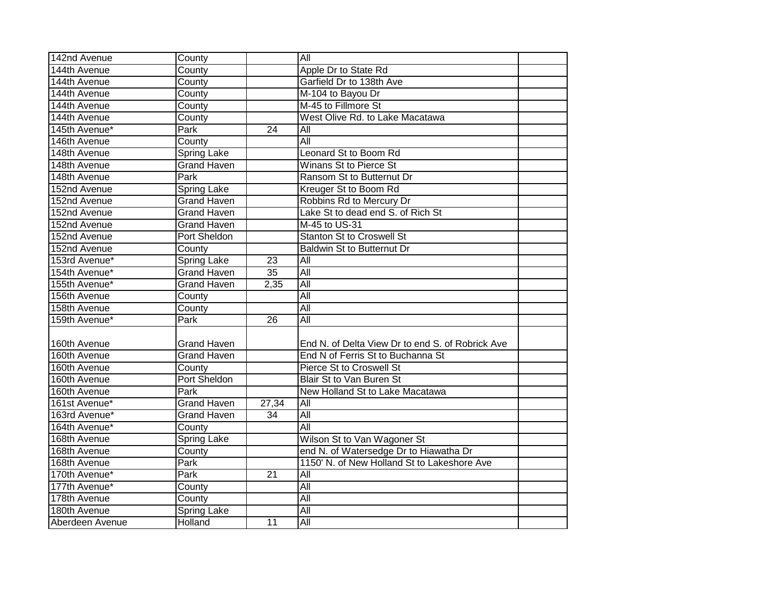| 142nd Avenue    | County              |                 | $\overline{All}$                                 |  |
|-----------------|---------------------|-----------------|--------------------------------------------------|--|
| 144th Avenue    | County              |                 | Apple Dr to State Rd                             |  |
| 144th Avenue    | County              |                 | Garfield Dr to 138th Ave                         |  |
| 144th Avenue    | County              |                 | M-104 to Bayou Dr                                |  |
| 144th Avenue    | County              |                 | M-45 to Fillmore St                              |  |
| 144th Avenue    | County              |                 | West Olive Rd. to Lake Macatawa                  |  |
| 145th Avenue*   | Park                | $\overline{24}$ | All                                              |  |
| 146th Avenue    | County              |                 | $\overline{All}$                                 |  |
| 148th Avenue    | <b>Spring Lake</b>  |                 | Leonard St to Boom Rd                            |  |
| 148th Avenue    | <b>Grand Haven</b>  |                 | Winans St to Pierce St                           |  |
| 148th Avenue    | Park                |                 | Ransom St to Butternut Dr                        |  |
| 152nd Avenue    | <b>Spring Lake</b>  |                 | Kreuger St to Boom Rd                            |  |
| 152nd Avenue    | <b>Grand Haven</b>  |                 | Robbins Rd to Mercury Dr                         |  |
| 152nd Avenue    | Grand Haven         |                 | Lake St to dead end S. of Rich St                |  |
| 152nd Avenue    | <b>Grand Haven</b>  |                 | M-45 to US-31                                    |  |
| 152nd Avenue    | Port Sheldon        |                 | <b>Stanton St to Croswell St</b>                 |  |
| 152nd Avenue    | County              |                 | <b>Baldwin St to Butternut Dr</b>                |  |
| 153rd Avenue*   | Spring Lake         | $\overline{23}$ | $\overline{All}$                                 |  |
| 154th Avenue*   | <b>Grand Haven</b>  | $\overline{35}$ | All                                              |  |
| 155th Avenue*   | <b>Grand Haven</b>  | 2,35            | $\overline{All}$                                 |  |
| 156th Avenue    | County              |                 | All                                              |  |
| 158th Avenue    | County              |                 | All                                              |  |
| 159th Avenue*   | <b>Park</b>         | $\overline{26}$ | All                                              |  |
|                 |                     |                 |                                                  |  |
| 160th Avenue    | <b>Grand Haven</b>  |                 | End N. of Delta View Dr to end S. of Robrick Ave |  |
| 160th Avenue    | <b>Grand Haven</b>  |                 | End N of Ferris St to Buchanna St                |  |
| 160th Avenue    | County              |                 | Pierce St to Croswell St                         |  |
| 160th Avenue    | <b>Port Sheldon</b> |                 | Blair St to Van Buren St                         |  |
| 160th Avenue    | <b>Park</b>         |                 | New Holland St to Lake Macatawa                  |  |
| 161st Avenue*   | <b>Grand Haven</b>  | 27,34           | $\overline{All}$                                 |  |
| 163rd Avenue*   | <b>Grand Haven</b>  | $\overline{34}$ | All                                              |  |
| 164th Avenue*   | County              |                 | $\overline{All}$                                 |  |
| 168th Avenue    | Spring Lake         |                 | Wilson St to Van Wagoner St                      |  |
| 168th Avenue    | County              |                 | end N. of Watersedge Dr to Hiawatha Dr           |  |
| 168th Avenue    | Park                |                 | 1150' N. of New Holland St to Lakeshore Ave      |  |
| 170th Avenue*   | <b>Park</b>         | 21              | $\overline{All}$                                 |  |
| 177th Avenue*   | County              |                 | All                                              |  |
| 178th Avenue    | County              |                 | $\overline{All}$                                 |  |
| 180th Avenue    | <b>Spring Lake</b>  |                 | $\overline{All}$                                 |  |
| Aberdeen Avenue | Holland             | 11              | $\overline{All}$                                 |  |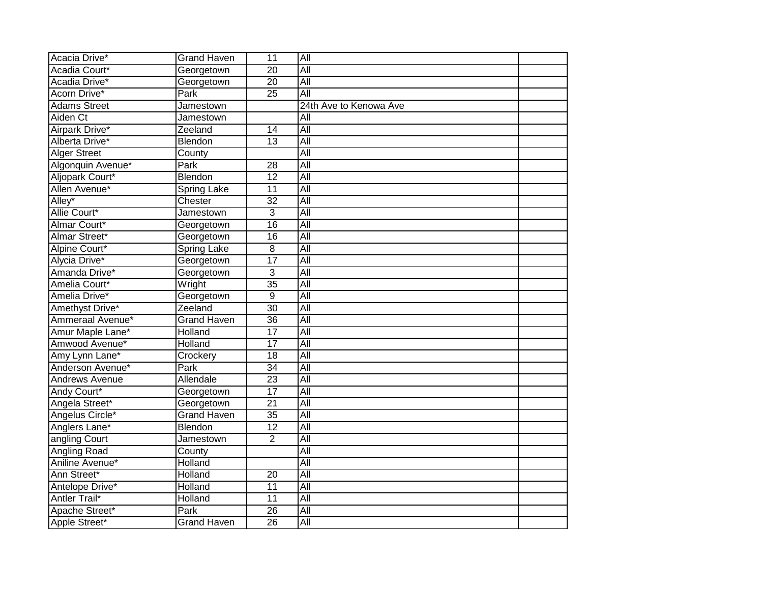| Acacia Drive*       | <b>Grand Haven</b> | 11              | $\overline{All}$       |  |
|---------------------|--------------------|-----------------|------------------------|--|
| Acadia Court*       | Georgetown         | $\overline{20}$ | All                    |  |
| Acadia Drive*       | Georgetown         | $\overline{20}$ | All                    |  |
| Acorn Drive*        | Park               | $\overline{25}$ | All                    |  |
| <b>Adams Street</b> | Jamestown          |                 | 24th Ave to Kenowa Ave |  |
| Aiden Ct            | Jamestown          |                 | All                    |  |
| Airpark Drive*      | Zeeland            | 14              | $\overline{All}$       |  |
| Alberta Drive*      | Blendon            | 13              | $\overline{All}$       |  |
| <b>Alger Street</b> | County             |                 | All                    |  |
| Algonquin Avenue*   | Park               | 28              | $\overline{All}$       |  |
| Aljopark Court*     | Blendon            | 12              | $\overline{All}$       |  |
| Allen Avenue*       | <b>Spring Lake</b> | $\overline{11}$ | $\overline{All}$       |  |
| Alley*              | Chester            | $\overline{32}$ | All                    |  |
| Allie Court*        | Jamestown          | $\overline{3}$  | All                    |  |
| Almar Court*        | Georgetown         | 16              | All                    |  |
| Almar Street*       | Georgetown         | $\overline{16}$ | All                    |  |
| Alpine Court*       | <b>Spring Lake</b> | 8               | All                    |  |
| Alycia Drive*       | Georgetown         | $\overline{17}$ | All                    |  |
| Amanda Drive*       | Georgetown         | $\overline{3}$  | All                    |  |
| Amelia Court*       | Wright             | $\overline{35}$ | $\overline{All}$       |  |
| Amelia Drive*       | Georgetown         | 9               | $\overline{All}$       |  |
| Amethyst Drive*     | Zeeland            | $\overline{30}$ | All                    |  |
| Ammeraal Avenue*    | <b>Grand Haven</b> | 36              | All                    |  |
| Amur Maple Lane*    | <b>Holland</b>     | $\overline{17}$ | All                    |  |
| Amwood Avenue*      | <b>Holland</b>     | $\overline{17}$ | All                    |  |
| Amy Lynn Lane*      | Crockery           | $\overline{18}$ | All                    |  |
| Anderson Avenue*    | Park               | $\overline{34}$ | All                    |  |
| Andrews Avenue      | Allendale          | 23              | All                    |  |
| Andy Court*         | Georgetown         | $\overline{17}$ | $\overline{All}$       |  |
| Angela Street*      | Georgetown         | $\overline{21}$ | All                    |  |
| Angelus Circle*     | <b>Grand Haven</b> | $\overline{35}$ | $\overline{All}$       |  |
| Anglers Lane*       | Blendon            | $\overline{12}$ | All                    |  |
| angling Court       | Jamestown          | $\overline{2}$  | $\overline{All}$       |  |
| Angling Road        | County             |                 | $\overline{All}$       |  |
| Aniline Avenue*     | Holland            |                 | $\overline{All}$       |  |
| Ann Street*         | Holland            | 20              | $\overline{All}$       |  |
| Antelope Drive*     | Holland            | $\overline{11}$ | All                    |  |
| Antler Trail*       | Holland            | 11              | All                    |  |
| Apache Street*      | Park               | $\overline{26}$ | All                    |  |
| Apple Street*       | <b>Grand Haven</b> | $\overline{26}$ | All                    |  |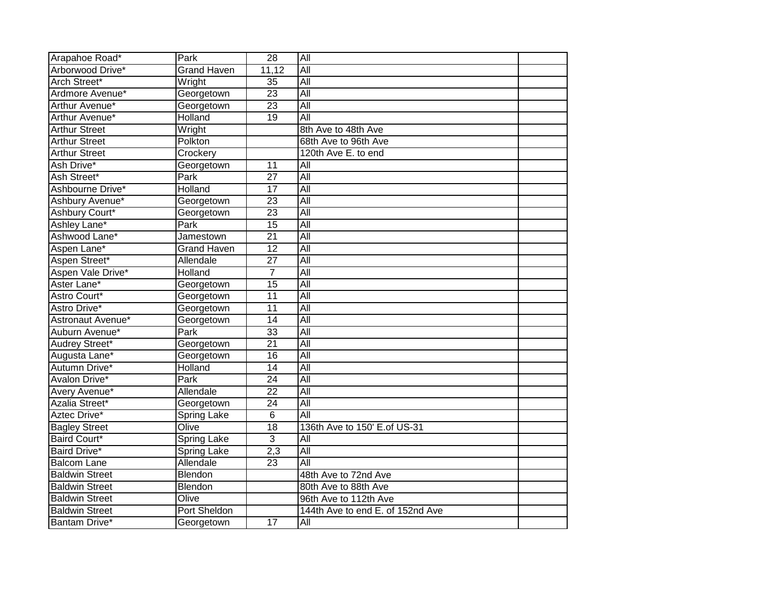| Arapahoe Road*        | Park               | $\overline{28}$ | All                              |  |
|-----------------------|--------------------|-----------------|----------------------------------|--|
| Arborwood Drive*      | <b>Grand Haven</b> | 11,12           | All                              |  |
| Arch Street*          | Wright             | $\overline{35}$ | All                              |  |
| Ardmore Avenue*       | Georgetown         | $\overline{23}$ | All                              |  |
| Arthur Avenue*        | Georgetown         | $\overline{23}$ | $\overline{All}$                 |  |
| Arthur Avenue*        | Holland            | $\overline{19}$ | All                              |  |
| <b>Arthur Street</b>  | Wright             |                 | 8th Ave to 48th Ave              |  |
| Arthur Street         | Polkton            |                 | 68th Ave to 96th Ave             |  |
| <b>Arthur Street</b>  | Crockery           |                 | 120th Ave E. to end              |  |
| Ash Drive*            | Georgetown         | 11              | All                              |  |
| Ash Street*           | Park               | $\overline{27}$ | All                              |  |
| Ashbourne Drive*      | Holland            | $\overline{17}$ | All                              |  |
| Ashbury Avenue*       | Georgetown         | 23              | All                              |  |
| Ashbury Court*        | Georgetown         | $\overline{23}$ | $\overline{All}$                 |  |
| Ashley Lane*          | Park               | $\overline{15}$ | All                              |  |
| Ashwood Lane*         | Jamestown          | $\overline{21}$ | All                              |  |
| Aspen Lane*           | <b>Grand Haven</b> | $\overline{12}$ | All                              |  |
| Aspen Street*         | Allendale          | $\overline{27}$ | All                              |  |
| Aspen Vale Drive*     | Holland            | $\overline{7}$  | All                              |  |
| Aster Lane*           | Georgetown         | $\overline{15}$ | All                              |  |
| Astro Court*          | Georgetown         | $\overline{11}$ | All                              |  |
| Astro Drive*          | Georgetown         | 11              | All                              |  |
| Astronaut Avenue*     | Georgetown         | $\overline{14}$ | All                              |  |
| Auburn Avenue*        | Park               | $\overline{33}$ | All                              |  |
| Audrey Street*        | Georgetown         | $\overline{21}$ | All                              |  |
| Augusta Lane*         | Georgetown         | $\overline{16}$ | All                              |  |
| Autumn Drive*         | Holland            | $\overline{14}$ | All                              |  |
| Avalon Drive*         | Park               | $\overline{24}$ | All                              |  |
| Avery Avenue*         | Allendale          | $\overline{22}$ | All                              |  |
| Azalia Street*        | Georgetown         | $\overline{24}$ | All                              |  |
| Aztec Drive*          | Spring Lake        | 6               | All                              |  |
| <b>Bagley Street</b>  | Olive              | $\overline{18}$ | 136th Ave to 150' E.of US-31     |  |
| Baird Court*          | <b>Spring Lake</b> | $\overline{3}$  | $\overline{All}$                 |  |
| Baird Drive*          | <b>Spring Lake</b> | 2,3             | $\overline{All}$                 |  |
| <b>Balcom Lane</b>    | Allendale          | $\overline{23}$ | $\overline{All}$                 |  |
| <b>Baldwin Street</b> | Blendon            |                 | 48th Ave to 72nd Ave             |  |
| <b>Baldwin Street</b> | Blendon            |                 | 80th Ave to 88th Ave             |  |
| <b>Baldwin Street</b> | Olive              |                 | 96th Ave to 112th Ave            |  |
| <b>Baldwin Street</b> | Port Sheldon       |                 | 144th Ave to end E. of 152nd Ave |  |
| <b>Bantam Drive*</b>  | Georgetown         | $\overline{17}$ | $\overline{All}$                 |  |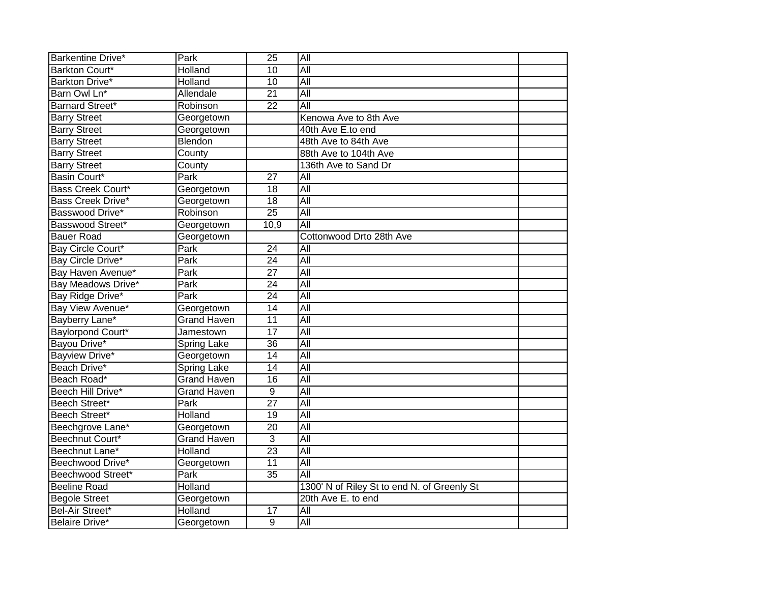| Barkentine Drive*        | Park               | $\overline{25}$ | $\overline{All}$                            |  |
|--------------------------|--------------------|-----------------|---------------------------------------------|--|
| Barkton Court*           | <b>Holland</b>     | $\overline{10}$ | All                                         |  |
| Barkton Drive*           | Holland            | $\overline{10}$ | All                                         |  |
| Barn Owl Ln*             | Allendale          | $\overline{21}$ | All                                         |  |
| <b>Barnard Street*</b>   | Robinson           | $\overline{22}$ | All                                         |  |
| <b>Barry Street</b>      | Georgetown         |                 | Kenowa Ave to 8th Ave                       |  |
| <b>Barry Street</b>      | Georgetown         |                 | 40th Ave E.to end                           |  |
| <b>Barry Street</b>      | Blendon            |                 | 48th Ave to 84th Ave                        |  |
| <b>Barry Street</b>      | County             |                 | 88th Ave to 104th Ave                       |  |
| <b>Barry Street</b>      | County             |                 | 136th Ave to Sand Dr                        |  |
| Basin Court*             | Park               | 27              | All                                         |  |
| <b>Bass Creek Court*</b> | Georgetown         | 18              | $\overline{All}$                            |  |
| Bass Creek Drive*        | Georgetown         | 18              | All                                         |  |
| Basswood Drive*          | Robinson           | $\overline{25}$ | $\overline{All}$                            |  |
| Basswood Street*         | Georgetown         | 10,9            | All                                         |  |
| <b>Bauer Road</b>        | Georgetown         |                 | Cottonwood Drto 28th Ave                    |  |
| Bay Circle Court*        | Park               | $\overline{24}$ | All                                         |  |
| Bay Circle Drive*        | Park               | $\overline{24}$ | All                                         |  |
| Bay Haven Avenue*        | Park               | $\overline{27}$ | All                                         |  |
| Bay Meadows Drive*       | <b>Park</b>        | $\overline{24}$ | All                                         |  |
| Bay Ridge Drive*         | Park               | $\overline{24}$ | All                                         |  |
| Bay View Avenue*         | Georgetown         | $\overline{14}$ | All                                         |  |
| Bayberry Lane*           | <b>Grand Haven</b> | 11              | All                                         |  |
| Baylorpond Court*        | Jamestown          | $\overline{17}$ | $\overline{All}$                            |  |
| Bayou Drive*             | <b>Spring Lake</b> | 36              | All                                         |  |
| <b>Bayview Drive*</b>    | Georgetown         | 14              | All                                         |  |
| Beach Drive*             | <b>Spring Lake</b> | $\overline{14}$ | All                                         |  |
| Beach Road*              | <b>Grand Haven</b> | 16              | $\overline{All}$                            |  |
| Beech Hill Drive*        | <b>Grand Haven</b> | 9               | $\overline{All}$                            |  |
| Beech Street*            | Park               | $\overline{27}$ | All                                         |  |
| Beech Street*            | Holland            | $\overline{19}$ | All                                         |  |
| Beechgrove Lane*         | Georgetown         | $\overline{20}$ | All                                         |  |
| Beechnut Court*          | Grand Haven        | $\overline{3}$  | $\overline{All}$                            |  |
| Beechnut Lane*           | Holland            | $\overline{23}$ | All                                         |  |
| Beechwood Drive*         | Georgetown         | 11              | $\overline{All}$                            |  |
| Beechwood Street*        | Park               | $\overline{35}$ | $\overline{All}$                            |  |
| <b>Beeline Road</b>      | Holland            |                 | 1300' N of Riley St to end N. of Greenly St |  |
| <b>Begole Street</b>     | Georgetown         |                 | 20th Ave E. to end                          |  |
| Bel-Air Street*          | Holland            | 17              | All                                         |  |
| Belaire Drive*           | Georgetown         | 9               | $\overline{All}$                            |  |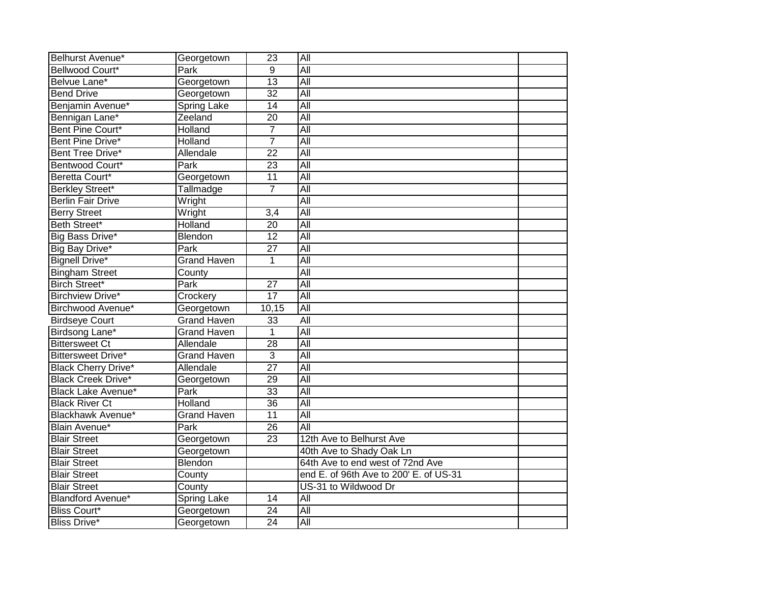| Belhurst Avenue*           | Georgetown         | $\overline{23}$ | All                                    |  |
|----------------------------|--------------------|-----------------|----------------------------------------|--|
| Bellwood Court*            | Park               | $\overline{9}$  | All                                    |  |
| Belvue Lane*               | Georgetown         | 13              | All                                    |  |
| <b>Bend Drive</b>          | Georgetown         | $\overline{32}$ | All                                    |  |
| Benjamin Avenue*           | <b>Spring Lake</b> | 14              | All                                    |  |
| Bennigan Lane*             | Zeeland            | $\overline{20}$ | $\overline{All}$                       |  |
| Bent Pine Court*           | Holland            | 7               | $\overline{All}$                       |  |
| Bent Pine Drive*           | Holland            | $\overline{7}$  | All                                    |  |
| Bent Tree Drive*           | Allendale          | 22              | $\overline{All}$                       |  |
| Bentwood Court*            | Park               | 23              | All                                    |  |
| Beretta Court*             | Georgetown         | 11              | $\overline{All}$                       |  |
| <b>Berkley Street*</b>     | Tallmadge          | $\overline{7}$  | All                                    |  |
| <b>Berlin Fair Drive</b>   | Wright             |                 | All                                    |  |
| <b>Berry Street</b>        | Wright             | 3,4             | All                                    |  |
| Beth Street*               | Holland            | 20              | All                                    |  |
| Big Bass Drive*            | Blendon            | $\overline{12}$ | All                                    |  |
| Big Bay Drive*             | Park               | $\overline{27}$ | $\overline{All}$                       |  |
| <b>Bignell Drive*</b>      | <b>Grand Haven</b> | 1               | $\overline{All}$                       |  |
| <b>Bingham Street</b>      | County             |                 | All                                    |  |
| <b>Birch Street*</b>       | Park               | $\overline{27}$ | All                                    |  |
| <b>Birchview Drive*</b>    | Crockery           | $\overline{17}$ | $\overline{All}$                       |  |
| Birchwood Avenue*          | Georgetown         | 10,15           | $\overline{All}$                       |  |
| <b>Birdseye Court</b>      | <b>Grand Haven</b> | 33              | All                                    |  |
| Birdsong Lane*             | <b>Grand Haven</b> | 1               | All                                    |  |
| <b>Bittersweet Ct</b>      | Allendale          | 28              | All                                    |  |
| <b>Bittersweet Drive*</b>  | <b>Grand Haven</b> | 3               | All                                    |  |
| <b>Black Cherry Drive*</b> | Allendale          | $\overline{27}$ | <b>All</b>                             |  |
| <b>Black Creek Drive*</b>  | Georgetown         | $\overline{29}$ | $\overline{All}$                       |  |
| <b>Black Lake Avenue*</b>  | Park               | 33              | All                                    |  |
| <b>Black River Ct</b>      | Holland            | 36              | All                                    |  |
| <b>Blackhawk Avenue*</b>   | <b>Grand Haven</b> | $\overline{11}$ | All                                    |  |
| <b>Blain Avenue*</b>       | Park               | $\overline{26}$ | All                                    |  |
| <b>Blair Street</b>        | Georgetown         | 23              | 12th Ave to Belhurst Ave               |  |
| <b>Blair Street</b>        | Georgetown         |                 | 40th Ave to Shady Oak Ln               |  |
| <b>Blair Street</b>        | Blendon            |                 | 64th Ave to end west of 72nd Ave       |  |
| <b>Blair Street</b>        | County             |                 | end E. of 96th Ave to 200' E. of US-31 |  |
| <b>Blair Street</b>        | County             |                 | US-31 to Wildwood Dr                   |  |
| Blandford Avenue*          | Spring Lake        | 14              | All                                    |  |
| <b>Bliss Court*</b>        | Georgetown         | $\overline{24}$ | $\overline{All}$                       |  |
| <b>Bliss Drive*</b>        | Georgetown         | $\overline{24}$ | All                                    |  |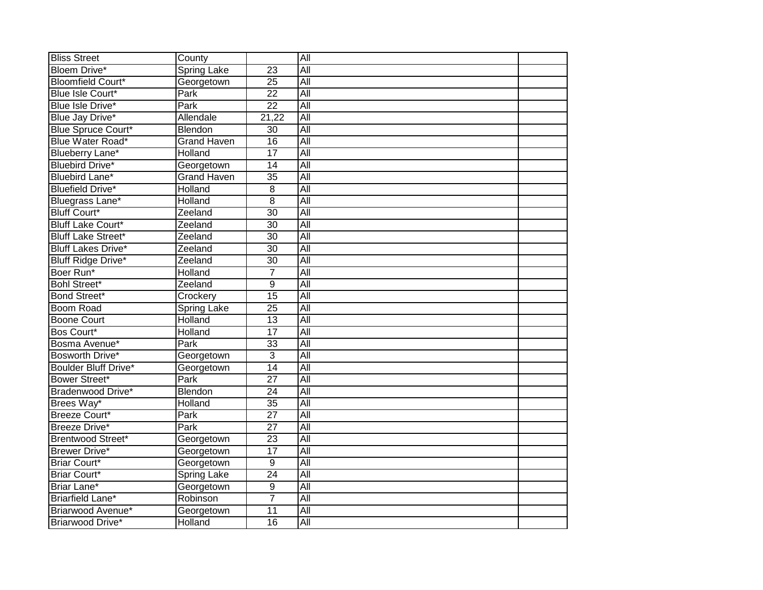| <b>Bliss Street</b>         | County             |                 | All              |  |
|-----------------------------|--------------------|-----------------|------------------|--|
| <b>Bloem Drive*</b>         | <b>Spring Lake</b> | $\overline{23}$ | All              |  |
| <b>Bloomfield Court*</b>    | Georgetown         | $\overline{25}$ | All              |  |
| Blue Isle Court*            | Park               | $\overline{22}$ | All              |  |
| Blue Isle Drive*            | Park               | $\overline{22}$ | $\overline{All}$ |  |
| Blue Jay Drive*             | Allendale          | 21,22           | All              |  |
| <b>Blue Spruce Court*</b>   | Blendon            | 30              | <b>All</b>       |  |
| Blue Water Road*            | Grand Haven        | 16              | $\overline{All}$ |  |
| Blueberry Lane*             | Holland            | 17              | $\overline{All}$ |  |
| <b>Bluebird Drive*</b>      | Georgetown         | 14              | $\overline{All}$ |  |
| <b>Bluebird Lane*</b>       | <b>Grand Haven</b> | $\overline{35}$ | All              |  |
| <b>Bluefield Drive*</b>     | Holland            | $\overline{8}$  | All              |  |
| Bluegrass Lane*             | Holland            | 8               | All              |  |
| <b>Bluff Court*</b>         | Zeeland            | 30              | All              |  |
| <b>Bluff Lake Court*</b>    | Zeeland            | 30              | All              |  |
| <b>Bluff Lake Street*</b>   | Zeeland            | 30              | All              |  |
| <b>Bluff Lakes Drive*</b>   | Zeeland            | $\overline{30}$ | All              |  |
| <b>Bluff Ridge Drive*</b>   | Zeeland            | $\overline{30}$ | All              |  |
| Boer Run*                   | Holland            | $\overline{7}$  | All              |  |
| <b>Bohl Street*</b>         | Zeeland            | 9               | All              |  |
| Bond Street*                | Crockery           | 15              | All              |  |
| <b>Boom Road</b>            | <b>Spring Lake</b> | $\overline{25}$ | All              |  |
| <b>Boone Court</b>          | Holland            | 13              | All              |  |
| Bos Court*                  | Holland            | 17              | All              |  |
| Bosma Avenue*               | Park               | 33              | All              |  |
| Bosworth Drive*             | Georgetown         | $\overline{3}$  | All              |  |
| <b>Boulder Bluff Drive*</b> | Georgetown         | 14              | <b>All</b>       |  |
| <b>Bower Street*</b>        | Park               | $\overline{27}$ | $\overline{All}$ |  |
| Bradenwood Drive*           | Blendon            | 24              | $\overline{All}$ |  |
| Brees Way*                  | Holland            | $\overline{35}$ | All              |  |
| Breeze Court*               | Park               | $\overline{27}$ | All              |  |
| <b>Breeze Drive*</b>        | Park               | $\overline{27}$ | All              |  |
| Brentwood Street*           | Georgetown         | 23              | $\overline{All}$ |  |
| <b>Brewer Drive*</b>        | Georgetown         | 17              | All              |  |
| <b>Briar Court*</b>         | Georgetown         | 9               | $\overline{All}$ |  |
| <b>Briar Court*</b>         | <b>Spring Lake</b> | $\overline{24}$ | All              |  |
| Briar Lane*                 | Georgetown         | $\overline{9}$  | All              |  |
| Briarfield Lane*            | Robinson           | $\overline{7}$  | All              |  |
| Briarwood Avenue*           | Georgetown         | $\overline{11}$ | All              |  |
| Briarwood Drive*            | Holland            | $\overline{16}$ | $\overline{All}$ |  |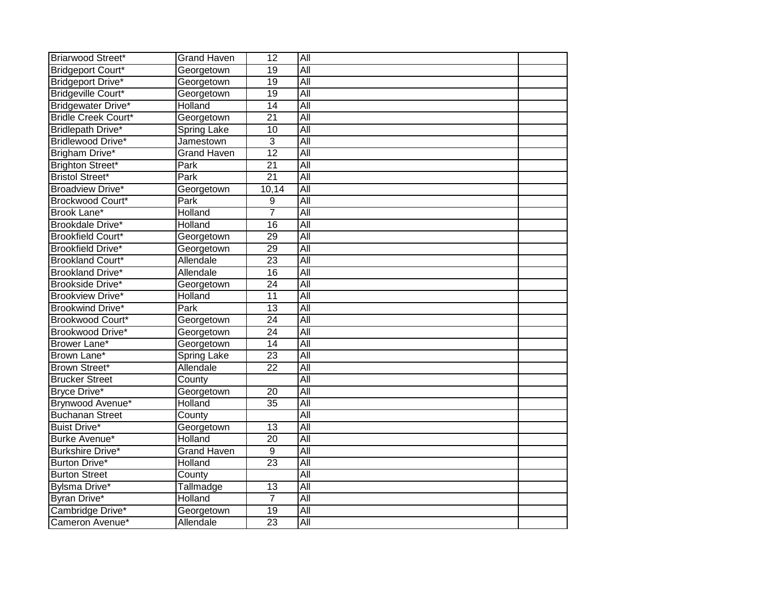| Briarwood Street*          | <b>Grand Haven</b> | $\overline{12}$ | All              |  |
|----------------------------|--------------------|-----------------|------------------|--|
| <b>Bridgeport Court*</b>   | Georgetown         | 19              | All              |  |
| Bridgeport Drive*          | Georgetown         | 19              | All              |  |
| Bridgeville Court*         | Georgetown         | $\overline{19}$ | All              |  |
| Bridgewater Drive*         | Holland            | $\overline{14}$ | All              |  |
| <b>Bridle Creek Court*</b> | Georgetown         | $\overline{21}$ | <b>All</b>       |  |
| Bridlepath Drive*          | <b>Spring Lake</b> | 10              | All              |  |
| Bridlewood Drive*          | Jamestown          | 3               | All              |  |
| Brigham Drive*             | <b>Grand Haven</b> | 12              | $\overline{All}$ |  |
| <b>Brighton Street*</b>    | Park               | $\overline{21}$ | All              |  |
| <b>Bristol Street*</b>     | Park               | $\overline{21}$ | $\overline{All}$ |  |
| <b>Broadview Drive*</b>    | Georgetown         | 10,14           | <b>All</b>       |  |
| Brockwood Court*           | Park               | 9               | All              |  |
| Brook Lane*                | Holland            | 7               | $\overline{All}$ |  |
| Brookdale Drive*           | Holland            | $\overline{16}$ | All              |  |
| <b>Brookfield Court*</b>   | Georgetown         | 29              | All              |  |
| <b>Brookfield Drive*</b>   | Georgetown         | 29              | All              |  |
| <b>Brookland Court*</b>    | Allendale          | $\overline{23}$ | All              |  |
| <b>Brookland Drive*</b>    | Allendale          | 16              | <b>All</b>       |  |
| Brookside Drive*           | Georgetown         | $\overline{24}$ | All              |  |
| <b>Brookview Drive*</b>    | Holland            | 11              | All              |  |
| <b>Brookwind Drive*</b>    | Park               | $\overline{13}$ | <b>All</b>       |  |
| Brookwood Court*           | Georgetown         | $\overline{24}$ | <b>All</b>       |  |
| Brookwood Drive*           | Georgetown         | $\overline{24}$ | <b>All</b>       |  |
| Brower Lane*               | Georgetown         | $\overline{14}$ | All              |  |
| Brown Lane*                | <b>Spring Lake</b> | 23              | All              |  |
| Brown Street*              | Allendale          | $\overline{22}$ | All              |  |
| <b>Brucker Street</b>      | County             |                 | <b>All</b>       |  |
| Bryce Drive*               | Georgetown         | $\overline{20}$ | All              |  |
| Brynwood Avenue*           | Holland            | $\overline{35}$ | All              |  |
| <b>Buchanan Street</b>     | County             |                 | <b>All</b>       |  |
| <b>Buist Drive*</b>        | Georgetown         | $\overline{13}$ | <b>All</b>       |  |
| Burke Avenue*              | Holland            | 20              | $\overline{All}$ |  |
| Burkshire Drive*           | <b>Grand Haven</b> | $\overline{9}$  | All              |  |
| Burton Drive*              | Holland            | 23              | $\overline{All}$ |  |
| <b>Burton Street</b>       | County             |                 | $\overline{All}$ |  |
| Bylsma Drive*              | Tallmadge          | $\overline{13}$ | All              |  |
| Byran Drive*               | Holland            | $\overline{7}$  | <b>All</b>       |  |
| Cambridge Drive*           | Georgetown         | 19              | All              |  |
| Cameron Avenue*            | Allendale          | $\overline{23}$ | All              |  |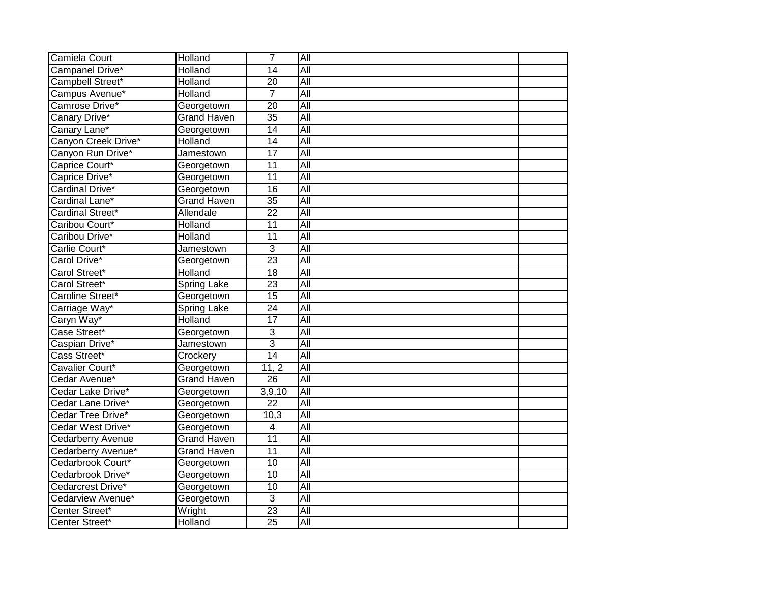| Camiela Court            | Holland            | $\overline{7}$  | All              |  |
|--------------------------|--------------------|-----------------|------------------|--|
| Campanel Drive*          | Holland            | $\overline{14}$ | All              |  |
| Campbell Street*         | Holland            | $\overline{20}$ | All              |  |
| Campus Avenue*           | Holland            | $\overline{7}$  | All              |  |
| Camrose Drive*           | Georgetown         | $\overline{20}$ | All              |  |
| Canary Drive*            | <b>Grand Haven</b> | $\overline{35}$ | <b>All</b>       |  |
| Canary Lane*             | Georgetown         | 14              | All              |  |
| Canyon Creek Drive*      | Holland            | 14              | All              |  |
| Canyon Run Drive*        | Jamestown          | $\overline{17}$ | $\overline{All}$ |  |
| Caprice Court*           | Georgetown         | $\overline{11}$ | All              |  |
| Caprice Drive*           | Georgetown         | $\overline{11}$ | $\overline{All}$ |  |
| Cardinal Drive*          | Georgetown         | 16              | <b>All</b>       |  |
| Cardinal Lane*           | <b>Grand Haven</b> | $\overline{35}$ | <b>All</b>       |  |
| Cardinal Street*         | Allendale          | $\overline{22}$ | $\overline{All}$ |  |
| Caribou Court*           | Holland            | $\overline{11}$ | All              |  |
| Caribou Drive*           | Holland            | $\overline{11}$ | All              |  |
| Carlie Court*            | Jamestown          | 3               | All              |  |
| Carol Drive*             | Georgetown         | 23              | All              |  |
| Carol Street*            | Holland            | 18              | <b>All</b>       |  |
| Carol Street*            | <b>Spring Lake</b> | $\overline{23}$ | All              |  |
| Caroline Street*         | Georgetown         | $\overline{15}$ | All              |  |
| Carriage Way*            | <b>Spring Lake</b> | $\overline{24}$ | <b>All</b>       |  |
| Caryn Way*               | Holland            | 17              | All              |  |
| Case Street*             | Georgetown         | 3               | <b>All</b>       |  |
| Caspian Drive*           | Jamestown          | $\overline{3}$  | All              |  |
| Cass Street*             | Crockery           | 14              | All              |  |
| Cavalier Court*          | Georgetown         | 11, 2           | All              |  |
| Cedar Avenue*            | <b>Grand Haven</b> | $\overline{26}$ | <b>All</b>       |  |
| Cedar Lake Drive*        | Georgetown         | 3,9,10          | All              |  |
| Cedar Lane Drive*        | Georgetown         | $\overline{22}$ | All              |  |
| Cedar Tree Drive*        | Georgetown         | 10,3            | <b>All</b>       |  |
| Cedar West Drive*        | Georgetown         | 4               | <b>All</b>       |  |
| <b>Cedarberry Avenue</b> | <b>Grand Haven</b> | $\overline{11}$ | $\overline{All}$ |  |
| Cedarberry Avenue*       | <b>Grand Haven</b> | $\overline{11}$ | All              |  |
| Cedarbrook Court*        | Georgetown         | 10              | $\overline{All}$ |  |
| Cedarbrook Drive*        | Georgetown         | 10              | $\overline{All}$ |  |
| Cedarcrest Drive*        | Georgetown         | 10              | All              |  |
| Cedarview Avenue*        | Georgetown         | 3               | <b>All</b>       |  |
| Center Street*           | Wright             | 23              | All              |  |
| Center Street*           | Holland            | $\overline{25}$ | All              |  |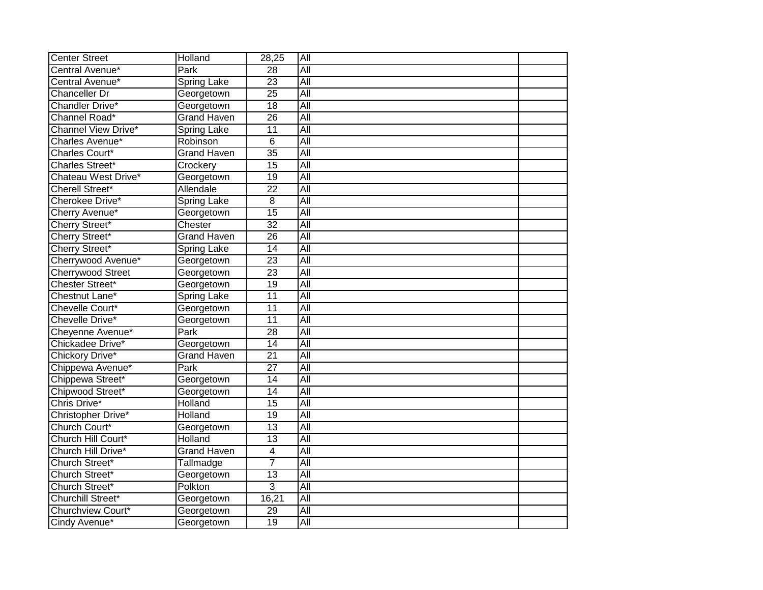| <b>Center Street</b>     | Holland                          | 28,25           | All              |  |
|--------------------------|----------------------------------|-----------------|------------------|--|
| Central Avenue*          | Park                             | $\overline{28}$ | All              |  |
| Central Avenue*          | <b>Spring Lake</b>               | $\overline{23}$ | All              |  |
| Chanceller Dr            | Georgetown                       | $\overline{25}$ | All              |  |
| Chandler Drive*          | Georgetown                       | $\overline{18}$ | $\overline{All}$ |  |
| Channel Road*            | <b>Grand Haven</b>               | $\overline{26}$ | All              |  |
| Channel View Drive*      | Spring Lake                      | $\overline{11}$ | $\overline{All}$ |  |
| Charles Avenue*          | Robinson                         | 6               | <b>All</b>       |  |
| Charles Court*           | <b>Grand Haven</b>               | $\overline{35}$ | $\overline{All}$ |  |
| Charles Street*          | Crockery                         | 15              | $\overline{All}$ |  |
| Chateau West Drive*      | Georgetown                       | $\overline{19}$ | All              |  |
| <b>Cherell Street*</b>   | Allendale                        | $\overline{22}$ | All              |  |
| Cherokee Drive*          | Spring Lake                      | 8               | All              |  |
| Cherry Avenue*           | Georgetown                       | 15              | All              |  |
| Cherry Street*           | Chester                          | $\overline{32}$ | <b>All</b>       |  |
| Cherry Street*           | <b>Grand Haven</b>               | 26              | All              |  |
| Cherry Street*           | <b>Spring Lake</b>               | $\overline{14}$ | All              |  |
| Cherrywood Avenue*       | Georgetown                       | $\overline{23}$ | All              |  |
| <b>Cherrywood Street</b> | Georgetown                       | 23              | All              |  |
| Chester Street*          | Georgetown                       | $\overline{19}$ | <b>All</b>       |  |
| Chestnut Lane*           | Spring Lake                      | $\overline{11}$ | All              |  |
| Chevelle Court*          | Georgetown                       | $\overline{11}$ | $\overline{All}$ |  |
| Chevelle Drive*          | Georgetown                       | 11              | All              |  |
| Cheyenne Avenue*         | Park                             | 28              | All              |  |
| Chickadee Drive*         | Georgetown                       | $\overline{14}$ | All              |  |
| Chickory Drive*          | <b>Grand Haven</b>               | $\overline{21}$ | All              |  |
| Chippewa Avenue*         | Park                             | $\overline{27}$ | All              |  |
| Chippewa Street*         | Georgetown                       | 14              | $\overline{All}$ |  |
| Chipwood Street*         | Georgetown                       | 14              | $\overline{All}$ |  |
| Chris Drive*             | Holland                          | $\overline{15}$ | All              |  |
| Christopher Drive*       | Holland                          | $\overline{19}$ | All              |  |
| Church Court*            | Georgetown                       | $\overline{13}$ | All              |  |
| Church Hill Court*       | Holland                          | 13              | $\overline{All}$ |  |
| Church Hill Drive*       | <b>Grand Haven</b>               | $\overline{4}$  | All              |  |
| Church Street*           | $\overline{\mathsf{T}}$ allmadge | $\overline{7}$  | $\overline{All}$ |  |
| Church Street*           | Georgetown                       | $\overline{13}$ | $\overline{All}$ |  |
| Church Street*           | Polkton                          | 3               | All              |  |
| <b>Churchill Street*</b> | Georgetown                       | 16,21           | All              |  |
| Churchview Court*        | Georgetown                       | 29              | All              |  |
| Cindy Avenue*            | Georgetown                       | 19              | $\overline{All}$ |  |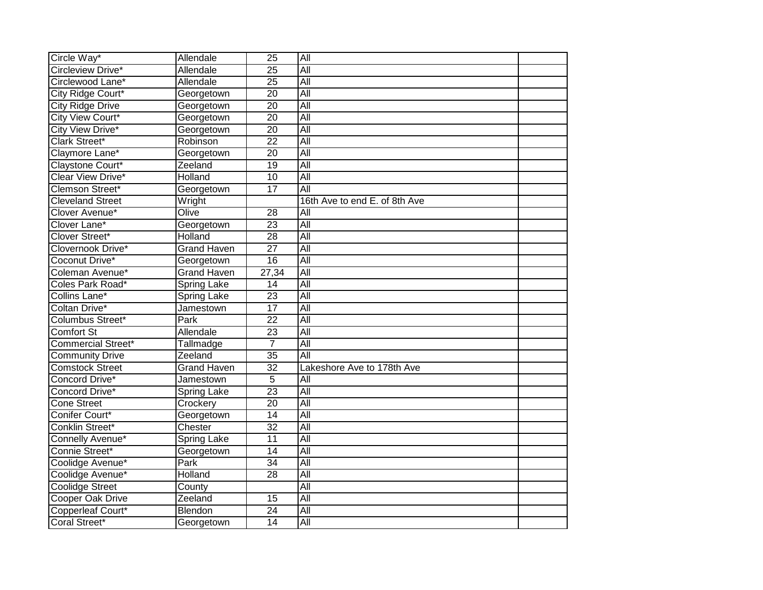| Circle Way*               | Allendale          | $\overline{25}$ | All                           |  |
|---------------------------|--------------------|-----------------|-------------------------------|--|
| Circleview Drive*         | <b>Allendale</b>   | $\overline{25}$ | All                           |  |
| Circlewood Lane*          | Allendale          | $\overline{25}$ | All                           |  |
| City Ridge Court*         | Georgetown         | $\overline{20}$ | All                           |  |
| <b>City Ridge Drive</b>   | Georgetown         | $\overline{20}$ | All                           |  |
| City View Court*          | Georgetown         | $\overline{20}$ | All                           |  |
| <b>City View Drive*</b>   | Georgetown         | 20              | All                           |  |
| Clark Street*             | Robinson           | $\overline{22}$ | All                           |  |
| Claymore Lane*            | Georgetown         | 20              | $\overline{All}$              |  |
| Claystone Court*          | Zeeland            | $\overline{19}$ | All                           |  |
| Clear View Drive*         | Holland            | $\overline{10}$ | All                           |  |
| Clemson Street*           | Georgetown         | 17              | All                           |  |
| <b>Cleveland Street</b>   | Wright             |                 | 16th Ave to end E. of 8th Ave |  |
| Clover Avenue*            | Olive              | 28              | All                           |  |
| Clover Lane*              | Georgetown         | $\overline{23}$ | All                           |  |
| Clover Street*            | Holland            | $\overline{28}$ | All                           |  |
| Clovernook Drive*         | <b>Grand Haven</b> | $\overline{27}$ | All                           |  |
| Coconut Drive*            | Georgetown         | 16              | All                           |  |
| Coleman Avenue*           | <b>Grand Haven</b> | 27,34           | All                           |  |
| Coles Park Road*          | Spring Lake        | $\overline{14}$ | All                           |  |
| Collins Lane*             | <b>Spring Lake</b> | 23              | All                           |  |
| Coltan Drive*             | Jamestown          | $\overline{17}$ | $\overline{All}$              |  |
| <b>Columbus Street*</b>   | Park               | $\overline{22}$ | All                           |  |
| <b>Comfort St</b>         | Allendale          | $\overline{23}$ | All                           |  |
| <b>Commercial Street*</b> | Tallmadge          | $\overline{7}$  | All                           |  |
| <b>Community Drive</b>    | Zeeland            | $\overline{35}$ | All                           |  |
| <b>Comstock Street</b>    | <b>Grand Haven</b> | $\overline{32}$ | Lakeshore Ave to 178th Ave    |  |
| Concord Drive*            | Jamestown          | 5               | $\overline{All}$              |  |
| Concord Drive*            | Spring Lake        | $\overline{23}$ | All                           |  |
| <b>Cone Street</b>        | Crockery           | 20              | All                           |  |
| Conifer Court*            | Georgetown         | $\overline{14}$ | All                           |  |
| Conklin Street*           | Chester            | $\overline{32}$ | All                           |  |
| Connelly Avenue*          | <b>Spring Lake</b> | 11              | $\overline{All}$              |  |
| Connie Street*            | Georgetown         | $\overline{14}$ | All                           |  |
| Coolidge Avenue*          | Park               | 34              | $\overline{All}$              |  |
| Coolidge Avenue*          | Holland            | 28              | $\overline{All}$              |  |
| <b>Coolidge Street</b>    | County             |                 | All                           |  |
| <b>Cooper Oak Drive</b>   | Zeeland            | $\overline{15}$ | All                           |  |
| Copperleaf Court*         | Blendon            | $\overline{24}$ | All                           |  |
| Coral Street*             | Georgetown         | 14              | All                           |  |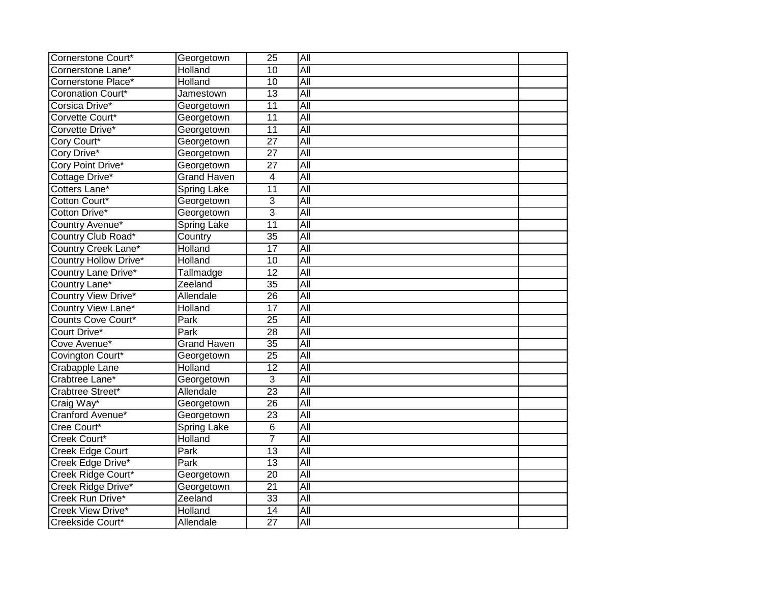| Cornerstone Court*         | Georgetown                 | $\overline{25}$ | All              |  |
|----------------------------|----------------------------|-----------------|------------------|--|
| Cornerstone Lane*          | Holland                    | 10              | All              |  |
| Cornerstone Place*         | Holland                    | 10              | All              |  |
| <b>Coronation Court*</b>   | Jamestown                  | $\overline{13}$ | All              |  |
| Corsica Drive*             | Georgetown                 | $\overline{11}$ | All              |  |
| Corvette Court*            | Georgetown                 | $\overline{11}$ | <b>All</b>       |  |
| Corvette Drive*            | Georgetown                 | 11              | All              |  |
| Cory Court*                | Georgetown                 | $\overline{27}$ | All              |  |
| Cory Drive*                | Georgetown                 | $\overline{27}$ | $\overline{All}$ |  |
| Cory Point Drive*          | Georgetown                 | $\overline{27}$ | All              |  |
| Cottage Drive*             | <b>Grand Haven</b>         | 4               | $\overline{All}$ |  |
| Cotters Lane*              | <b>Spring Lake</b>         | 11              | <b>All</b>       |  |
| Cotton Court*              | Georgetown                 | 3               | <b>All</b>       |  |
| Cotton Drive*              | Georgetown                 | 3               | $\overline{All}$ |  |
| Country Avenue*            | <b>Spring Lake</b>         | 11              | All              |  |
| Country Club Road*         | Country                    | $\overline{35}$ | All              |  |
| <b>Country Creek Lane*</b> | Holland                    | 17              | All              |  |
| Country Hollow Drive*      | Holland                    | 10              | All              |  |
| <b>Country Lane Drive*</b> | Tallmadge                  | $\overline{12}$ | <b>All</b>       |  |
| Country Lane*              | Zeeland                    | $\overline{35}$ | All              |  |
| Country View Drive*        | Allendale                  | 26              | All              |  |
| Country View Lane*         | Holland                    | $\overline{17}$ | <b>All</b>       |  |
| <b>Counts Cove Court*</b>  | $\overline{\mathsf{Park}}$ | $\overline{25}$ | <b>All</b>       |  |
| Court Drive*               | Park                       | $\overline{28}$ | <b>All</b>       |  |
| Cove Avenue*               | <b>Grand Haven</b>         | $\overline{35}$ | All              |  |
| Covington Court*           | Georgetown                 | $\overline{25}$ | All              |  |
| <b>Crabapple Lane</b>      | Holland                    | $\overline{12}$ | All              |  |
| Crabtree Lane*             | Georgetown                 | 3               | <b>All</b>       |  |
| Crabtree Street*           | Allendale                  | $\overline{23}$ | All              |  |
| Craig Way*                 | Georgetown                 | 26              | All              |  |
| Cranford Avenue*           | Georgetown                 | $\overline{23}$ | <b>All</b>       |  |
| Cree Court*                | Spring Lake                | 6               | <b>All</b>       |  |
| Creek Court*               | Holland                    | $\overline{7}$  | $\overline{All}$ |  |
| Creek Edge Court           | Park                       | 13              | All              |  |
| Creek Edge Drive*          | Park                       | 13              | $\overline{All}$ |  |
| Creek Ridge Court*         | Georgetown                 | 20              | $\overline{All}$ |  |
| Creek Ridge Drive*         | Georgetown                 | $\overline{21}$ | All              |  |
| Creek Run Drive*           | Zeeland                    | 33              | <b>All</b>       |  |
| Creek View Drive*          | Holland                    | $\overline{14}$ | All              |  |
| Creekside Court*           | Allendale                  | $\overline{27}$ | All              |  |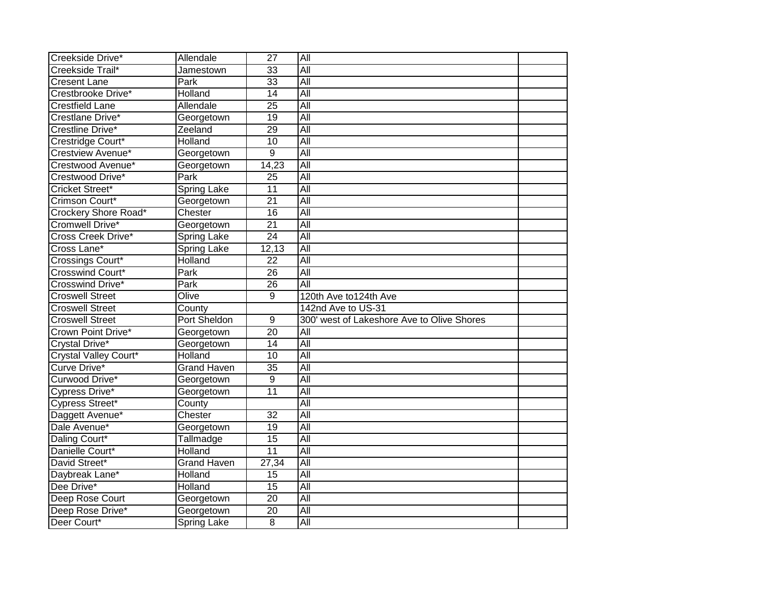| Creekside Drive*                | Allendale           | $\overline{27}$ | All                                        |  |
|---------------------------------|---------------------|-----------------|--------------------------------------------|--|
| Creekside Trail*                | Jamestown           | $\overline{33}$ | All                                        |  |
| <b>Cresent Lane</b>             | Park                | 33              | All                                        |  |
| Crestbrooke Drive*              | Holland             | $\overline{14}$ | All                                        |  |
| <b>Crestfield Lane</b>          | Allendale           | $\overline{25}$ | All                                        |  |
| Crestlane Drive*                | Georgetown          | $\overline{19}$ | <b>All</b>                                 |  |
| Crestline Drive*                | Zeeland             | 29              | $\overline{All}$                           |  |
| Crestridge Court*               | Holland             | 10              | All                                        |  |
| Crestview Avenue*               | Georgetown          | 9               | $\overline{All}$                           |  |
| Crestwood Avenue*               | Georgetown          | 14,23           | All                                        |  |
| Crestwood Drive*                | Park                | 25              | $\overline{All}$                           |  |
| Cricket Street*                 | <b>Spring Lake</b>  | 11              | All                                        |  |
| Crimson Court*                  | Georgetown          | $\overline{21}$ | $\overline{All}$                           |  |
| Crockery Shore Road*            | Chester             | 16              | $\overline{All}$                           |  |
| Cromwell Drive*                 | Georgetown          | $\overline{21}$ | All                                        |  |
| Cross Creek Drive*              | <b>Spring Lake</b>  | 24              | All                                        |  |
| Cross Lane*                     | <b>Spring Lake</b>  | 12,13           | All                                        |  |
| Crossings Court*                | Holland             | 22              | All                                        |  |
| Crosswind Court*                | Park                | 26              | <b>All</b>                                 |  |
| <b>Crosswind Drive*</b>         | Park                | 26              | All                                        |  |
| <b>Croswell Street</b>          | Olive               | 9               | 120th Ave to124th Ave                      |  |
|                                 |                     |                 |                                            |  |
| <b>Croswell Street</b>          | County              |                 | 142nd Ave to US-31                         |  |
| <b>Croswell Street</b>          | <b>Port Sheldon</b> | $\overline{9}$  | 300' west of Lakeshore Ave to Olive Shores |  |
| Crown Point Drive*              | Georgetown          | 20              | <b>All</b>                                 |  |
| Crystal Drive*                  | Georgetown          | $\overline{14}$ | All                                        |  |
| <b>Crystal Valley Court*</b>    | Holland             | $\overline{10}$ | All                                        |  |
| Curve Drive*                    | <b>Grand Haven</b>  | $\overline{35}$ | All                                        |  |
| Curwood Drive*                  | Georgetown          | 9               | <b>All</b>                                 |  |
| Cypress Drive*                  | Georgetown          | 11              | All                                        |  |
| Cypress Street*                 | County              |                 | All                                        |  |
| Daggett Avenue*                 | Chester             | $\overline{32}$ | <b>All</b>                                 |  |
| Dale Avenue*                    | Georgetown          | $\overline{19}$ | $\overline{All}$                           |  |
| Daling Court*                   | Tallmadge           | 15              | $\overline{All}$                           |  |
| Danielle Court*                 | Holland             | $\overline{11}$ | All                                        |  |
| David Street*                   | <b>Grand Haven</b>  | 27,34           | $\overline{All}$                           |  |
| Daybreak Lane*                  | Holland             | 15              | $\overline{All}$                           |  |
| Dee Drive*                      | Holland             | 15              | All                                        |  |
| Deep Rose Court                 | Georgetown          | $\overline{20}$ | <b>All</b>                                 |  |
| Deep Rose Drive*<br>Deer Court* | Georgetown          | $\overline{20}$ | All<br>All                                 |  |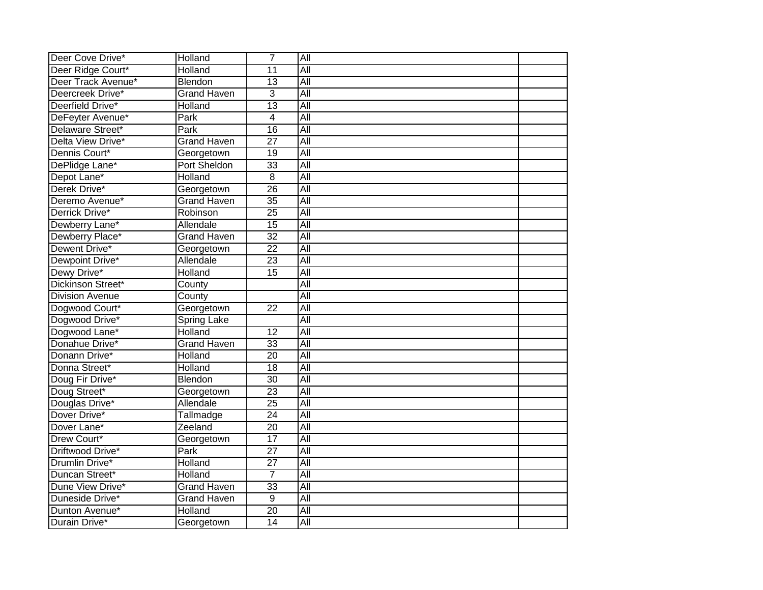| Deer Cove Drive*       | Holland            | $\overline{7}$  | All              |  |
|------------------------|--------------------|-----------------|------------------|--|
| Deer Ridge Court*      | <b>Holland</b>     | $\overline{11}$ | All              |  |
| Deer Track Avenue*     | Blendon            | 13              | All              |  |
| Deercreek Drive*       | <b>Grand Haven</b> | $\overline{3}$  | All              |  |
| Deerfield Drive*       | Holland            | $\overline{13}$ | All              |  |
| DeFeyter Avenue*       | Park               | 4               | $\overline{All}$ |  |
| Delaware Street*       | Park               | $\overline{16}$ | $\overline{All}$ |  |
| Delta View Drive*      | <b>Grand Haven</b> | $\overline{27}$ | All              |  |
| Dennis Court*          | Georgetown         | 19              | $\overline{All}$ |  |
| DePlidge Lane*         | Port Sheldon       | 33              | All              |  |
| Depot Lane*            | Holland            | 8               | All              |  |
| Derek Drive*           | Georgetown         | $\overline{26}$ | <b>All</b>       |  |
| Deremo Avenue*         | <b>Grand Haven</b> | $\overline{35}$ | $\overline{All}$ |  |
| Derrick Drive*         | Robinson           | $\overline{25}$ | $\overline{All}$ |  |
| Dewberry Lane*         | Allendale          | $\overline{15}$ | All              |  |
| Dewberry Place*        | <b>Grand Haven</b> | $\overline{32}$ | All              |  |
| Dewent Drive*          | Georgetown         | $\overline{22}$ | All              |  |
| Dewpoint Drive*        | Allendale          | $\overline{23}$ | All              |  |
| Dewy Drive*            | Holland            | 15              | <b>All</b>       |  |
| Dickinson Street*      | County             |                 | All              |  |
| <b>Division Avenue</b> | County             |                 | All              |  |
| Dogwood Court*         | Georgetown         | $\overline{22}$ | $\overline{All}$ |  |
| Dogwood Drive*         | Spring Lake        |                 | All              |  |
| Dogwood Lane*          | Holland            | $\overline{12}$ | $\overline{All}$ |  |
| Donahue Drive*         | <b>Grand Haven</b> | 33              | All              |  |
| Donann Drive*          | Holland            | $\overline{20}$ | All              |  |
| Donna Street*          | <b>Holland</b>     | $\overline{18}$ | All              |  |
| Doug Fir Drive*        | Blendon            | $\overline{30}$ | All              |  |
| Doug Street*           | Georgetown         | 23              | All              |  |
| Douglas Drive*         | Allendale          | $\overline{25}$ | All              |  |
| Dover Drive*           | Tallmadge          | $\overline{24}$ | All              |  |
| Dover Lane*            | Zeeland            | $\overline{20}$ | All              |  |
| Drew Court*            | Georgetown         | $\overline{17}$ | $\overline{All}$ |  |
| Driftwood Drive*       | Park               | $\overline{27}$ | All              |  |
| Drumlin Drive*         | Holland            | 27              | $\overline{All}$ |  |
| Duncan Street*         | Holland            | 7               | All              |  |
| Dune View Drive*       | <b>Grand Haven</b> | 33              | All              |  |
| Duneside Drive*        | <b>Grand Haven</b> | $\overline{9}$  | All              |  |
| Dunton Avenue*         | Holland            | $\overline{20}$ | All              |  |
| Durain Drive*          | Georgetown         | 14              | All              |  |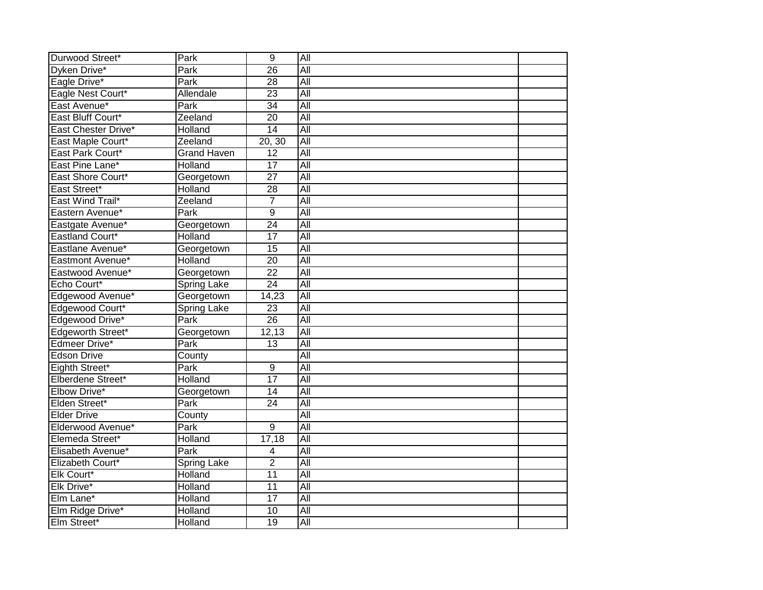| Durwood Street*          | Park               | $\overline{9}$  | All              |  |
|--------------------------|--------------------|-----------------|------------------|--|
| Dyken Drive*             | Park               | $\overline{26}$ | All              |  |
| Eagle Drive*             | Park               | 28              | All              |  |
| Eagle Nest Court*        | Allendale          | $\overline{23}$ | All              |  |
| East Avenue*             | Park               | $\overline{34}$ | <b>All</b>       |  |
| East Bluff Court*        | Zeeland            | $\overline{20}$ | $\overline{All}$ |  |
| East Chester Drive*      | Holland            | 14              | All              |  |
| East Maple Court*        | Zeeland            | 20, 30          | $\overline{All}$ |  |
| East Park Court*         | <b>Grand Haven</b> | $\overline{12}$ | $\overline{All}$ |  |
| East Pine Lane*          | Holland            | $\overline{17}$ | All              |  |
| East Shore Court*        | Georgetown         | $\overline{27}$ | $\overline{All}$ |  |
| East Street*             | Holland            | $\overline{28}$ | All              |  |
| East Wind Trail*         | Zeeland            | 7               | $\overline{All}$ |  |
| Eastern Avenue*          | Park               | 9               | $\overline{All}$ |  |
| Eastgate Avenue*         | Georgetown         | $\overline{24}$ | All              |  |
| <b>Eastland Court*</b>   | Holland            | $\overline{17}$ | All              |  |
| Eastlane Avenue*         | Georgetown         | $\overline{15}$ | All              |  |
| Eastmont Avenue*         | Holland            | $\overline{20}$ | All              |  |
| Eastwood Avenue*         | Georgetown         | $\overline{22}$ | All              |  |
| Echo Court*              | <b>Spring Lake</b> | $\overline{24}$ | All              |  |
| Edgewood Avenue*         | Georgetown         | 14,23           | All              |  |
| Edgewood Court*          | <b>Spring Lake</b> | 23              | $\overline{All}$ |  |
| Edgewood Drive*          | Park               | 26              | All              |  |
| <b>Edgeworth Street*</b> | Georgetown         | 12,13           | $\overline{All}$ |  |
| Edmeer Drive*            | Park               | $\overline{13}$ | All              |  |
| <b>Edson Drive</b>       | County             |                 | All              |  |
| Eighth Street*           | Park               | $\overline{9}$  | All              |  |
| Elberdene Street*        | Holland            | $\overline{17}$ | $\overline{All}$ |  |
| Elbow Drive*             | Georgetown         | $\overline{14}$ | All              |  |
| Elden Street*            | <b>Park</b>        | $\overline{24}$ | All              |  |
| <b>Elder Drive</b>       | County             |                 | All              |  |
| Elderwood Avenue*        | Park               | $\overline{9}$  | $\overline{All}$ |  |
| Elemeda Street*          | Holland            | 17,18           | $\overline{All}$ |  |
| Elisabeth Avenue*        | Park               | 4               | $\overline{All}$ |  |
| Elizabeth Court*         | Spring Lake        | $\overline{2}$  | $\overline{All}$ |  |
| Elk Court*               | Holland            | $\overline{11}$ | $\overline{All}$ |  |
| Elk Drive*               | Holland            | $\overline{11}$ | All              |  |
| Elm Lane*                | Holland            | 17              | All              |  |
| Elm Ridge Drive*         | Holland            | $\overline{10}$ | All              |  |
| Elm Street*              | Holland            | 19              | All              |  |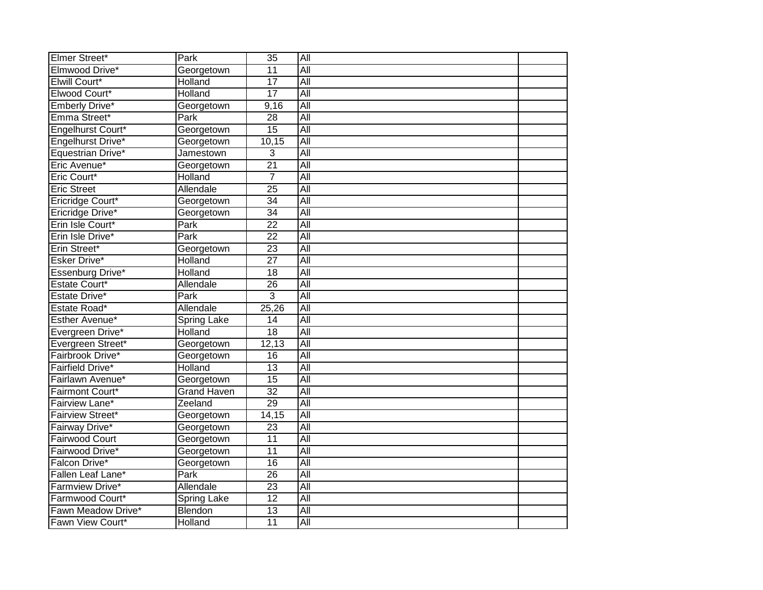| Elmer Street*                          | Park               | 35                    | All                     |  |
|----------------------------------------|--------------------|-----------------------|-------------------------|--|
| Elmwood Drive*                         | Georgetown         | $\overline{11}$       | All                     |  |
| Elwill Court*                          | Holland            | 17                    | All                     |  |
| Elwood Court*                          | Holland            | 17                    | All                     |  |
| Emberly Drive*                         | Georgetown         | 9,16                  | $\overline{All}$        |  |
| Emma Street*                           | Park               | $\overline{28}$       | All                     |  |
| Engelhurst Court*                      | Georgetown         | $\overline{15}$       | $\overline{All}$        |  |
| Engelhurst Drive*                      | Georgetown         | 10,15                 | $\overline{All}$        |  |
| Equestrian Drive*                      | Jamestown          | 3                     | $\overline{All}$        |  |
| Eric Avenue*                           | Georgetown         | 21                    | $\overline{All}$        |  |
| Eric Court*                            | Holland            | $\overline{7}$        | All                     |  |
| <b>Eric Street</b>                     | Allendale          | $\overline{25}$       | All                     |  |
| Ericridge Court*                       | Georgetown         | $\overline{34}$       | All                     |  |
| Ericridge Drive*                       | Georgetown         | $\overline{34}$       | All                     |  |
| Erin Isle Court*                       | Park               | $\overline{22}$       | All                     |  |
| Erin Isle Drive*                       | Park               | $\overline{22}$       | All                     |  |
| Erin Street*                           | Georgetown         | $\overline{23}$       | All                     |  |
| <b>Esker Drive*</b>                    | Holland            | $\overline{27}$       | All                     |  |
| <b>Essenburg Drive*</b>                | Holland            | $\overline{18}$       | All                     |  |
| Estate Court*                          | Allendale          | $\overline{26}$       | $\overline{All}$        |  |
| Estate Drive*                          | Park               | 3                     | All                     |  |
| Estate Road*                           | Allendale          | 25,26                 | $\overline{All}$        |  |
| Esther Avenue*                         | <b>Spring Lake</b> | $\overline{14}$       | All                     |  |
| Evergreen Drive*                       | Holland            | 18                    | All                     |  |
| Evergreen Street*                      | Georgetown         | 12,13                 | All                     |  |
| Fairbrook Drive*                       | Georgetown         | $\overline{16}$       | All                     |  |
| <b>Fairfield Drive*</b>                | Holland            | 13                    | All                     |  |
| Fairlawn Avenue*                       | Georgetown         | $\overline{15}$       | $\overline{All}$        |  |
| Fairmont Court*                        | <b>Grand Haven</b> | $\overline{32}$       | $\overline{All}$        |  |
| Fairview Lane*                         | Zeeland            | 29                    | All                     |  |
| <b>Fairview Street*</b>                |                    |                       |                         |  |
|                                        | Georgetown         | 14,15                 | All                     |  |
| Fairway Drive*                         | Georgetown         | $\overline{23}$       | $\overline{All}$        |  |
| <b>Fairwood Court</b>                  | Georgetown         | 11                    | $\overline{All}$        |  |
| Fairwood Drive*                        | Georgetown         | $\overline{11}$       | All                     |  |
| Falcon Drive*                          | Georgetown         | 16                    | $\overline{All}$        |  |
| Fallen Leaf Lane*                      | $\overline{Park}$  | 26                    | All                     |  |
| <b>Farmview Drive*</b>                 | Allendale          | $\overline{23}$       | All                     |  |
| Farmwood Court*                        | <b>Spring Lake</b> | $\overline{12}$       | All                     |  |
| Fawn Meadow Drive*<br>Fawn View Court* | Blendon<br>Holland | 13<br>$\overline{11}$ | All<br>$\overline{All}$ |  |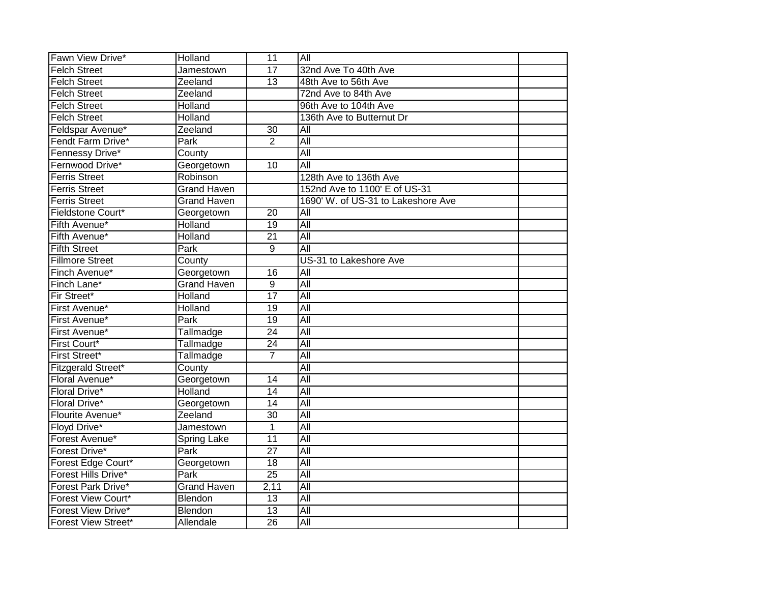| Fawn View Drive*           | Holland            | $\overline{11}$ | All                                |  |
|----------------------------|--------------------|-----------------|------------------------------------|--|
| <b>Felch Street</b>        | Jamestown          | $\overline{17}$ | 32nd Ave To 40th Ave               |  |
| <b>Felch Street</b>        | Zeeland            | 13              | 48th Ave to 56th Ave               |  |
| <b>Felch Street</b>        | Zeeland            |                 | 72nd Ave to 84th Ave               |  |
| <b>Felch Street</b>        | Holland            |                 | 96th Ave to 104th Ave              |  |
| <b>Felch Street</b>        | Holland            |                 | 136th Ave to Butternut Dr          |  |
| Feldspar Avenue*           | Zeeland            | 30              | All                                |  |
| Fendt Farm Drive*          | Park               | $\overline{2}$  | $\overline{All}$                   |  |
| Fennessy Drive*            | County             |                 | All                                |  |
| Fernwood Drive*            | Georgetown         | 10              | $\overline{All}$                   |  |
| <b>Ferris Street</b>       | Robinson           |                 | 128th Ave to 136th Ave             |  |
| <b>Ferris Street</b>       | <b>Grand Haven</b> |                 | 152nd Ave to 1100' E of US-31      |  |
| <b>Ferris Street</b>       | <b>Grand Haven</b> |                 | 1690' W. of US-31 to Lakeshore Ave |  |
| Fieldstone Court*          | Georgetown         | $\overline{20}$ | All                                |  |
| Fifth Avenue*              | Holland            | $\overline{19}$ | $\overline{All}$                   |  |
| Fifth Avenue*              | Holland            | $\overline{21}$ | All                                |  |
| <b>Fifth Street</b>        | Park               | 9               | $\overline{All}$                   |  |
| <b>Fillmore Street</b>     | County             |                 | US-31 to Lakeshore Ave             |  |
| Finch Avenue*              | Georgetown         | 16              | All                                |  |
| Finch Lane*                | <b>Grand Haven</b> | 9               | $\overline{All}$                   |  |
| Fir Street*                | Holland            | 17              | All                                |  |
| First Avenue*              | Holland            | $\overline{19}$ | All                                |  |
| First Avenue*              | Park               | $\overline{19}$ | All                                |  |
| First Avenue*              | Tallmadge          | $\overline{24}$ | All                                |  |
| First Court*               | Tallmadge          | $\overline{24}$ | All                                |  |
| <b>First Street*</b>       | Tallmadge          | $\overline{7}$  | All                                |  |
| Fitzgerald Street*         | County             |                 | All                                |  |
| Floral Avenue*             | Georgetown         | 14              | All                                |  |
| <b>Floral Drive*</b>       | Holland            | 14              | $\overline{All}$                   |  |
| <b>Floral Drive*</b>       | Georgetown         | $\overline{14}$ | All                                |  |
| Flourite Avenue*           | Zeeland            | $\overline{30}$ | All                                |  |
| Floyd Drive*               | Jamestown          | $\overline{1}$  | All                                |  |
| Forest Avenue*             | <b>Spring Lake</b> | 11              | All                                |  |
| Forest Drive*              | Park               | 27              | $\overline{All}$                   |  |
| Forest Edge Court*         | Georgetown         | 18              | $\overline{All}$                   |  |
| Forest Hills Drive*        | Park               | $\overline{25}$ | $\overline{All}$                   |  |
| <b>Forest Park Drive*</b>  | <b>Grand Haven</b> | 2,11            | All                                |  |
| <b>Forest View Court*</b>  | Blendon            | 13              | All                                |  |
| Forest View Drive*         | Blendon            | $\overline{13}$ | $\overline{All}$                   |  |
| <b>Forest View Street*</b> | Allendale          | $\overline{26}$ | All                                |  |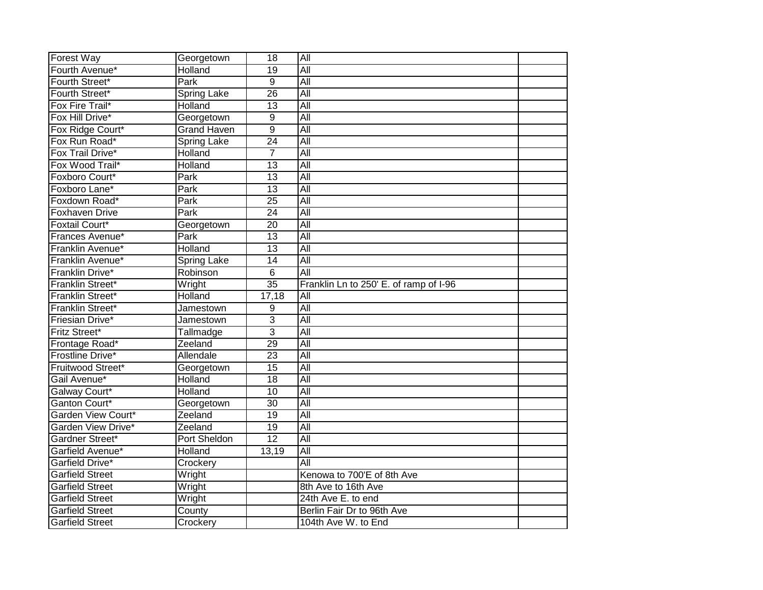| <b>Forest Way</b>                                | Georgetown         | 18              | All                                               |  |
|--------------------------------------------------|--------------------|-----------------|---------------------------------------------------|--|
| Fourth Avenue*                                   | Holland            | 19              | All                                               |  |
| Fourth Street*                                   | Park               | 9               | All                                               |  |
| Fourth Street*                                   | <b>Spring Lake</b> | $\overline{26}$ | All                                               |  |
| Fox Fire Trail*                                  | Holland            | 13              | All                                               |  |
| Fox Hill Drive*                                  | Georgetown         | 9               | All                                               |  |
| Fox Ridge Court*                                 | Grand Haven        | $\overline{9}$  | All                                               |  |
| Fox Run Road*                                    | Spring Lake        | $\overline{24}$ | All                                               |  |
| Fox Trail Drive*                                 | Holland            | $\overline{7}$  | All                                               |  |
| Fox Wood Trail*                                  | Holland            | $\overline{13}$ | All                                               |  |
| Foxboro Court*                                   | Park               | 13              | $\overline{All}$                                  |  |
| Foxboro Lane*                                    | Park               | 13              | All                                               |  |
| Foxdown Road*                                    | Park               | $\overline{25}$ | All                                               |  |
| <b>Foxhaven Drive</b>                            | Park               | 24              | All                                               |  |
| <b>Foxtail Court*</b>                            | Georgetown         | $\overline{20}$ | All                                               |  |
| Frances Avenue*                                  | <b>Park</b>        | $\overline{13}$ | All                                               |  |
| Franklin Avenue*                                 | Holland            | 13              | All                                               |  |
| Franklin Avenue*                                 | <b>Spring Lake</b> | 14              | All                                               |  |
| Franklin Drive*                                  | Robinson           | 6               | All                                               |  |
| Franklin Street*                                 | Wright             | $\overline{35}$ | Franklin Ln to 250' E. of ramp of I-96            |  |
|                                                  |                    |                 |                                                   |  |
| Franklin Street*                                 | Holland            | 17,18           | $\overline{All}$                                  |  |
| Franklin Street*                                 | Jamestown          | 9               | All                                               |  |
| Friesian Drive*                                  | Jamestown          | $\overline{3}$  | All                                               |  |
| <b>Fritz Street*</b>                             | Tallmadge          | $\overline{3}$  | All                                               |  |
| Frontage Road*                                   | Zeeland            | 29              | All                                               |  |
| Frostline Drive*                                 | Allendale          | $\overline{23}$ | All                                               |  |
| Fruitwood Street*                                | Georgetown         | 15              | All                                               |  |
| Gail Avenue*                                     | Holland            | $\overline{18}$ | All                                               |  |
| Galway Court*                                    | Holland            | 10              | All                                               |  |
| Ganton Court*                                    | Georgetown         | $\overline{30}$ | All                                               |  |
| Garden View Court*                               | Zeeland            | 19              | All                                               |  |
| Garden View Drive*                               | Zeeland            | 19              | All                                               |  |
| Gardner Street*                                  | Port Sheldon       | 12              | All                                               |  |
| Garfield Avenue*                                 | Holland            | 13,19           | $\overline{All}$                                  |  |
| Garfield Drive*                                  | Crockery           |                 | All                                               |  |
| <b>Garfield Street</b>                           | Wright             |                 | Kenowa to 700'E of 8th Ave                        |  |
| <b>Garfield Street</b>                           | Wright             |                 | 8th Ave to 16th Ave                               |  |
| <b>Garfield Street</b>                           | Wright             |                 | 24th Ave E. to end                                |  |
| <b>Garfield Street</b><br><b>Garfield Street</b> | County             |                 | Berlin Fair Dr to 96th Ave<br>104th Ave W. to End |  |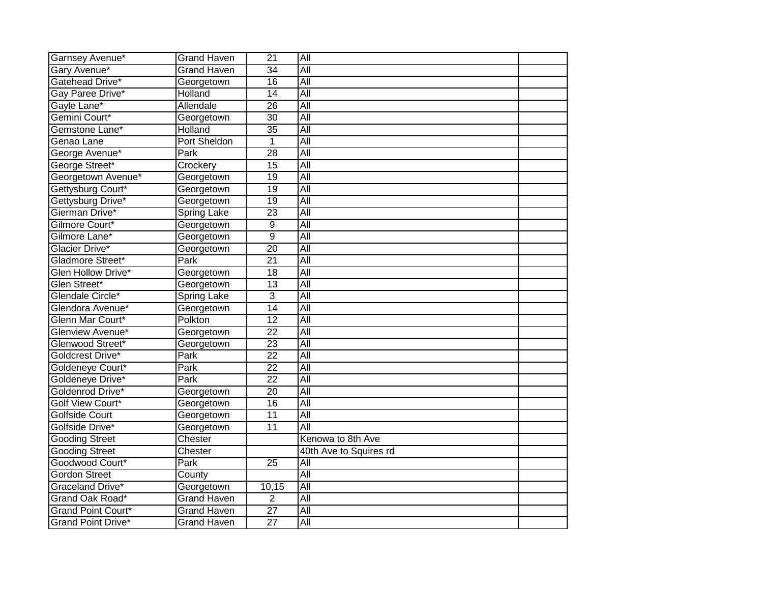| Garnsey Avenue*           | <b>Grand Haven</b> | $\overline{21}$ | All                    |  |
|---------------------------|--------------------|-----------------|------------------------|--|
| Gary Avenue*              | <b>Grand Haven</b> | $\overline{34}$ | All                    |  |
| Gatehead Drive*           | Georgetown         | 16              | All                    |  |
| Gay Paree Drive*          | Holland            | $\overline{14}$ | All                    |  |
| Gayle Lane*               | Allendale          | 26              | All                    |  |
| Gemini Court*             | Georgetown         | $\overline{30}$ | $\overline{All}$       |  |
| Gemstone Lane*            | Holland            | $\overline{35}$ | <b>All</b>             |  |
| Genao Lane                | Port Sheldon       | 1               | All                    |  |
| George Avenue*            | Park               | 28              | $\overline{All}$       |  |
| George Street*            | Crockery           | $\overline{15}$ | All                    |  |
| Georgetown Avenue*        | Georgetown         | $\overline{19}$ | $\overline{All}$       |  |
| Gettysburg Court*         | Georgetown         | 19              | <b>All</b>             |  |
| Gettysburg Drive*         | Georgetown         | 19              | $\overline{All}$       |  |
| Gierman Drive*            | <b>Spring Lake</b> | $\overline{23}$ | $\overline{All}$       |  |
| Gilmore Court*            | Georgetown         | 9               | All                    |  |
| Gilmore Lane*             | Georgetown         | $\overline{9}$  | All                    |  |
| Glacier Drive*            | Georgetown         | $\overline{20}$ | All                    |  |
| Gladmore Street*          | Park               | $\overline{21}$ | All                    |  |
| Glen Hollow Drive*        | Georgetown         | 18              | <b>All</b>             |  |
| Glen Street*              | Georgetown         | 13              | All                    |  |
| Glendale Circle*          | <b>Spring Lake</b> | 3               | All                    |  |
| Glendora Avenue*          | Georgetown         | $\overline{14}$ | $\overline{All}$       |  |
| Glenn Mar Court*          | Polkton            | $\overline{12}$ | All                    |  |
| Glenview Avenue*          | Georgetown         | $\overline{22}$ | $\overline{All}$       |  |
| Glenwood Street*          | Georgetown         | $\overline{23}$ | All                    |  |
| Goldcrest Drive*          | Park               | $\overline{22}$ | All                    |  |
| Goldeneye Court*          | Park               | $\overline{22}$ | All                    |  |
| Goldeneye Drive*          | <b>Park</b>        | $\overline{22}$ | $\overline{All}$       |  |
| Goldenrod Drive*          | Georgetown         | $\overline{20}$ | All                    |  |
| Golf View Court*          | Georgetown         | 16              | All                    |  |
| <b>Golfside Court</b>     | Georgetown         | $\overline{11}$ | All                    |  |
| Golfside Drive*           | Georgetown         | $\overline{11}$ | $\overline{All}$       |  |
| <b>Gooding Street</b>     | Chester            |                 | Kenowa to 8th Ave      |  |
| <b>Gooding Street</b>     | Chester            |                 | 40th Ave to Squires rd |  |
| Goodwood Court*           | Park               | 25              | All                    |  |
| <b>Gordon Street</b>      | County             |                 | All                    |  |
| Graceland Drive*          | Georgetown         | 10,15           | $\overline{All}$       |  |
| Grand Oak Road*           | Grand Haven        | $\overline{2}$  | All                    |  |
| <b>Grand Point Court*</b> | <b>Grand Haven</b> | $\overline{27}$ | $\overline{All}$       |  |
| <b>Grand Point Drive*</b> | Grand Haven        | $\overline{27}$ | All                    |  |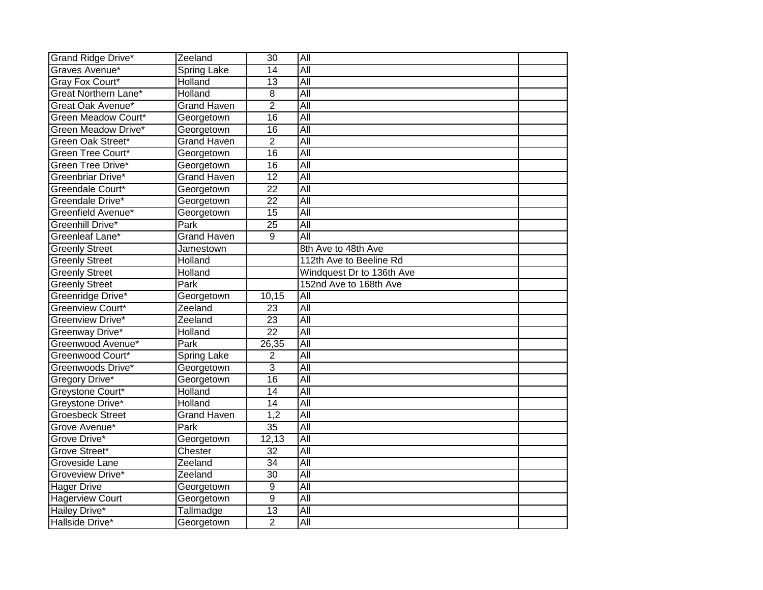| <b>Grand Ridge Drive*</b>   | Zeeland            | 30              | All                       |  |
|-----------------------------|--------------------|-----------------|---------------------------|--|
| Graves Avenue*              | <b>Spring Lake</b> | $\overline{14}$ | All                       |  |
| Gray Fox Court*             | Holland            | 13              | All                       |  |
| <b>Great Northern Lane*</b> | Holland            | 8               | All                       |  |
| Great Oak Avenue*           | <b>Grand Haven</b> | $\overline{2}$  | All                       |  |
| Green Meadow Court*         | Georgetown         | $\overline{16}$ | $\overline{All}$          |  |
| Green Meadow Drive*         | Georgetown         | $\overline{16}$ | $\overline{All}$          |  |
| Green Oak Street*           | <b>Grand Haven</b> | $\overline{2}$  | $\overline{All}$          |  |
| Green Tree Court*           | Georgetown         | $\overline{16}$ | $\overline{All}$          |  |
| Green Tree Drive*           | Georgetown         | $\overline{16}$ | All                       |  |
| Greenbriar Drive*           | <b>Grand Haven</b> | $\overline{12}$ | $\overline{All}$          |  |
| Greendale Court*            | Georgetown         | $\overline{22}$ | <b>All</b>                |  |
| Greendale Drive*            | Georgetown         | $\overline{22}$ | $\overline{All}$          |  |
| Greenfield Avenue*          | Georgetown         | 15              | $\overline{All}$          |  |
| Greenhill Drive*            | Park               | $\overline{25}$ | All                       |  |
| Greenleaf Lane*             | <b>Grand Haven</b> | 9               | All                       |  |
| <b>Greenly Street</b>       | Jamestown          |                 | 8th Ave to 48th Ave       |  |
| <b>Greenly Street</b>       | <b>Holland</b>     |                 | 112th Ave to Beeline Rd   |  |
| <b>Greenly Street</b>       | Holland            |                 | Windquest Dr to 136th Ave |  |
| <b>Greenly Street</b>       | Park               |                 | 152nd Ave to 168th Ave    |  |
| Greenridge Drive*           | Georgetown         | 10,15           | All                       |  |
| <b>Greenview Court*</b>     | Zeeland            | 23              | $\overline{All}$          |  |
| Greenview Drive*            | Zeeland            | $\overline{23}$ | All                       |  |
| Greenway Drive*             | Holland            | $\overline{22}$ | All                       |  |
| Greenwood Avenue*           | Park               | 26,35           | All                       |  |
| Greenwood Court*            | Spring Lake        | $\overline{2}$  | All                       |  |
| Greenwoods Drive*           | Georgetown         | 3               | All                       |  |
| Gregory Drive*              | Georgetown         | $\overline{16}$ | $\overline{All}$          |  |
| Greystone Court*            | Holland            | $\overline{14}$ | All                       |  |
| Greystone Drive*            | Holland            | 14              | All                       |  |
| <b>Groesbeck Street</b>     | <b>Grand Haven</b> | 1,2             | All                       |  |
| Grove Avenue*               | <b>Park</b>        | $\overline{35}$ | $\overline{All}$          |  |
| Grove Drive*                | Georgetown         | 12,13           | $\overline{All}$          |  |
| Grove Street*               | Chester            | 32              | $\overline{All}$          |  |
| Groveside Lane              | Zeeland            | 34              | $\overline{All}$          |  |
| Groveview Drive*            | Zeeland            | 30              | $\overline{All}$          |  |
| <b>Hager Drive</b>          | Georgetown         | 9               | All                       |  |
| <b>Hagerview Court</b>      | Georgetown         | $\overline{9}$  | All                       |  |
| <b>Hailey Drive*</b>        | Tallmadge          | 13              | All                       |  |
| Hallside Drive*             | Georgetown         | $\overline{2}$  | All                       |  |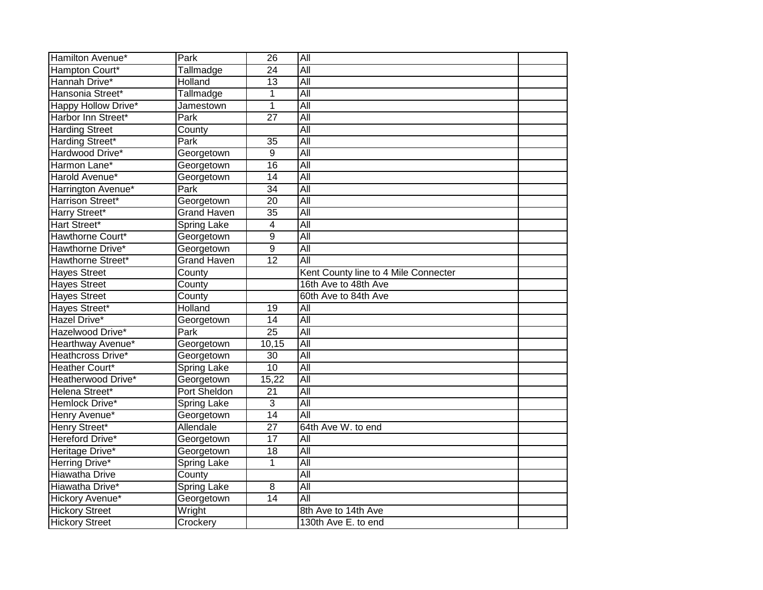| Hamilton Avenue*         | Park               | $\overline{26}$ | All                                  |  |
|--------------------------|--------------------|-----------------|--------------------------------------|--|
| Hampton Court*           | Tallmadge          | 24              | All                                  |  |
| Hannah Drive*            | Holland            | 13              | $\overline{All}$                     |  |
| Hansonia Street*         | Tallmadge          | 1               | All                                  |  |
| Happy Hollow Drive*      | Jamestown          | 1               | All                                  |  |
| Harbor Inn Street*       | Park               | $\overline{27}$ | All                                  |  |
| <b>Harding Street</b>    | County             |                 | All                                  |  |
| Harding Street*          | Park               | 35              | All                                  |  |
| Hardwood Drive*          | Georgetown         | 9               | All                                  |  |
| Harmon Lane*             | Georgetown         | 16              | $\overline{All}$                     |  |
| Harold Avenue*           | Georgetown         | 14              | All                                  |  |
| Harrington Avenue*       | Park               | $\overline{34}$ | All                                  |  |
| Harrison Street*         | Georgetown         | $\overline{20}$ | All                                  |  |
| Harry Street*            | <b>Grand Haven</b> | $\overline{35}$ | All                                  |  |
| Hart Street*             | Spring Lake        | $\overline{4}$  | All                                  |  |
| Hawthorne Court*         | Georgetown         | 9               | All                                  |  |
| Hawthorne Drive*         | Georgetown         | $\overline{9}$  | All                                  |  |
| <b>Hawthorne Street*</b> | <b>Grand Haven</b> | $\overline{12}$ | All                                  |  |
| <b>Hayes Street</b>      | County             |                 | Kent County line to 4 Mile Connecter |  |
| <b>Hayes Street</b>      | County             |                 | 16th Ave to 48th Ave                 |  |
| <b>Hayes Street</b>      | County             |                 | 60th Ave to 84th Ave                 |  |
| Hayes Street*            | Holland            | 19              | All                                  |  |
| Hazel Drive*             | Georgetown         | $\overline{14}$ | All                                  |  |
| Hazelwood Drive*         | Park               | $\overline{25}$ | All                                  |  |
| Hearthway Avenue*        | Georgetown         | 10,15           | All                                  |  |
| Heathcross Drive*        | Georgetown         | $\overline{30}$ | All                                  |  |
| Heather Court*           | <b>Spring Lake</b> | $\overline{10}$ | All                                  |  |
| Heatherwood Drive*       | Georgetown         | 15,22           | All                                  |  |
| Helena Street*           | Port Sheldon       | 21              | $\overline{All}$                     |  |
| Hemlock Drive*           | <b>Spring Lake</b> | $\overline{3}$  | All                                  |  |
| Henry Avenue*            | Georgetown         | 14              | All                                  |  |
| Henry Street*            | Allendale          | $\overline{27}$ | 64th Ave W. to end                   |  |
| Hereford Drive*          | Georgetown         | $\overline{17}$ | $\overline{All}$                     |  |
| Heritage Drive*          | Georgetown         | 18              | All                                  |  |
| Herring Drive*           | <b>Spring Lake</b> | 1               | All                                  |  |
| <b>Hiawatha Drive</b>    | County             |                 | All                                  |  |
| Hiawatha Drive*          | Spring Lake        | 8               | All                                  |  |
| Hickory Avenue*          | Georgetown         | 14              | $\overline{All}$                     |  |
| <b>Hickory Street</b>    | Wright             |                 | 8th Ave to 14th Ave                  |  |
| <b>Hickory Street</b>    | Crockery           |                 | 130th Ave E. to end                  |  |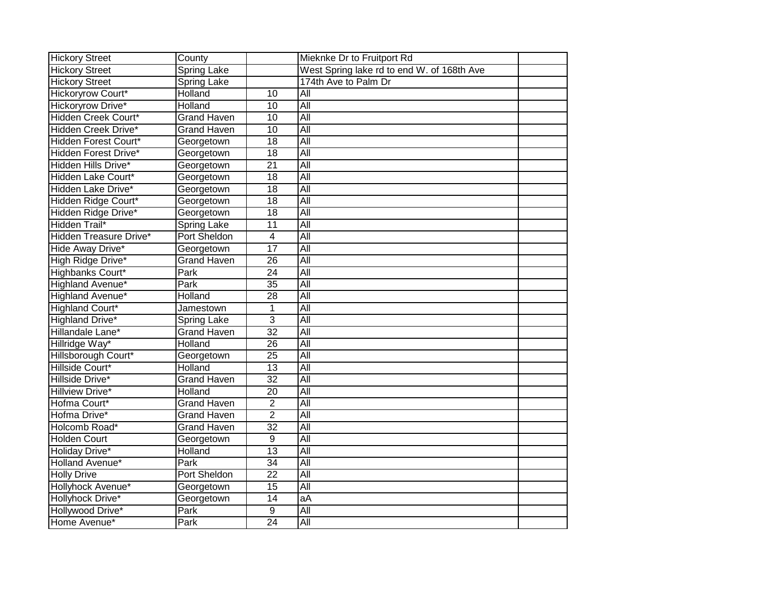| <b>Hickory Street</b>         | County             |                 | Mieknke Dr to Fruitport Rd                 |  |
|-------------------------------|--------------------|-----------------|--------------------------------------------|--|
| <b>Hickory Street</b>         | <b>Spring Lake</b> |                 | West Spring lake rd to end W. of 168th Ave |  |
| <b>Hickory Street</b>         | <b>Spring Lake</b> |                 | 174th Ave to Palm Dr                       |  |
| <b>Hickoryrow Court*</b>      | Holland            | $\overline{10}$ | All                                        |  |
| <b>Hickoryrow Drive*</b>      | Holland            | $\overline{10}$ | All                                        |  |
| <b>Hidden Creek Court*</b>    | <b>Grand Haven</b> | 10              | All                                        |  |
| <b>Hidden Creek Drive*</b>    | <b>Grand Haven</b> | 10              | All                                        |  |
| Hidden Forest Court*          | Georgetown         | 18              | All                                        |  |
| Hidden Forest Drive*          | Georgetown         | 18              | $\overline{All}$                           |  |
| Hidden Hills Drive*           | Georgetown         | 21              | $\overline{All}$                           |  |
| Hidden Lake Court*            | Georgetown         | 18              | $\overline{All}$                           |  |
| Hidden Lake Drive*            | Georgetown         | 18              | $\overline{All}$                           |  |
| Hidden Ridge Court*           | Georgetown         | 18              | All                                        |  |
| Hidden Ridge Drive*           | Georgetown         | $\overline{18}$ | $\overline{All}$                           |  |
| <b>Hidden Trail*</b>          | Spring Lake        | $\overline{11}$ | All                                        |  |
| <b>Hidden Treasure Drive*</b> | Port Sheldon       | $\overline{4}$  | All                                        |  |
| Hide Away Drive*              | Georgetown         | $\overline{17}$ | All                                        |  |
| High Ridge Drive*             | <b>Grand Haven</b> | 26              | All                                        |  |
| <b>Highbanks Court*</b>       | Park               | $\overline{24}$ | All                                        |  |
| <b>Highland Avenue*</b>       | Park               | $\overline{35}$ | $\overline{All}$                           |  |
| <b>Highland Avenue*</b>       | Holland            | $\overline{28}$ | All                                        |  |
| <b>Highland Court*</b>        | Jamestown          | 1               | All                                        |  |
| Highland Drive*               | <b>Spring Lake</b> | $\overline{3}$  | All                                        |  |
| Hillandale Lane*              | <b>Grand Haven</b> | $\overline{32}$ | $\overline{All}$                           |  |
| Hillridge Way*                | Holland            | 26              | All                                        |  |
| Hillsborough Court*           | Georgetown         | $\overline{25}$ | All                                        |  |
| Hillside Court*               | Holland            | 13              | $\overline{All}$                           |  |
| Hillside Drive*               | <b>Grand Haven</b> | $\overline{32}$ | $\overline{All}$                           |  |
| <b>Hillview Drive*</b>        | Holland            | 20              | $\overline{All}$                           |  |
| Hofma Court*                  | <b>Grand Haven</b> | $\overline{2}$  | All                                        |  |
| Hofma Drive*                  | <b>Grand Haven</b> | $\overline{2}$  | All                                        |  |
| Holcomb Road*                 | <b>Grand Haven</b> | $\overline{32}$ | All                                        |  |
| <b>Holden Court</b>           | Georgetown         | 9               | $\overline{All}$                           |  |
| Holiday Drive*                | Holland            | 13              | All                                        |  |
| Holland Avenue*               | Park               | 34              | $\overline{All}$                           |  |
| <b>Holly Drive</b>            | Port Sheldon       | 22              | All                                        |  |
| Hollyhock Avenue*             | Georgetown         | $\overline{15}$ | All                                        |  |
| Hollyhock Drive*              | Georgetown         | 14              | $\overline{aA}$                            |  |
| Hollywood Drive*              | Park               | 9               | All                                        |  |
| Home Avenue*                  | Park               | $\overline{24}$ | $\overline{All}$                           |  |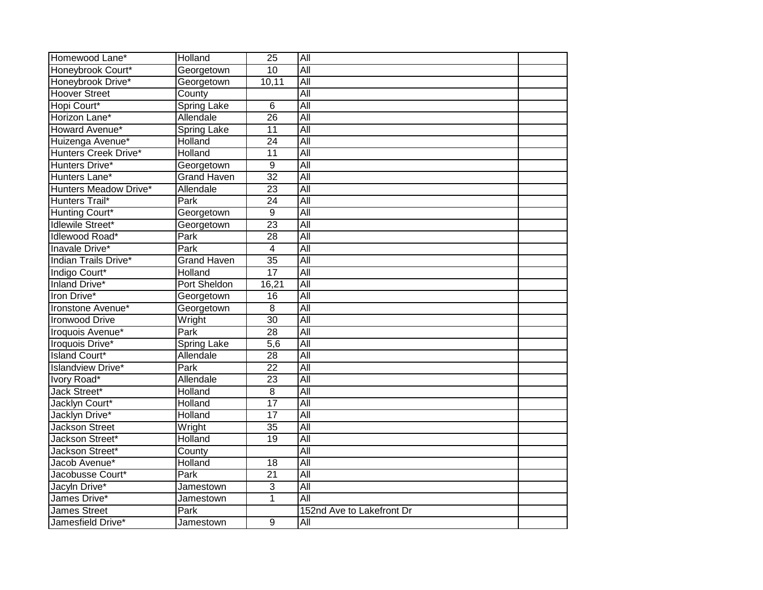| Homewood Lane*           | Holland            | $\overline{25}$  | All                       |  |
|--------------------------|--------------------|------------------|---------------------------|--|
| Honeybrook Court*        | Georgetown         | $\overline{10}$  | $\overline{All}$          |  |
| Honeybrook Drive*        | Georgetown         | 10,11            | All                       |  |
| <b>Hoover Street</b>     | County             |                  | All                       |  |
| Hopi Court*              | <b>Spring Lake</b> | 6                | All                       |  |
| Horizon Lane*            | Allendale          | 26               | All                       |  |
| Howard Avenue*           | <b>Spring Lake</b> | $\overline{11}$  | All                       |  |
| Huizenga Avenue*         | Holland            | $\overline{24}$  | All                       |  |
| Hunters Creek Drive*     | Holland            | 11               | $\overline{All}$          |  |
| Hunters Drive*           | Georgetown         | 9                | All                       |  |
| Hunters Lane*            | <b>Grand Haven</b> | $\overline{32}$  | $\overline{All}$          |  |
| Hunters Meadow Drive*    | Allendale          | $\overline{23}$  | All                       |  |
| Hunters Trail*           | Park               | $\overline{24}$  | All                       |  |
| Hunting Court*           | Georgetown         | 9                | All                       |  |
| <b>Idlewile Street*</b>  | Georgetown         | 23               | All                       |  |
| Idlewood Road*           | Park               | $\overline{28}$  | All                       |  |
| Inavale Drive*           | Park               | $\overline{4}$   | All                       |  |
| Indian Trails Drive*     | <b>Grand Haven</b> | $\overline{35}$  | All                       |  |
| Indigo Court*            | Holland            | $\overline{17}$  | All                       |  |
| <b>Inland Drive*</b>     | Port Sheldon       | 16,21            | All                       |  |
| Iron Drive*              | Georgetown         | 16               | All                       |  |
| Ironstone Avenue*        | Georgetown         | 8                | $\overline{All}$          |  |
| <b>Ironwood Drive</b>    | Wright             | 30               | All                       |  |
| Iroquois Avenue*         | Park               | $\overline{28}$  | All                       |  |
| <b>Iroquois Drive*</b>   | <b>Spring Lake</b> | $\overline{5,6}$ | All                       |  |
| <b>Island Court*</b>     | Allendale          | 28               | All                       |  |
| <b>Islandview Drive*</b> | Park               | $\overline{22}$  | All                       |  |
| Ivory Road*              | Allendale          | 23               | $\overline{All}$          |  |
| Jack Street*             | Holland            | 8                | $\overline{All}$          |  |
| Jacklyn Court*           | Holland            | $\overline{17}$  | All                       |  |
| Jacklyn Drive*           | Holland            | $\overline{17}$  | All                       |  |
| <b>Jackson Street</b>    | Wright             | $\overline{35}$  | All                       |  |
| Jackson Street*          | Holland            | $\overline{19}$  | All                       |  |
| Jackson Street*          | County             |                  | All                       |  |
| Jacob Avenue*            | Holland            | 18               | $\overline{All}$          |  |
| Jacobusse Court*         | Park               | 21               | $\overline{All}$          |  |
| Jacyln Drive*            | Jamestown          | 3                | All                       |  |
| James Drive*             | Jamestown          | $\overline{1}$   | All                       |  |
| <b>James Street</b>      | Park               |                  | 152nd Ave to Lakefront Dr |  |
| Jamesfield Drive*        | Jamestown          | $\overline{9}$   | All                       |  |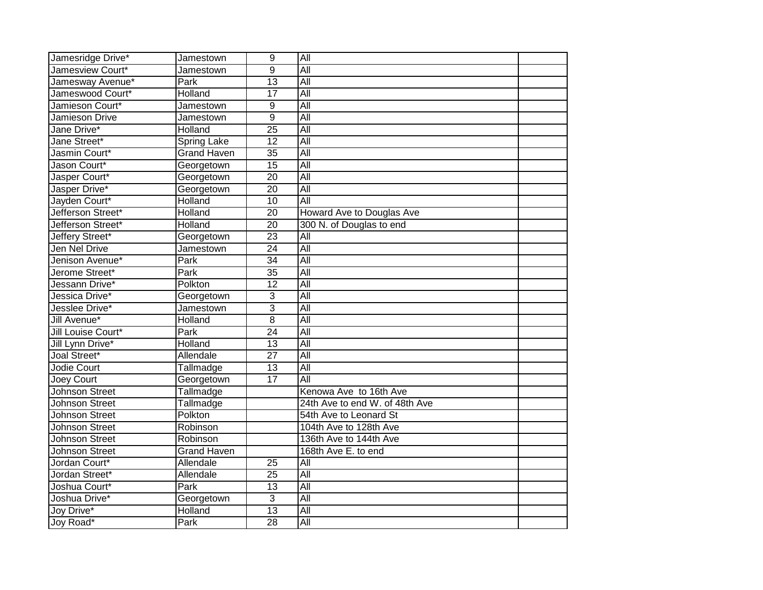| Jamesridge Drive*     | Jamestown          | $\overline{9}$  | All                            |  |
|-----------------------|--------------------|-----------------|--------------------------------|--|
| Jamesview Court*      | Jamestown          | $\overline{9}$  | All                            |  |
| Jamesway Avenue*      | Park               | 13              | All                            |  |
| Jameswood Court*      | Holland            | $\overline{17}$ | All                            |  |
| Jamieson Court*       | Jamestown          | 9               | <b>All</b>                     |  |
| Jamieson Drive        | Jamestown          | 9               | $\overline{All}$               |  |
| Jane Drive*           | Holland            | $\overline{25}$ | $\overline{All}$               |  |
| Jane Street*          | <b>Spring Lake</b> | 12              | $\overline{All}$               |  |
| Jasmin Court*         | <b>Grand Haven</b> | 35              | $\overline{All}$               |  |
| Jason Court*          | Georgetown         | $\overline{15}$ | All                            |  |
| Jasper Court*         | Georgetown         | 20              | $\overline{All}$               |  |
| Jasper Drive*         | Georgetown         | $\overline{20}$ | All                            |  |
| Jayden Court*         | Holland            | $\overline{10}$ | All                            |  |
| Jefferson Street*     | Holland            | $\overline{20}$ | Howard Ave to Douglas Ave      |  |
| Jefferson Street*     | Holland            | $\overline{20}$ | 300 N. of Douglas to end       |  |
| Jeffery Street*       | Georgetown         | $\overline{23}$ | All                            |  |
| Jen Nel Drive         | Jamestown          | $\overline{24}$ | All                            |  |
| Jenison Avenue*       | Park               | $\overline{34}$ | All                            |  |
| Jerome Street*        | Park               | $\overline{35}$ | All                            |  |
| Jessann Drive*        | Polkton            | $\overline{12}$ | All                            |  |
| Jessica Drive*        | Georgetown         | 3               | $\overline{All}$               |  |
| Jesslee Drive*        | Jamestown          | 3               | $\overline{All}$               |  |
| Jill Avenue*          | Holland            | $\overline{8}$  | All                            |  |
| Jill Louise Court*    | Park               | $\overline{24}$ | All                            |  |
| Jill Lynn Drive*      | Holland            | $\overline{13}$ | All                            |  |
| Joal Street*          | Allendale          | $\overline{27}$ | All                            |  |
| Jodie Court           | Tallmadge          | $\overline{13}$ | All                            |  |
| <b>Joey Court</b>     | Georgetown         | $\overline{17}$ | All                            |  |
| <b>Johnson Street</b> | Tallmadge          |                 | Kenowa Ave to 16th Ave         |  |
| Johnson Street        | Tallmadge          |                 | 24th Ave to end W. of 48th Ave |  |
| Johnson Street        | Polkton            |                 | 54th Ave to Leonard St         |  |
| <b>Johnson Street</b> | Robinson           |                 | 104th Ave to 128th Ave         |  |
| <b>Johnson Street</b> | Robinson           |                 | 136th Ave to 144th Ave         |  |
| Johnson Street        | <b>Grand Haven</b> |                 | 168th Ave E. to end            |  |
| Jordan Court*         | Allendale          | $\overline{25}$ | All                            |  |
| Jordan Street*        | Allendale          | 25              | All                            |  |
| Joshua Court*         | Park               | 13              | $\overline{All}$               |  |
| Joshua Drive*         | Georgetown         | 3               | All                            |  |
| Joy Drive*            | Holland            | 13              | All                            |  |
| Joy Road*             | Park               | 28              | All                            |  |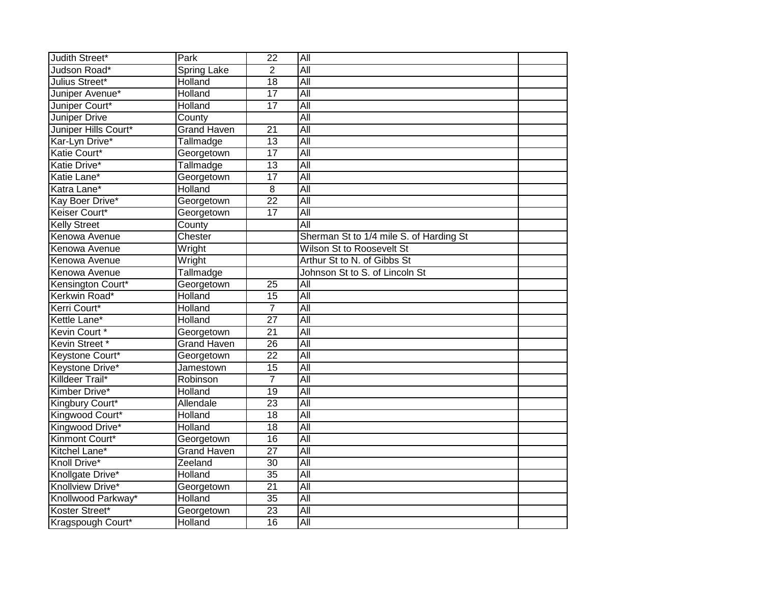| Judith Street*       | Park               | $\overline{22}$ | All                                     |  |
|----------------------|--------------------|-----------------|-----------------------------------------|--|
| Judson Road*         | Spring Lake        | $\overline{2}$  | All                                     |  |
| Julius Street*       | Holland            | $\overline{18}$ | All                                     |  |
| Juniper Avenue*      | Holland            | $\overline{17}$ | All                                     |  |
| Juniper Court*       | Holland            | $\overline{17}$ | $\overline{All}$                        |  |
| <b>Juniper Drive</b> | County             |                 | All                                     |  |
| Juniper Hills Court* | <b>Grand Haven</b> | 21              | All                                     |  |
| Kar-Lyn Drive*       | Tallmadge          | 13              | $\overline{All}$                        |  |
| Katie Court*         | Georgetown         | $\overline{17}$ | $\overline{All}$                        |  |
| Katie Drive*         | Tallmadge          | $\overline{13}$ | All                                     |  |
| Katie Lane*          | Georgetown         | $\overline{17}$ | All                                     |  |
| Katra Lane*          | Holland            | 8               | All                                     |  |
| Kay Boer Drive*      | Georgetown         | $\overline{22}$ | $\overline{All}$                        |  |
| Keiser Court*        | Georgetown         | 17              | $\overline{All}$                        |  |
| <b>Kelly Street</b>  | County             |                 | All                                     |  |
| Kenowa Avenue        | Chester            |                 | Sherman St to 1/4 mile S. of Harding St |  |
| Kenowa Avenue        | Wright             |                 | Wilson St to Roosevelt St               |  |
| Kenowa Avenue        | Wright             |                 | Arthur St to N. of Gibbs St             |  |
| Kenowa Avenue        | Tallmadge          |                 | Johnson St to S. of Lincoln St          |  |
| Kensington Court*    | Georgetown         | $\overline{25}$ | All                                     |  |
| Kerkwin Road*        | Holland            | 15              | All                                     |  |
| Kerri Court*         | Holland            | $\overline{7}$  | $\overline{All}$                        |  |
| Kettle Lane*         | Holland            | $\overline{27}$ | All                                     |  |
| Kevin Court*         | Georgetown         | $\overline{21}$ | $\overline{All}$                        |  |
| Kevin Street *       | <b>Grand Haven</b> | $\overline{26}$ | All                                     |  |
| Keystone Court*      | Georgetown         | $\overline{22}$ | All                                     |  |
| Keystone Drive*      | Jamestown          | $\overline{15}$ | All                                     |  |
| Killdeer Trail*      | Robinson           | $\overline{7}$  | All                                     |  |
| Kimber Drive*        | Holland            | $\overline{19}$ | All                                     |  |
| Kingbury Court*      | Allendale          | 23              | All                                     |  |
| Kingwood Court*      | Holland            | $\overline{18}$ | All                                     |  |
| Kingwood Drive*      | Holland            | $\overline{18}$ | All                                     |  |
| Kinmont Court*       | Georgetown         | 16              | $\overline{All}$                        |  |
| Kitchel Lane*        | <b>Grand Haven</b> | $\overline{27}$ | All                                     |  |
| Knoll Drive*         | Zeeland            | 30              | $\overline{All}$                        |  |
| Knollgate Drive*     | Holland            | $\overline{35}$ | All                                     |  |
| Knollview Drive*     | Georgetown         | $\overline{21}$ | All                                     |  |
| Knollwood Parkway*   | Holland            | $\overline{35}$ | All                                     |  |
| Koster Street*       | Georgetown         | 23              | All                                     |  |
| Kragspough Court*    | Holland            | 16              | All                                     |  |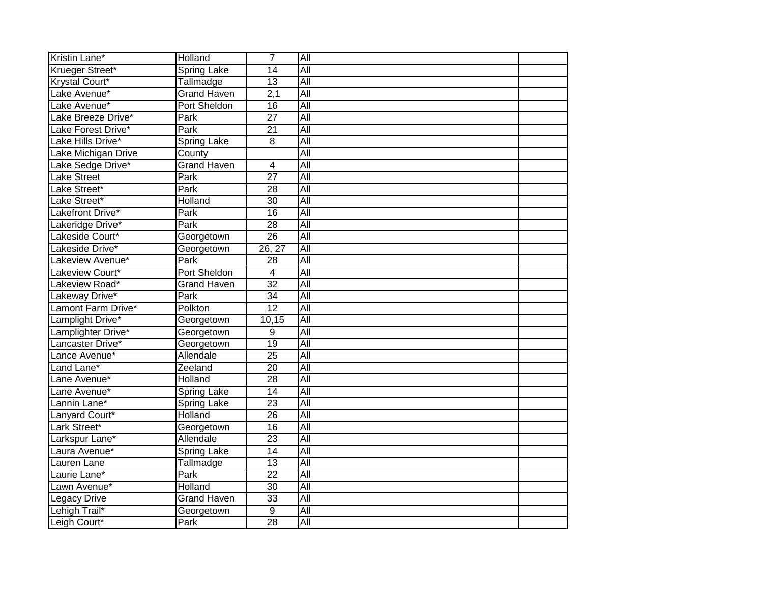| Kristin Lane*         | Holland            | $\overline{7}$   | All              |  |
|-----------------------|--------------------|------------------|------------------|--|
| Krueger Street*       | <b>Spring Lake</b> | $\overline{14}$  | All              |  |
| <b>Krystal Court*</b> | Tallmadge          | 13               | All              |  |
| Lake Avenue*          | <b>Grand Haven</b> | $\overline{2,1}$ | All              |  |
| Lake Avenue*          | Port Sheldon       | 16               | All              |  |
| Lake Breeze Drive*    | Park               | $\overline{27}$  | $\overline{All}$ |  |
| Lake Forest Drive*    | <b>Park</b>        | 21               | $\overline{All}$ |  |
| Lake Hills Drive*     | <b>Spring Lake</b> | 8                | All              |  |
| Lake Michigan Drive   | County             |                  | $\overline{All}$ |  |
| Lake Sedge Drive*     | <b>Grand Haven</b> | $\overline{4}$   | All              |  |
| <b>Lake Street</b>    | Park               | $\overline{27}$  | $\overline{All}$ |  |
| Lake Street*          | Park               | 28               | All              |  |
| Lake Street*          | Holland            | 30               | $\overline{All}$ |  |
| Lakefront Drive*      | Park               | 16               | $\overline{All}$ |  |
| Lakeridge Drive*      | Park               | $\overline{28}$  | All              |  |
| Lakeside Court*       | Georgetown         | 26               | All              |  |
| Lakeside Drive*       | Georgetown         | 26, 27           | All              |  |
| Lakeview Avenue*      | Park               | $\overline{28}$  | All              |  |
| Lakeview Court*       | Port Sheldon       | $\overline{4}$   | All              |  |
| Lakeview Road*        | <b>Grand Haven</b> | $\overline{32}$  | All              |  |
| Lakeway Drive*        | Park               | 34               | All              |  |
| Lamont Farm Drive*    | Polkton            | $\overline{12}$  | $\overline{All}$ |  |
| Lamplight Drive*      | Georgetown         | 10,15            | All              |  |
| Lamplighter Drive*    | Georgetown         | 9                | $\overline{All}$ |  |
| Lancaster Drive*      | Georgetown         | 19               | All              |  |
| Lance Avenue*         | Allendale          | $\overline{25}$  | All              |  |
| Land Lane*            | Zeeland            | $\overline{20}$  | All              |  |
| Lane Avenue*          | Holland            | $\overline{28}$  | All              |  |
| Lane Avenue*          | <b>Spring Lake</b> | 14               | All              |  |
| Lannin Lane*          | <b>Spring Lake</b> | 23               | All              |  |
| Lanyard Court*        | Holland            | $\overline{26}$  | All              |  |
| Lark Street*          | Georgetown         | $\overline{16}$  | All              |  |
| Larkspur Lane*        | Allendale          | 23               | $\overline{All}$ |  |
| Laura Avenue*         | <b>Spring Lake</b> | $\overline{14}$  | All              |  |
| Lauren Lane           | Tallmadge          | 13               | $\overline{All}$ |  |
| Laurie Lane*          | Park               | 22               | All              |  |
| Lawn Avenue*          | Holland            | $\overline{30}$  | All              |  |
| <b>Legacy Drive</b>   | <b>Grand Haven</b> | 33               | All              |  |
| Lehigh Trail*         | Georgetown         | $\overline{9}$   | All              |  |
| Leigh Court*          | Park               | 28               | All              |  |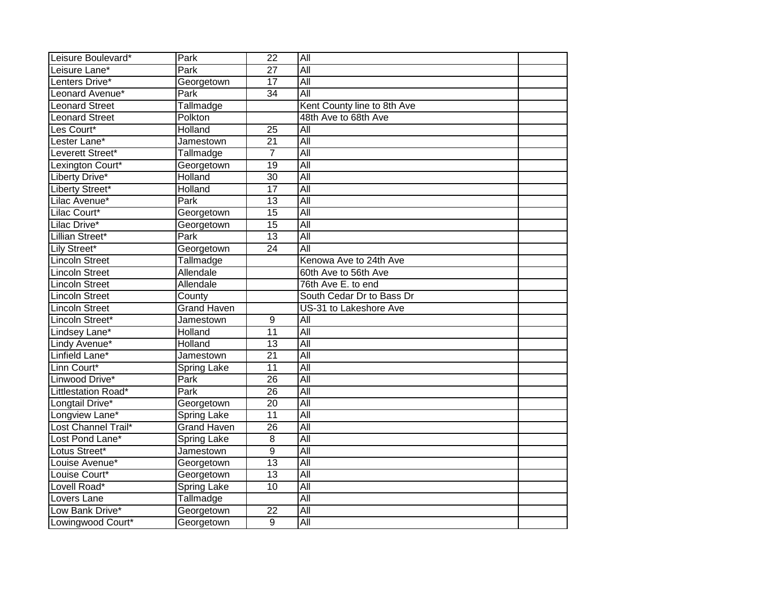| Leisure Boulevard*    | Park               | $\overline{22}$ | $\overline{All}$            |  |
|-----------------------|--------------------|-----------------|-----------------------------|--|
| Leisure Lane*         | Park               | $\overline{27}$ | All                         |  |
| Lenters Drive*        | Georgetown         | 17              | All                         |  |
| Leonard Avenue*       | Park               | $\overline{34}$ | All                         |  |
| <b>Leonard Street</b> | Tallmadge          |                 | Kent County line to 8th Ave |  |
| <b>Leonard Street</b> | Polkton            |                 | 48th Ave to 68th Ave        |  |
| Les Court*            | Holland            | $\overline{25}$ | $\overline{All}$            |  |
| Lester Lane*          | Jamestown          | $\overline{21}$ | $\overline{All}$            |  |
| Leverett Street*      | Tallmadge          | $\overline{7}$  | All                         |  |
| Lexington Court*      | Georgetown         | $\overline{19}$ | $\overline{All}$            |  |
| Liberty Drive*        | Holland            | $\overline{30}$ | All                         |  |
| Liberty Street*       | <b>Holland</b>     | $\overline{17}$ | All                         |  |
| Lilac Avenue*         | Park               | 13              | All                         |  |
| Lilac Court*          | Georgetown         | 15              | All                         |  |
| Lilac Drive*          | Georgetown         | $\overline{15}$ | All                         |  |
| Lillian Street*       | Park               | $\overline{13}$ | $\overline{All}$            |  |
| Lily Street*          | Georgetown         | $\overline{24}$ | $\overline{All}$            |  |
| <b>Lincoln Street</b> | Tallmadge          |                 | Kenowa Ave to 24th Ave      |  |
| <b>Lincoln Street</b> | Allendale          |                 | 60th Ave to 56th Ave        |  |
| <b>Lincoln Street</b> | Allendale          |                 | 76th Ave E. to end          |  |
| <b>Lincoln Street</b> | County             |                 | South Cedar Dr to Bass Dr   |  |
| <b>Lincoln Street</b> | <b>Grand Haven</b> |                 | US-31 to Lakeshore Ave      |  |
| Lincoln Street*       | Jamestown          | $\overline{9}$  | $\overline{All}$            |  |
| Lindsey Lane*         | Holland            | 11              | $\overline{All}$            |  |
| Lindy Avenue*         | Holland            | $\overline{13}$ | All                         |  |
| Linfield Lane*        | Jamestown          | $\overline{21}$ | <b>All</b>                  |  |
| Linn Court*           | Spring Lake        | $\overline{11}$ | All                         |  |
| Linwood Drive*        | Park               | $\overline{26}$ | All                         |  |
| Littlestation Road*   | <b>Park</b>        | $\overline{26}$ | All                         |  |
| Longtail Drive*       | Georgetown         | $\overline{20}$ | All                         |  |
| Longview Lane*        | Spring Lake        | 11              | All                         |  |
| Lost Channel Trail*   | <b>Grand Haven</b> | 26              | All                         |  |
| Lost Pond Lane*       | <b>Spring Lake</b> | 8               | All                         |  |
| Lotus Street*         | Jamestown          | $\overline{9}$  | All                         |  |
| Louise Avenue*        | Georgetown         | $\overline{13}$ | $\overline{All}$            |  |
| Louise Court*         | Georgetown         | $\overline{13}$ | All                         |  |
| Lovell Road*          | <b>Spring Lake</b> | 10              | All                         |  |
| Lovers Lane           | Tallmadge          |                 | All                         |  |
| Low Bank Drive*       | Georgetown         | $\overline{22}$ | $\overline{All}$            |  |
| Lowingwood Court*     | Georgetown         | 9               | $\overline{All}$            |  |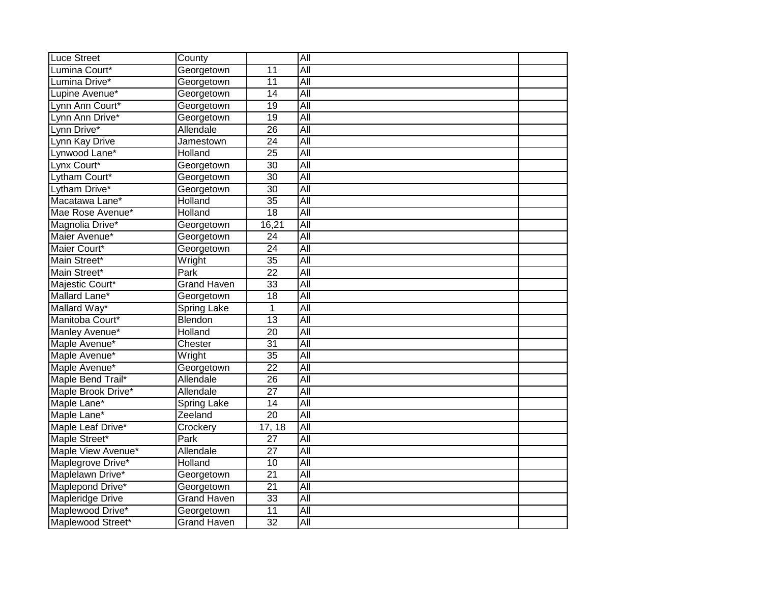| <b>Luce Street</b>      | County             |                 | All              |  |
|-------------------------|--------------------|-----------------|------------------|--|
| Lumina Court*           | Georgetown         | 11              | All              |  |
| Lumina Drive*           | Georgetown         | 11              | All              |  |
| Lupine Avenue*          | Georgetown         | $\overline{14}$ | All              |  |
| Lynn Ann Court*         | Georgetown         | $\overline{19}$ | All              |  |
| Lynn Ann Drive*         | Georgetown         | $\overline{19}$ | All              |  |
| Lynn Drive*             | Allendale          | $\overline{26}$ | $\overline{All}$ |  |
| Lynn Kay Drive          | Jamestown          | $\overline{24}$ | All              |  |
| Lynwood Lane*           | Holland            | 25              | $\overline{All}$ |  |
| Lynx Court*             | Georgetown         | $\overline{30}$ | All              |  |
| Lytham Court*           | Georgetown         | 30              | All              |  |
| Lytham Drive*           | Georgetown         | 30              | <b>All</b>       |  |
| Macatawa Lane*          | Holland            | $\overline{35}$ | $\overline{All}$ |  |
| Mae Rose Avenue*        | Holland            | 18              | $\overline{All}$ |  |
| Magnolia Drive*         | Georgetown         | 16,21           | All              |  |
| Maier Avenue*           | Georgetown         | $\overline{24}$ | All              |  |
| Maier Court*            | Georgetown         | $\overline{24}$ | All              |  |
| Main Street*            | Wright             | $\overline{35}$ | All              |  |
| Main Street*            | Park               | $\overline{22}$ | <b>All</b>       |  |
| Majestic Court*         | <b>Grand Haven</b> | $\overline{33}$ | All              |  |
| Mallard Lane*           | Georgetown         | 18              | All              |  |
| Mallard Way*            | <b>Spring Lake</b> | 1               | $\overline{All}$ |  |
| Manitoba Court*         | Blendon            | $\overline{13}$ | All              |  |
| Manley Avenue*          | Holland            | $\overline{20}$ | $\overline{All}$ |  |
| Maple Avenue*           | Chester            | $\overline{31}$ | All              |  |
| Maple Avenue*           | Wright             | $\overline{35}$ | All              |  |
| Maple Avenue*           | Georgetown         | $\overline{22}$ | All              |  |
| Maple Bend Trail*       | Allendale          | $\overline{26}$ | All              |  |
| Maple Brook Drive*      | Allendale          | $\overline{27}$ | All              |  |
| Maple Lane*             | <b>Spring Lake</b> | 14              | All              |  |
| Maple Lane*             | Zeeland            | $\overline{20}$ | All              |  |
| Maple Leaf Drive*       | Crockery           | 17, 18          | All              |  |
| Maple Street*           | Park               | 27              | $\overline{All}$ |  |
| Maple View Avenue*      | Allendale          | $\overline{27}$ | $\overline{All}$ |  |
| Maplegrove Drive*       | Holland            | 10              | $\overline{All}$ |  |
| Maplelawn Drive*        | Georgetown         | $\overline{21}$ | All              |  |
| Maplepond Drive*        | Georgetown         | $\overline{21}$ | All              |  |
| <b>Mapleridge Drive</b> | <b>Grand Haven</b> | 33              | All              |  |
| Maplewood Drive*        | Georgetown         | 11              | Αll              |  |
| Maplewood Street*       | <b>Grand Haven</b> | $\overline{32}$ | All              |  |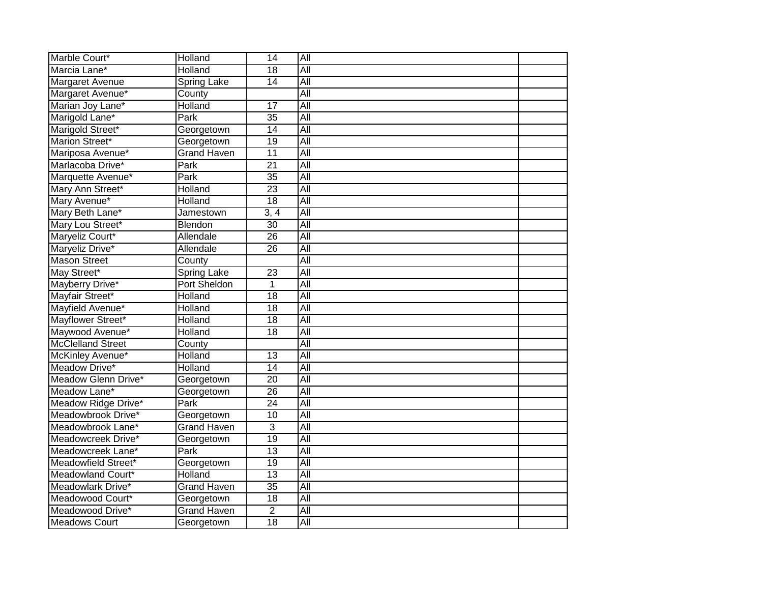| Marble Court*            | Holland            | 14              | All              |  |
|--------------------------|--------------------|-----------------|------------------|--|
| Marcia Lane*             | Holland            | $\overline{18}$ | All              |  |
| Margaret Avenue          | Spring Lake        | 14              | All              |  |
| Margaret Avenue*         | County             |                 | All              |  |
| Marian Joy Lane*         | Holland            | $\overline{17}$ | All              |  |
| Marigold Lane*           | Park               | $\overline{35}$ | $\overline{All}$ |  |
| Marigold Street*         | Georgetown         | 14              | $\overline{All}$ |  |
| Marion Street*           | Georgetown         | 19              | All              |  |
| Mariposa Avenue*         | <b>Grand Haven</b> | 11              | $\overline{All}$ |  |
| Marlacoba Drive*         | Park               | $\overline{21}$ | All              |  |
| Marquette Avenue*        | Park               | $\overline{35}$ | $\overline{All}$ |  |
| Mary Ann Street*         | Holland            | $\overline{23}$ | All              |  |
| Mary Avenue*             | Holland            | 18              | $\overline{All}$ |  |
| Mary Beth Lane*          | Jamestown          | 3, 4            | $\overline{All}$ |  |
| Mary Lou Street*         | Blendon            | 30              | All              |  |
| Maryeliz Court*          | Allendale          | $\overline{26}$ | All              |  |
| Maryeliz Drive*          | Allendale          | $\overline{26}$ | All              |  |
| <b>Mason Street</b>      | County             |                 | All              |  |
| May Street*              | <b>Spring Lake</b> | 23              | <b>All</b>       |  |
| Mayberry Drive*          | Port Sheldon       | 1               | All              |  |
| Mayfair Street*          | Holland            | 18              | All              |  |
| Mayfield Avenue*         | <b>Holland</b>     | $\overline{18}$ | $\overline{All}$ |  |
| Mayflower Street*        | <b>Holland</b>     | $\overline{18}$ | All              |  |
| Maywood Avenue*          | Holland            | $\overline{18}$ | $\overline{All}$ |  |
| <b>McClelland Street</b> | County             |                 | All              |  |
| McKinley Avenue*         | Holland            | $\overline{13}$ | All              |  |
| Meadow Drive*            | Holland            | $\overline{14}$ | All              |  |
| Meadow Glenn Drive*      | Georgetown         | $\overline{20}$ | All              |  |
| Meadow Lane*             | Georgetown         | $\overline{26}$ | All              |  |
| Meadow Ridge Drive*      | Park               | $\overline{24}$ | All              |  |
| Meadowbrook Drive*       | Georgetown         | 10              | All              |  |
| Meadowbrook Lane*        | <b>Grand Haven</b> | 3               | All              |  |
| Meadowcreek Drive*       | Georgetown         | 19              | $\overline{All}$ |  |
| Meadowcreek Lane*        | Park               | 13              | All              |  |
| Meadowfield Street*      | Georgetown         | 19              | $\overline{All}$ |  |
| Meadowland Court*        | Holland            | 13              | All              |  |
| Meadowlark Drive*        | <b>Grand Haven</b> | 35              | All              |  |
| Meadowood Court*         | Georgetown         | 18              | All              |  |
| Meadowood Drive*         | <b>Grand Haven</b> | $\overline{2}$  | All              |  |
| <b>Meadows Court</b>     | Georgetown         | 18              | All              |  |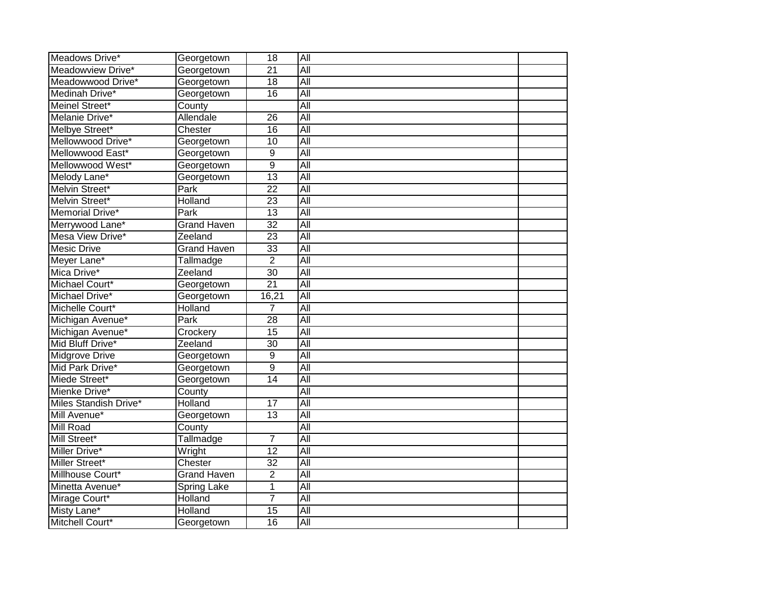| Meadows Drive*                 | Georgetown         | 18              | All                     |  |
|--------------------------------|--------------------|-----------------|-------------------------|--|
| Meadowview Drive*              | Georgetown         | $\overline{21}$ | All                     |  |
| Meadowwood Drive*              | Georgetown         | 18              | All                     |  |
| Medinah Drive*                 | Georgetown         | $\overline{16}$ | All                     |  |
| Meinel Street*                 | County             |                 | <b>All</b>              |  |
| Melanie Drive*                 | Allendale          | 26              | $\overline{All}$        |  |
| Melbye Street*                 | Chester            | 16              | $\overline{All}$        |  |
| Mellowwood Drive*              | Georgetown         | 10              | $\overline{All}$        |  |
| Mellowwood East*               | Georgetown         | 9               | $\overline{All}$        |  |
| Mellowwood West*               | Georgetown         | $\overline{9}$  | All                     |  |
| Melody Lane*                   | Georgetown         | $\overline{13}$ | $\overline{All}$        |  |
| Melvin Street*                 | Park               | $\overline{22}$ | All                     |  |
| Melvin Street*                 | Holland            | $\overline{23}$ | $\overline{All}$        |  |
| Memorial Drive*                | Park               | 13              | $\overline{All}$        |  |
| Merrywood Lane*                | <b>Grand Haven</b> | $\overline{32}$ | All                     |  |
| Mesa View Drive*               | Zeeland            | $\overline{23}$ | All                     |  |
| <b>Mesic Drive</b>             | <b>Grand Haven</b> | $\overline{33}$ | All                     |  |
| Meyer Lane*                    | Tallmadge          | $\overline{2}$  | All                     |  |
| Mica Drive*                    | Zeeland            | 30              | <b>All</b>              |  |
| Michael Court*                 | Georgetown         | $\overline{21}$ | All                     |  |
|                                |                    |                 |                         |  |
| Michael Drive*                 | Georgetown         | 16,21           | All                     |  |
| Michelle Court*                | Holland            | 7               | $\overline{All}$        |  |
| Michigan Avenue*               | Park               | $\overline{28}$ | All                     |  |
| Michigan Avenue*               | Crockery           | $\overline{15}$ | $\overline{All}$        |  |
| Mid Bluff Drive*               | Zeeland            | $\overline{30}$ | All                     |  |
| <b>Midgrove Drive</b>          | Georgetown         | $\overline{9}$  | All                     |  |
| Mid Park Drive*                | Georgetown         | $\overline{9}$  | All                     |  |
| Miede Street*                  | Georgetown         | $\overline{14}$ | <b>All</b>              |  |
| Mienke Drive*                  | County             |                 | All                     |  |
| Miles Standish Drive*          | Holland            | $\overline{17}$ | All                     |  |
| Mill Avenue*                   | Georgetown         | $\overline{13}$ | All                     |  |
| <b>Mill Road</b>               | County             |                 | $\overline{All}$        |  |
| Mill Street*                   | Tallmadge          | $\overline{7}$  | $\overline{All}$        |  |
| Miller Drive*                  | Wright             | $\overline{12}$ | $\overline{All}$        |  |
| Miller Street*                 | Chester            | 32              | $\overline{All}$        |  |
| Millhouse Court*               | <b>Grand Haven</b> | $\overline{2}$  | $\overline{All}$        |  |
| Minetta Avenue*                | <b>Spring Lake</b> | 1               | $\overline{All}$        |  |
| Mirage Court*                  | Holland            | $\overline{7}$  | All                     |  |
| Misty Lane*<br>Mitchell Court* | Holland            | 15<br>16        | $\overline{All}$<br>All |  |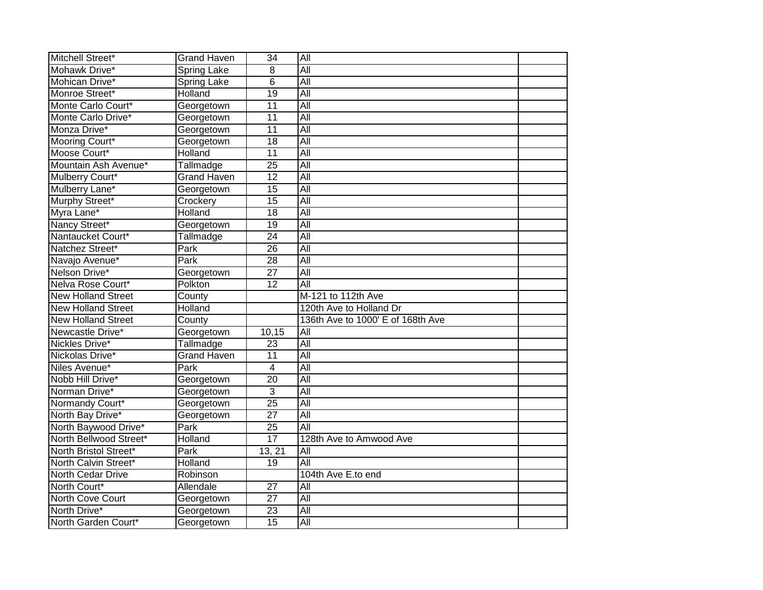| Mitchell Street*          | <b>Grand Haven</b> | $\overline{34}$ | All                               |  |
|---------------------------|--------------------|-----------------|-----------------------------------|--|
| Mohawk Drive*             | <b>Spring Lake</b> | 8               | All                               |  |
| Mohican Drive*            | Spring Lake        | $\overline{6}$  | All                               |  |
| Monroe Street*            | Holland            | $\overline{19}$ | All                               |  |
| Monte Carlo Court*        | Georgetown         | $\overline{11}$ | All                               |  |
| Monte Carlo Drive*        | Georgetown         | $\overline{11}$ | $\overline{All}$                  |  |
| Monza Drive*              | Georgetown         | $\overline{11}$ | All                               |  |
| Mooring Court*            | Georgetown         | 18              | $\overline{All}$                  |  |
| Moose Court*              | Holland            | $\overline{11}$ | All                               |  |
| Mountain Ash Avenue*      | Tallmadge          | 25              | All                               |  |
| Mulberry Court*           | <b>Grand Haven</b> | 12              | $\overline{All}$                  |  |
| Mulberry Lane*            | Georgetown         | $\overline{15}$ | All                               |  |
| Murphy Street*            | Crockery           | 15              | $\overline{All}$                  |  |
| Myra Lane*                | Holland            | $\overline{18}$ | All                               |  |
| Nancy Street*             | Georgetown         | $\overline{19}$ | All                               |  |
| Nantaucket Court*         | Tallmadge          | $\overline{24}$ | All                               |  |
| Natchez Street*           | Park               | 26              | All                               |  |
| Navajo Avenue*            | Park               | 28              | All                               |  |
| Nelson Drive*             | Georgetown         | $\overline{27}$ | All                               |  |
| Nelva Rose Court*         | Polkton            | $\overline{12}$ | $\overline{All}$                  |  |
| <b>New Holland Street</b> | County             |                 | M-121 to 112th Ave                |  |
| <b>New Holland Street</b> | Holland            |                 | 120th Ave to Holland Dr           |  |
| <b>New Holland Street</b> | County             |                 | 136th Ave to 1000' E of 168th Ave |  |
| Newcastle Drive*          | Georgetown         | 10,15           | $\overline{All}$                  |  |
| Nickles Drive*            | Tallmadge          | 23              | All                               |  |
| Nickolas Drive*           | <b>Grand Haven</b> | $\overline{11}$ | All                               |  |
| Niles Avenue*             | Park               | $\overline{4}$  | All                               |  |
| Nobb Hill Drive*          | Georgetown         | $\overline{20}$ | $\overline{All}$                  |  |
| Norman Drive*             | Georgetown         | 3               | All                               |  |
| Normandy Court*           | Georgetown         | $\overline{25}$ | All                               |  |
| North Bay Drive*          | Georgetown         | $\overline{27}$ | All                               |  |
| North Baywood Drive*      | Park               | 25              | All                               |  |
| North Bellwood Street*    | Holland            | 17              | 128th Ave to Amwood Ave           |  |
| North Bristol Street*     | Park               | 13, 21          | $\overline{All}$                  |  |
| North Calvin Street*      | Holland            | 19              | All                               |  |
| North Cedar Drive         | Robinson           |                 | 104th Ave E.to end                |  |
| North Court*              | Allendale          | $\overline{27}$ | $\overline{All}$                  |  |
| North Cove Court          | Georgetown         | $\overline{27}$ | All                               |  |
| North Drive*              | Georgetown         | $\overline{23}$ | All                               |  |
| North Garden Court*       | Georgetown         | 15              | All                               |  |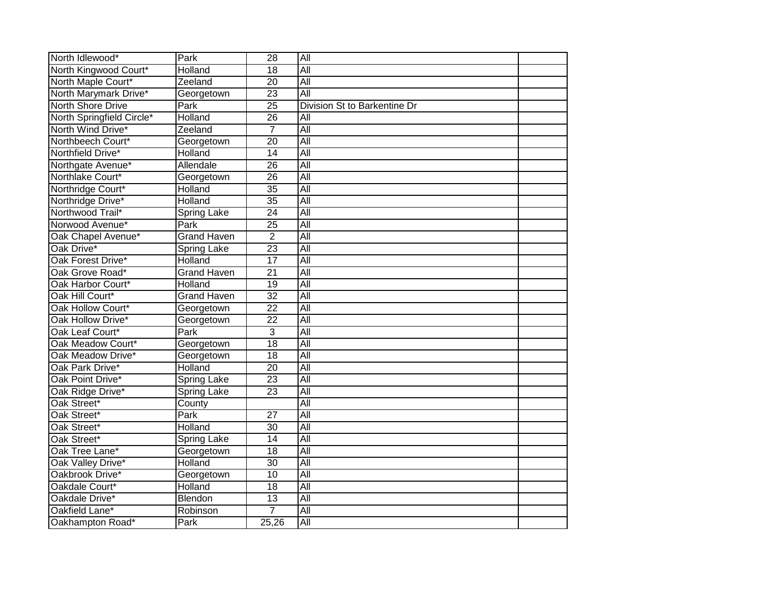| North Idlewood*           | Park               | $\overline{28}$ | $\overline{All}$             |  |
|---------------------------|--------------------|-----------------|------------------------------|--|
| North Kingwood Court*     | Holland            | $\overline{18}$ | All                          |  |
| North Maple Court*        | Zeeland            | $\overline{20}$ | All                          |  |
| North Marymark Drive*     | Georgetown         | $\overline{23}$ | All                          |  |
| <b>North Shore Drive</b>  | Park               | $\overline{25}$ | Division St to Barkentine Dr |  |
| North Springfield Circle* | Holland            | $\overline{26}$ | $\overline{All}$             |  |
| North Wind Drive*         | Zeeland            | $\overline{7}$  | All                          |  |
| Northbeech Court*         | Georgetown         | 20              | All                          |  |
| Northfield Drive*         | Holland            | 14              | All                          |  |
| Northgate Avenue*         | Allendale          | 26              | All                          |  |
| Northlake Court*          | Georgetown         | 26              | $\overline{All}$             |  |
| Northridge Court*         | Holland            | $\overline{35}$ | $\overline{All}$             |  |
| Northridge Drive*         | Holland            | $\overline{35}$ | All                          |  |
| Northwood Trail*          | <b>Spring Lake</b> | $\overline{24}$ | $\overline{All}$             |  |
| Norwood Avenue*           | Park               | $\overline{25}$ | All                          |  |
| Oak Chapel Avenue*        | <b>Grand Haven</b> | $\overline{2}$  | All                          |  |
| Oak Drive*                | <b>Spring Lake</b> | $\overline{23}$ | All                          |  |
| Oak Forest Drive*         | Holland            | $\overline{17}$ | All                          |  |
| Oak Grove Road*           | <b>Grand Haven</b> | $\overline{21}$ | All                          |  |
| Oak Harbor Court*         | Holland            | $\overline{19}$ | $\overline{All}$             |  |
| Oak Hill Court*           | <b>Grand Haven</b> | $\overline{32}$ | All                          |  |
| Oak Hollow Court*         | Georgetown         | $\overline{22}$ | All                          |  |
| Oak Hollow Drive*         | Georgetown         | $\overline{22}$ | All                          |  |
| Oak Leaf Court*           | Park               | 3               | $\overline{All}$             |  |
| Oak Meadow Court*         | Georgetown         | $\overline{18}$ | All                          |  |
| Oak Meadow Drive*         | Georgetown         | $\overline{18}$ | All                          |  |
| Oak Park Drive*           | Holland            | 20              | All                          |  |
| Oak Point Drive*          | Spring Lake        | $\overline{23}$ | $\overline{All}$             |  |
| Oak Ridge Drive*          | <b>Spring Lake</b> | $\overline{23}$ | $\overline{All}$             |  |
| Oak Street*               | County             |                 | All                          |  |
| Oak Street*               | Park               | $\overline{27}$ | All                          |  |
| Oak Street*               | Holland            | $\overline{30}$ | All                          |  |
| Oak Street*               | <b>Spring Lake</b> | 14              | $\overline{All}$             |  |
| Oak Tree Lane*            | Georgetown         | 18              | All                          |  |
| Oak Valley Drive*         | Holland            | 30              | $\overline{All}$             |  |
| Oakbrook Drive*           | Georgetown         | 10              | $\overline{All}$             |  |
| Oakdale Court*            | Holland            | $\overline{18}$ | All                          |  |
| Oakdale Drive*            | Blendon            | 13              | All                          |  |
| Oakfield Lane*            | Robinson           | 7               | All                          |  |
| Oakhampton Road*          | Park               | 25,26           | $\overline{All}$             |  |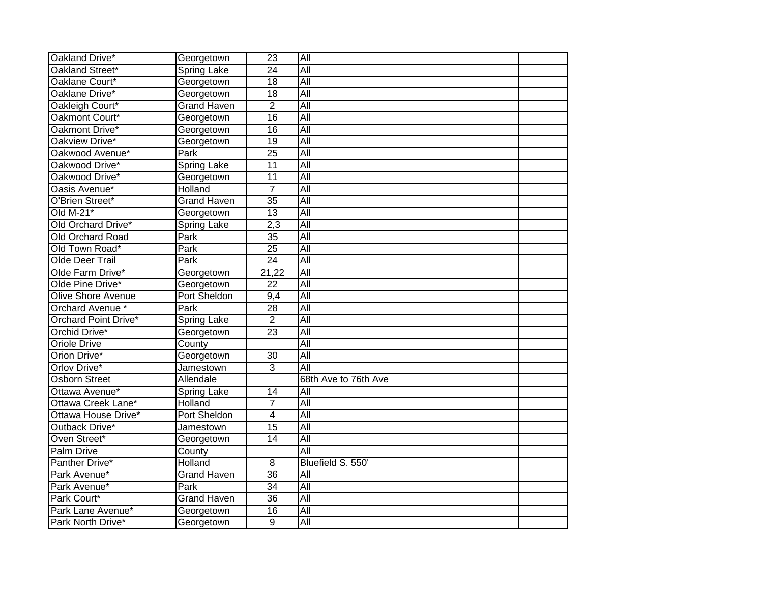| Oakland Drive*            | Georgetown          | $\overline{23}$  | All                  |  |
|---------------------------|---------------------|------------------|----------------------|--|
| Oakland Street*           | <b>Spring Lake</b>  | $\overline{24}$  | All                  |  |
| Oaklane Court*            | Georgetown          | 18               | All                  |  |
| Oaklane Drive*            | Georgetown          | $\overline{18}$  | All                  |  |
| Oakleigh Court*           | <b>Grand Haven</b>  | $\overline{2}$   | All                  |  |
| Oakmont Court*            | Georgetown          | $\overline{16}$  | $\overline{All}$     |  |
| Oakmont Drive*            | Georgetown          | $\overline{16}$  | <b>All</b>           |  |
| Oakview Drive*            | Georgetown          | 19               | All                  |  |
| Oakwood Avenue*           | Park                | $\overline{25}$  | $\overline{All}$     |  |
| Oakwood Drive*            | <b>Spring Lake</b>  | $\overline{11}$  | All                  |  |
| Oakwood Drive*            | Georgetown          | $\overline{11}$  | $\overline{All}$     |  |
| Oasis Avenue*             | Holland             | $\overline{7}$   | <b>All</b>           |  |
| O'Brien Street*           | <b>Grand Haven</b>  | $\overline{35}$  | $\overline{All}$     |  |
| Old $M-21$ <sup>*</sup>   | Georgetown          | 13               | $\overline{All}$     |  |
| Old Orchard Drive*        | Spring Lake         | $\overline{2,3}$ | All                  |  |
| Old Orchard Road          | Park                | 35               | All                  |  |
| Old Town Road*            | <b>Park</b>         | $\overline{25}$  | All                  |  |
| Olde Deer Trail           | Park                | $\overline{24}$  | All                  |  |
| Olde Farm Drive*          | Georgetown          | 21,22            | All                  |  |
| Olde Pine Drive*          | Georgetown          | $\overline{22}$  | All                  |  |
| <b>Olive Shore Avenue</b> | <b>Port Sheldon</b> | 9,4              | All                  |  |
| Orchard Avenue *          | Park                | $\overline{28}$  | $\overline{All}$     |  |
| Orchard Point Drive*      | <b>Spring Lake</b>  | $\overline{2}$   | All                  |  |
| Orchid Drive*             | Georgetown          | $\overline{23}$  | $\overline{All}$     |  |
| <b>Oriole Drive</b>       | County              |                  | All                  |  |
| Orion Drive*              | Georgetown          | $\overline{30}$  | All                  |  |
| Orlov Drive*              | Jamestown           | $\overline{3}$   | All                  |  |
| <b>Osborn Street</b>      | Allendale           |                  | 68th Ave to 76th Ave |  |
| Ottawa Avenue*            | <b>Spring Lake</b>  | 14               | $\overline{All}$     |  |
| Ottawa Creek Lane*        | Holland             | $\overline{7}$   | All                  |  |
| Ottawa House Drive*       | Port Sheldon        | $\overline{4}$   | All                  |  |
| Outback Drive*            | Jamestown           | 15               | $\overline{All}$     |  |
| Oven Street*              | Georgetown          | 14               | $\overline{All}$     |  |
| Palm Drive                | County              |                  | All                  |  |
| Panther Drive*            | Holland             | 8                | Bluefield S. 550'    |  |
| Park Avenue*              | <b>Grand Haven</b>  | $\overline{36}$  | $\overline{All}$     |  |
| Park Avenue*              | Park                | $\overline{34}$  | All                  |  |
| Park Court*               | <b>Grand Haven</b>  | 36               | All                  |  |
| Park Lane Avenue*         | Georgetown          | 16               | All                  |  |
| Park North Drive*         | Georgetown          | 9                | All                  |  |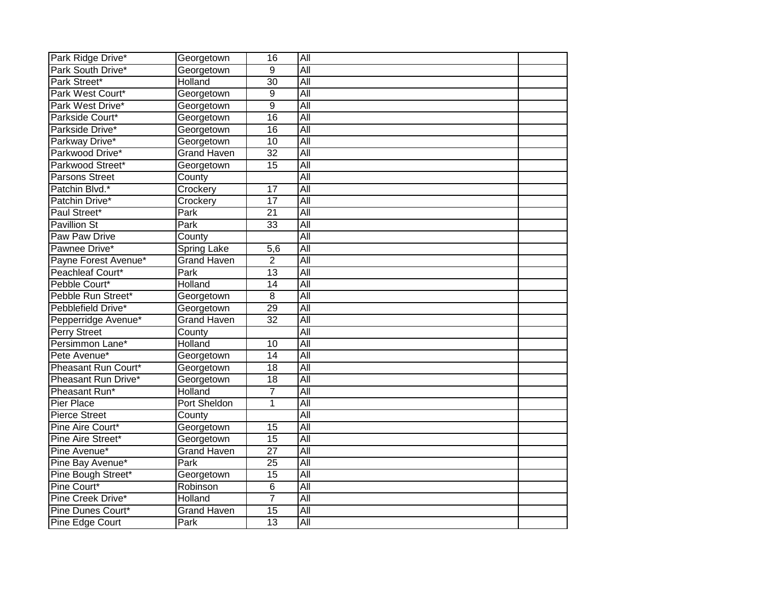| Park Ridge Drive*     | Georgetown         | 16              | All              |  |
|-----------------------|--------------------|-----------------|------------------|--|
| Park South Drive*     | Georgetown         | $\overline{9}$  | All              |  |
| Park Street*          | Holland            | 30              | All              |  |
| Park West Court*      | Georgetown         | 9               | All              |  |
| Park West Drive*      | Georgetown         | 9               | All              |  |
| Parkside Court*       | Georgetown         | $\overline{16}$ | $\overline{All}$ |  |
| Parkside Drive*       | Georgetown         | $\overline{16}$ | $\overline{All}$ |  |
| Parkway Drive*        | Georgetown         | 10              | All              |  |
| Parkwood Drive*       | <b>Grand Haven</b> | $\overline{32}$ | $\overline{All}$ |  |
| Parkwood Street*      | Georgetown         | $\overline{15}$ | All              |  |
| <b>Parsons Street</b> | County             |                 | $\overline{All}$ |  |
| Patchin Blvd.*        | Crockery           | 17              | All              |  |
| Patchin Drive*        | Crockery           | 17              | $\overline{All}$ |  |
| Paul Street*          | Park               | 21              | $\overline{All}$ |  |
| <b>Pavillion St</b>   | Park               | 33              | All              |  |
| <b>Paw Paw Drive</b>  | County             |                 | All              |  |
| Pawnee Drive*         | <b>Spring Lake</b> | 5,6             | All              |  |
| Payne Forest Avenue*  | <b>Grand Haven</b> | $\overline{2}$  | All              |  |
| Peachleaf Court*      | Park               | 13              | All              |  |
| Pebble Court*         | Holland            | $\overline{14}$ | All              |  |
| Pebble Run Street*    | Georgetown         | 8               | All              |  |
| Pebblefield Drive*    | Georgetown         | $\overline{29}$ | $\overline{All}$ |  |
| Pepperridge Avenue*   | <b>Grand Haven</b> | $\overline{32}$ | All              |  |
| <b>Perry Street</b>   | County             |                 | $\overline{All}$ |  |
| Persimmon Lane*       | Holland            | $\overline{10}$ | All              |  |
| Pete Avenue*          | Georgetown         | 14              | All              |  |
| Pheasant Run Court*   | Georgetown         | $\overline{18}$ | All              |  |
| Pheasant Run Drive*   | Georgetown         | $\overline{18}$ | All              |  |
| Pheasant Run*         | Holland            | 7               | All              |  |
| <b>Pier Place</b>     | Port Sheldon       | 1               | All              |  |
| <b>Pierce Street</b>  | County             |                 | All              |  |
| Pine Aire Court*      | Georgetown         | 15              | $\overline{All}$ |  |
| Pine Aire Street*     | Georgetown         | 15              | $\overline{All}$ |  |
| Pine Avenue*          | <b>Grand Haven</b> | $\overline{27}$ | All              |  |
| Pine Bay Avenue*      | Park               | 25              | $\overline{All}$ |  |
| Pine Bough Street*    | Georgetown         | 15              | $\overline{All}$ |  |
| Pine Court*           | Robinson           | 6               | All              |  |
| Pine Creek Drive*     | Holland            | $\overline{7}$  | All              |  |
| Pine Dunes Court*     | <b>Grand Haven</b> | 15              | All              |  |
| Pine Edge Court       | Park               | 13              | All              |  |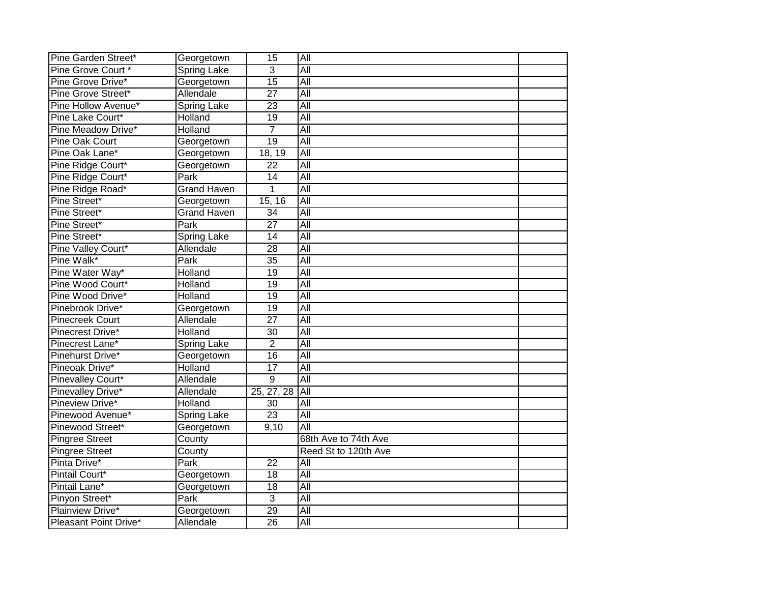| Pine Garden Street*       | Georgetown         | 15              | All                  |  |
|---------------------------|--------------------|-----------------|----------------------|--|
| Pine Grove Court *        | Spring Lake        | 3               | All                  |  |
| Pine Grove Drive*         | Georgetown         | 15              | All                  |  |
| <b>Pine Grove Street*</b> | Allendale          | $\overline{27}$ | All                  |  |
| Pine Hollow Avenue*       | <b>Spring Lake</b> | $\overline{23}$ | All                  |  |
| Pine Lake Court*          | Holland            | 19              | $\overline{All}$     |  |
| Pine Meadow Drive*        | Holland            | 7               | $\overline{All}$     |  |
| Pine Oak Court            | Georgetown         | $\overline{19}$ | All                  |  |
| Pine Oak Lane*            | Georgetown         | 18, 19          | $\overline{All}$     |  |
| Pine Ridge Court*         | Georgetown         | 22              | All                  |  |
| Pine Ridge Court*         | Park               | 14              | $\overline{All}$     |  |
| Pine Ridge Road*          | <b>Grand Haven</b> | $\mathbf{1}$    | All                  |  |
| Pine Street*              | Georgetown         | 15, 16          | $\overline{All}$     |  |
| Pine Street*              | <b>Grand Haven</b> | 34              | $\overline{All}$     |  |
| Pine Street*              | Park               | $\overline{27}$ | All                  |  |
| Pine Street*              | Spring Lake        | 14              | All                  |  |
| <b>Pine Valley Court*</b> | Allendale          | $\overline{28}$ | All                  |  |
| Pine Walk*                | Park               | $\overline{35}$ | All                  |  |
| Pine Water Way*           | Holland            | $\overline{19}$ | All                  |  |
| Pine Wood Court*          | Holland            | $\overline{19}$ | All                  |  |
| Pine Wood Drive*          | Holland            | 19              | All                  |  |
| Pinebrook Drive*          | Georgetown         | $\overline{19}$ | $\overline{All}$     |  |
| <b>Pinecreek Court</b>    | Allendale          | $\overline{27}$ | All                  |  |
| Pinecrest Drive*          | Holland            | $\overline{30}$ | $\overline{All}$     |  |
| Pinecrest Lane*           | <b>Spring Lake</b> | $\overline{2}$  | All                  |  |
| Pinehurst Drive*          | Georgetown         | $\overline{16}$ | All                  |  |
| Pineoak Drive*            | Holland            | 17              | All                  |  |
| Pinevalley Court*         | Allendale          | $\overline{9}$  | All                  |  |
| Pinevalley Drive*         | Allendale          | 25, 27, 28      | All                  |  |
| Pineview Drive*           | Holland            | 30              | All                  |  |
| Pinewood Avenue*          | <b>Spring Lake</b> | $\overline{23}$ | All                  |  |
| Pinewood Street*          | Georgetown         | 9,10            | $\overline{All}$     |  |
| <b>Pingree Street</b>     | County             |                 | 68th Ave to 74th Ave |  |
| <b>Pingree Street</b>     | County             |                 | Reed St to 120th Ave |  |
| Pinta Drive*              | Park               | 22              | $\overline{All}$     |  |
| Pintail Court*            | Georgetown         | 18              | $\overline{All}$     |  |
| Pintail Lane*             | Georgetown         | $\overline{18}$ | All                  |  |
| Pinyon Street*            | Park               | $\overline{3}$  | All                  |  |
| Plainview Drive*          | Georgetown         | 29              | All                  |  |
| Pleasant Point Drive*     | Allendale          | 26              | All                  |  |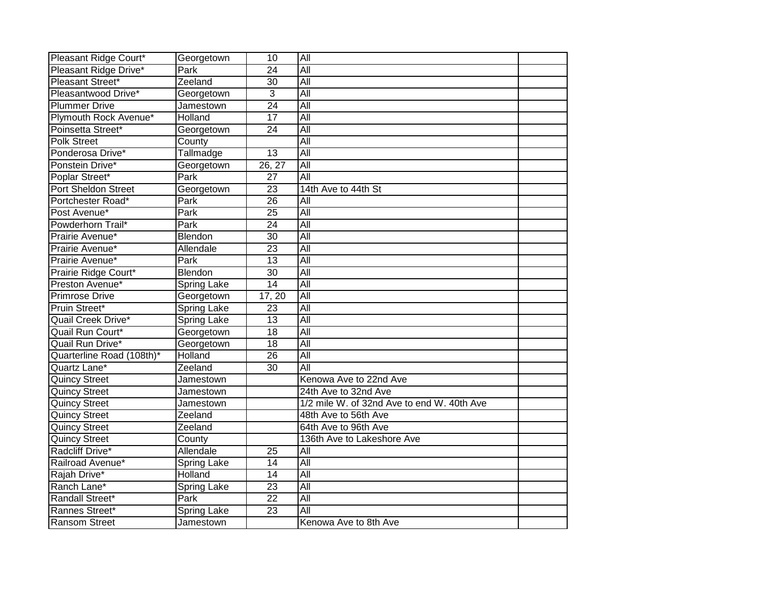| Pleasant Ridge Court*     | Georgetown         | 10              | All                                        |  |
|---------------------------|--------------------|-----------------|--------------------------------------------|--|
| Pleasant Ridge Drive*     | Park               | $\overline{24}$ | All                                        |  |
| Pleasant Street*          | Zeeland            | 30              | All                                        |  |
| Pleasantwood Drive*       | Georgetown         | 3               | All                                        |  |
| <b>Plummer Drive</b>      | Jamestown          | $\overline{24}$ | All                                        |  |
| Plymouth Rock Avenue*     | Holland            | 17              | All                                        |  |
| Poinsetta Street*         | Georgetown         | 24              | $\overline{All}$                           |  |
| <b>Polk Street</b>        | County             |                 | All                                        |  |
| Ponderosa Drive*          | Tallmadge          | 13              | $\overline{All}$                           |  |
| Ponstein Drive*           | Georgetown         | 26, 27          | All                                        |  |
| Poplar Street*            | Park               | 27              | All                                        |  |
| Port Sheldon Street       | Georgetown         | 23              | 14th Ave to 44th St                        |  |
| Portchester Road*         | Park               | 26              | All                                        |  |
| Post Avenue*              | Park               | 25              | $\overline{All}$                           |  |
| Powderhorn Trail*         | Park               | $\overline{24}$ | All                                        |  |
| Prairie Avenue*           | Blendon            | $\overline{30}$ | All                                        |  |
| Prairie Avenue*           | Allendale          | $\overline{23}$ | All                                        |  |
| Prairie Avenue*           | Park               | $\overline{13}$ | All                                        |  |
| Prairie Ridge Court*      | Blendon            | $\overline{30}$ | All                                        |  |
| Preston Avenue*           | <b>Spring Lake</b> | $\overline{14}$ | All                                        |  |
| Primrose Drive            | Georgetown         | 17, 20          | All                                        |  |
| Pruin Street*             | <b>Spring Lake</b> | 23              | $\overline{All}$                           |  |
| Quail Creek Drive*        | <b>Spring Lake</b> | 13              | All                                        |  |
| Quail Run Court*          | Georgetown         | $\overline{18}$ | All                                        |  |
| Quail Run Drive*          | Georgetown         | $\overline{18}$ | All                                        |  |
| Quarterline Road (108th)* | Holland            | $\overline{26}$ | All                                        |  |
| Quartz Lane*              | Zeeland            | $\overline{30}$ | All                                        |  |
| <b>Quincy Street</b>      | Jamestown          |                 | Kenowa Ave to 22nd Ave                     |  |
| <b>Quincy Street</b>      | Jamestown          |                 | 24th Ave to 32nd Ave                       |  |
| <b>Quincy Street</b>      | Jamestown          |                 | 1/2 mile W. of 32nd Ave to end W. 40th Ave |  |
| <b>Quincy Street</b>      | Zeeland            |                 | 48th Ave to 56th Ave                       |  |
| <b>Quincy Street</b>      | Zeeland            |                 | 64th Ave to 96th Ave                       |  |
| <b>Quincy Street</b>      | County             |                 | 136th Ave to Lakeshore Ave                 |  |
| Radcliff Drive*           | Allendale          | 25              | $\overline{All}$                           |  |
| Railroad Avenue*          | <b>Spring Lake</b> | 14              | $\overline{All}$                           |  |
| Rajah Drive*              | Holland            | 14              | All                                        |  |
| Ranch Lane*               | <b>Spring Lake</b> | $\overline{23}$ | All                                        |  |
| Randall Street*           | Park               | $\overline{22}$ | All                                        |  |
| Rannes Street*            | Spring Lake        | $\overline{23}$ | All                                        |  |
| <b>Ransom Street</b>      | Jamestown          |                 | Kenowa Ave to 8th Ave                      |  |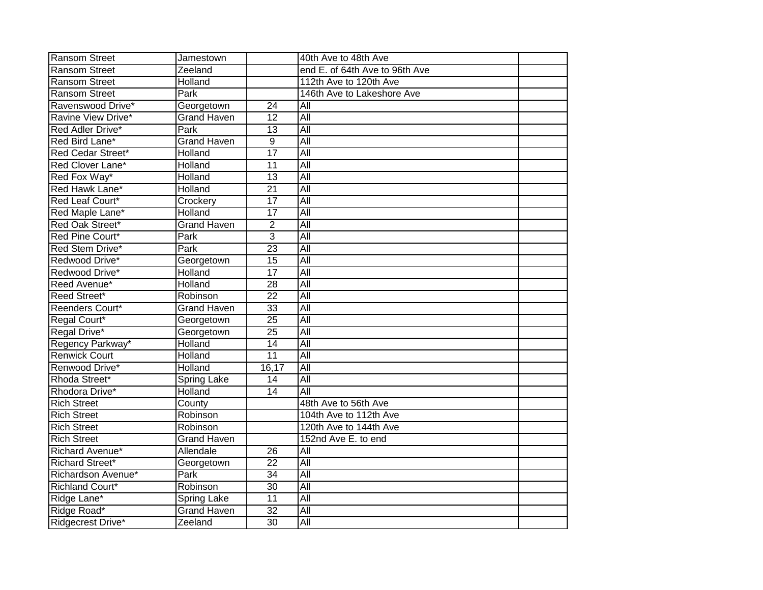| <b>Ransom Street</b>   | Jamestown          |                 | 40th Ave to 48th Ave           |  |
|------------------------|--------------------|-----------------|--------------------------------|--|
| <b>Ransom Street</b>   | Zeeland            |                 | end E. of 64th Ave to 96th Ave |  |
| <b>Ransom Street</b>   | Holland            |                 | 112th Ave to 120th Ave         |  |
| <b>Ransom Street</b>   | Park               |                 | 146th Ave to Lakeshore Ave     |  |
| Ravenswood Drive*      | Georgetown         | 24              | All                            |  |
| Ravine View Drive*     | <b>Grand Haven</b> | 12              | $\overline{All}$               |  |
| Red Adler Drive*       | Park               | $\overline{13}$ | All                            |  |
| Red Bird Lane*         | <b>Grand Haven</b> | 9               | $\overline{All}$               |  |
| Red Cedar Street*      | Holland            | $\overline{17}$ | $\overline{All}$               |  |
| Red Clover Lane*       | Holland            | 11              | $\overline{All}$               |  |
| Red Fox Way*           | Holland            | 13              | $\overline{All}$               |  |
| Red Hawk Lane*         | Holland            | 21              | $\overline{All}$               |  |
| Red Leaf Court*        | Crockery           | 17              | All                            |  |
| Red Maple Lane*        | Holland            | $\overline{17}$ | All                            |  |
| Red Oak Street*        | <b>Grand Haven</b> | $\overline{2}$  | All                            |  |
| Red Pine Court*        | Park               | 3               | All                            |  |
| Red Stem Drive*        | Park               | $\overline{23}$ | All                            |  |
| Redwood Drive*         | Georgetown         | 15              | All                            |  |
| Redwood Drive*         | Holland            | $\overline{17}$ | All                            |  |
| Reed Avenue*           | Holland            | $\overline{28}$ | All                            |  |
| Reed Street*           | Robinson           | $\overline{22}$ | All                            |  |
| Reenders Court*        | <b>Grand Haven</b> | $\overline{33}$ | All                            |  |
| Regal Court*           | Georgetown         | $\overline{25}$ | All                            |  |
| Regal Drive*           | Georgetown         | $\overline{25}$ | All                            |  |
| Regency Parkway*       | Holland            | $\overline{14}$ | All                            |  |
| <b>Renwick Court</b>   | Holland            | $\overline{11}$ | All                            |  |
| Renwood Drive*         | Holland            | 16,17           | All                            |  |
| Rhoda Street*          | Spring Lake        | 14              | All                            |  |
| Rhodora Drive*         | Holland            | $\overline{14}$ | All                            |  |
| <b>Rich Street</b>     | County             |                 | 48th Ave to 56th Ave           |  |
| <b>Rich Street</b>     | Robinson           |                 | 104th Ave to 112th Ave         |  |
| <b>Rich Street</b>     | Robinson           |                 | 120th Ave to 144th Ave         |  |
| <b>Rich Street</b>     | <b>Grand Haven</b> |                 | 152nd Ave E. to end            |  |
| Richard Avenue*        | Allendale          | 26              | $\overline{All}$               |  |
| Richard Street*        | Georgetown         | 22              | $\overline{All}$               |  |
| Richardson Avenue*     | Park               | 34              | $\overline{All}$               |  |
| <b>Richland Court*</b> | Robinson           | 30              | $\overline{All}$               |  |
| Ridge Lane*            | <b>Spring Lake</b> | 11              | All                            |  |
| Ridge Road*            | <b>Grand Haven</b> | $\overline{32}$ | All                            |  |
| Ridgecrest Drive*      | Zeeland            | $\overline{30}$ | All                            |  |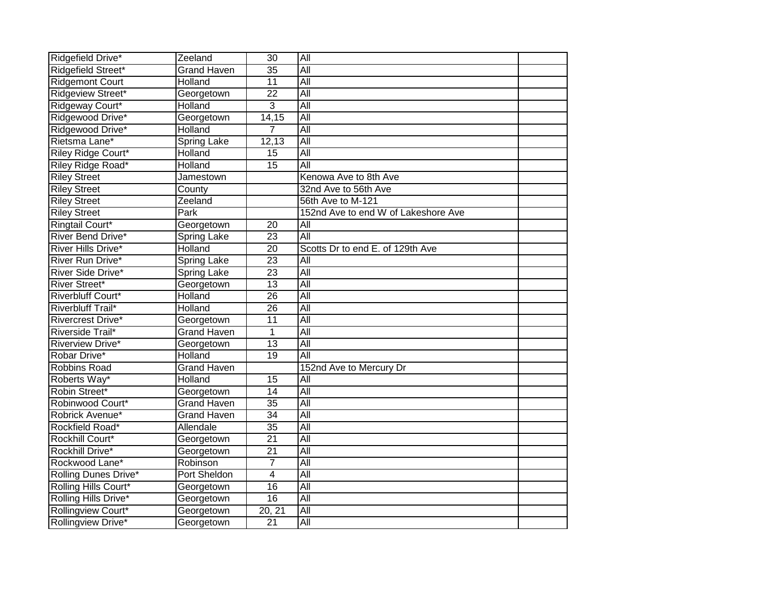| Ridgefield Drive*         | Zeeland            | 30              | All                                 |  |
|---------------------------|--------------------|-----------------|-------------------------------------|--|
| Ridgefield Street*        | <b>Grand Haven</b> | $\overline{35}$ | All                                 |  |
| <b>Ridgemont Court</b>    | Holland            | 11              | All                                 |  |
| Ridgeview Street*         | Georgetown         | $\overline{22}$ | All                                 |  |
| Ridgeway Court*           | Holland            | $\overline{3}$  | All                                 |  |
| Ridgewood Drive*          | Georgetown         | 14,15           | All                                 |  |
| Ridgewood Drive*          | Holland            | 7               | $\overline{All}$                    |  |
| Rietsma Lane*             | <b>Spring Lake</b> | 12,13           | $\overline{All}$                    |  |
| Riley Ridge Court*        | Holland            | 15              | $\overline{All}$                    |  |
| Riley Ridge Road*         | Holland            | $\overline{15}$ | All                                 |  |
| <b>Riley Street</b>       | Jamestown          |                 | Kenowa Ave to 8th Ave               |  |
| <b>Riley Street</b>       | County             |                 | 32nd Ave to 56th Ave                |  |
| <b>Riley Street</b>       | Zeeland            |                 | 56th Ave to M-121                   |  |
| <b>Riley Street</b>       | Park               |                 | 152nd Ave to end W of Lakeshore Ave |  |
| <b>Ringtail Court*</b>    | Georgetown         | $\overline{20}$ | All                                 |  |
| River Bend Drive*         | <b>Spring Lake</b> | $\overline{23}$ | All                                 |  |
| <b>River Hills Drive*</b> | Holland            | $\overline{20}$ | Scotts Dr to end E. of 129th Ave    |  |
| River Run Drive*          | <b>Spring Lake</b> | $\overline{23}$ | $\overline{All}$                    |  |
| <b>River Side Drive*</b>  | Spring Lake        | 23              | All                                 |  |
| <b>River Street*</b>      | Georgetown         | $\overline{13}$ | All                                 |  |
| Riverbluff Court*         | Holland            | 26              | All                                 |  |
| <b>Riverbluff Trail*</b>  | Holland            | $\overline{26}$ | <b>All</b>                          |  |
| <b>Rivercrest Drive*</b>  | Georgetown         | $\overline{11}$ | All                                 |  |
| Riverside Trail*          | <b>Grand Haven</b> | 1               | All                                 |  |
| <b>Riverview Drive*</b>   | Georgetown         | $\overline{13}$ | All                                 |  |
| Robar Drive*              | <b>Holland</b>     | 19              | All                                 |  |
| <b>Robbins Road</b>       | <b>Grand Haven</b> |                 | 152nd Ave to Mercury Dr             |  |
| Roberts Way*              | <b>Holland</b>     | $\overline{15}$ | $\overline{All}$                    |  |
| Robin Street*             | Georgetown         | $\overline{14}$ | All                                 |  |
| Robinwood Court*          | Grand Haven        | $\overline{35}$ | All                                 |  |
| Robrick Avenue*           | <b>Grand Haven</b> | $\overline{34}$ | All                                 |  |
| Rockfield Road*           | Allendale          | $\overline{35}$ | All                                 |  |
| Rockhill Court*           | Georgetown         | 21              | $\overline{All}$                    |  |
| Rockhill Drive*           | Georgetown         | $\overline{21}$ | All                                 |  |
| Rockwood Lane*            | Robinson           | 7               | $\overline{All}$                    |  |
| Rolling Dunes Drive*      | Port Sheldon       | $\overline{4}$  | All                                 |  |
| Rolling Hills Court*      | Georgetown         | 16              | All                                 |  |
| Rolling Hills Drive*      | Georgetown         | 16              | All                                 |  |
| Rollingview Court*        | Georgetown         | 20, 21          | All                                 |  |
| Rollingview Drive*        | Georgetown         | 21              | All                                 |  |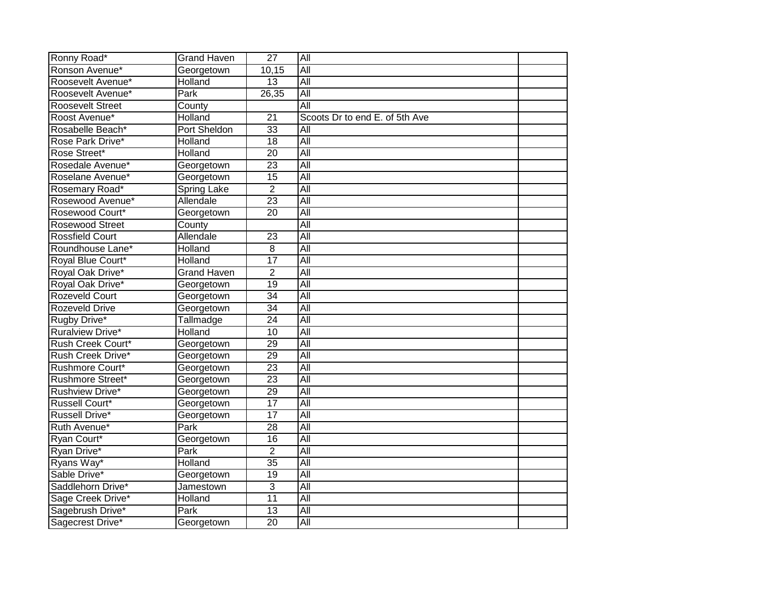| Ronny Road*             | <b>Grand Haven</b>  | $\overline{27}$ | <b>All</b>                     |  |
|-------------------------|---------------------|-----------------|--------------------------------|--|
| Ronson Avenue*          | Georgetown          | 10,15           | All                            |  |
| Roosevelt Avenue*       | Holland             | $\overline{13}$ | All                            |  |
| Roosevelt Avenue*       | Park                | 26,35           | All                            |  |
| <b>Roosevelt Street</b> | County              |                 | All                            |  |
| Roost Avenue*           | <b>Holland</b>      | 21              | Scoots Dr to end E. of 5th Ave |  |
| Rosabelle Beach*        | <b>Port Sheldon</b> | $\overline{33}$ | All                            |  |
| Rose Park Drive*        | Holland             | $\overline{18}$ | $\overline{All}$               |  |
| Rose Street*            | Holland             | 20              | All                            |  |
| Rosedale Avenue*        | Georgetown          | $\overline{23}$ | $\overline{All}$               |  |
| Roselane Avenue*        | Georgetown          | $\overline{15}$ | All                            |  |
| Rosemary Road*          | Spring Lake         | $\overline{2}$  | <b>All</b>                     |  |
| Rosewood Avenue*        | Allendale           | 23              | All                            |  |
| Rosewood Court*         | Georgetown          | 20              | All                            |  |
| <b>Rosewood Street</b>  | County              |                 | All                            |  |
| <b>Rossfield Court</b>  | Allendale           | $\overline{23}$ | $\overline{All}$               |  |
| Roundhouse Lane*        | <b>Holland</b>      | 8               | All                            |  |
| Royal Blue Court*       | Holland             | 17              | All                            |  |
| Royal Oak Drive*        | <b>Grand Haven</b>  | $\overline{2}$  | All                            |  |
| Royal Oak Drive*        | Georgetown          | 19              | <b>All</b>                     |  |
| Rozeveld Court          | Georgetown          | 34              | $\overline{All}$               |  |
| <b>Rozeveld Drive</b>   | Georgetown          | $\overline{34}$ | All                            |  |
| Rugby Drive*            | Tallmadge           | $\overline{24}$ | All                            |  |
| <b>Ruralview Drive*</b> | Holland             | $\overline{10}$ | <b>All</b>                     |  |
| Rush Creek Court*       | Georgetown          | 29              | All                            |  |
| Rush Creek Drive*       | Georgetown          | 29              | All                            |  |
| Rushmore Court*         | Georgetown          | $\overline{23}$ | All                            |  |
| <b>Rushmore Street*</b> | Georgetown          | $\overline{23}$ | $\overline{All}$               |  |
| <b>Rushview Drive*</b>  | Georgetown          | 29              | All                            |  |
| <b>Russell Court*</b>   | Georgetown          | 17              | All                            |  |
| <b>Russell Drive*</b>   | Georgetown          | 17              | All                            |  |
| Ruth Avenue*            | Park                | $\overline{28}$ | All                            |  |
| Ryan Court*             | Georgetown          | $\overline{16}$ | $\overline{All}$               |  |
| Ryan Drive*             | Park                | $\overline{2}$  | All                            |  |
| Ryans Way*              | Holland             | 35              | $\overline{All}$               |  |
| Sable Drive*            | Georgetown          | 19              | $\overline{All}$               |  |
| Saddlehorn Drive*       | Jamestown           | 3               | All                            |  |
| Sage Creek Drive*       | Holland             | 11              | <b>All</b>                     |  |
| Sagebrush Drive*        | Park                | $\overline{13}$ | $\overline{All}$               |  |
| Sagecrest Drive*        | Georgetown          | $\overline{20}$ | $\overline{All}$               |  |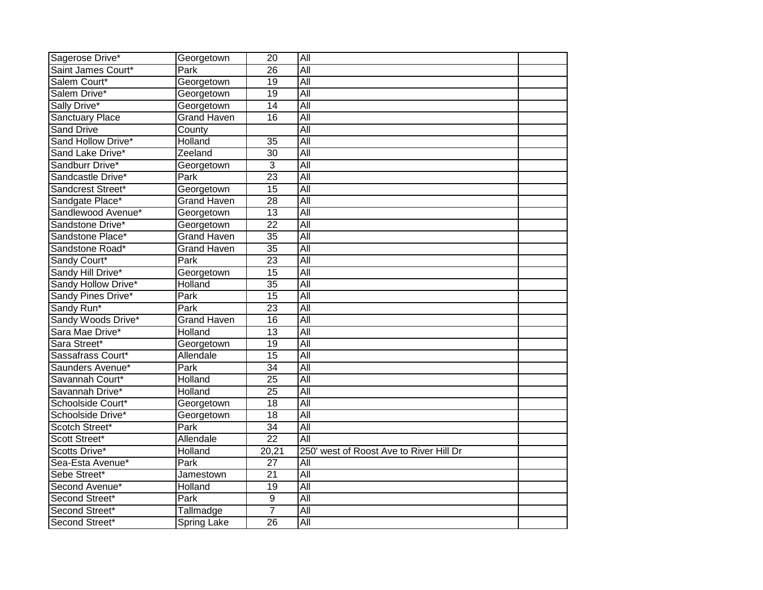| Sagerose Drive*        | Georgetown         | $\overline{20}$ | All                                     |  |
|------------------------|--------------------|-----------------|-----------------------------------------|--|
| Saint James Court*     | Park               | 26              | All                                     |  |
| Salem Court*           | Georgetown         | 19              | All                                     |  |
| Salem Drive*           | Georgetown         | $\overline{19}$ | All                                     |  |
| Sally Drive*           | Georgetown         | 14              | All                                     |  |
| <b>Sanctuary Place</b> | <b>Grand Haven</b> | $\overline{16}$ | $\overline{All}$                        |  |
| <b>Sand Drive</b>      | County             |                 | $\overline{All}$                        |  |
| Sand Hollow Drive*     | Holland            | 35              | $\overline{All}$                        |  |
| Sand Lake Drive*       | Zeeland            | 30              | $\overline{All}$                        |  |
| Sandburr Drive*        | Georgetown         | 3               | All                                     |  |
| Sandcastle Drive*      | Park               | $\overline{23}$ | $\overline{All}$                        |  |
| Sandcrest Street*      | Georgetown         | 15              | All                                     |  |
| Sandgate Place*        | <b>Grand Haven</b> | $\overline{28}$ | $\overline{All}$                        |  |
| Sandlewood Avenue*     | Georgetown         | 13              | $\overline{All}$                        |  |
| Sandstone Drive*       | Georgetown         | $\overline{22}$ | All                                     |  |
| Sandstone Place*       | <b>Grand Haven</b> | $\overline{35}$ | All                                     |  |
| Sandstone Road*        | <b>Grand Haven</b> | $\overline{35}$ | All                                     |  |
| Sandy Court*           | Park               | $\overline{23}$ | All                                     |  |
| Sandy Hill Drive*      | Georgetown         | $\overline{15}$ | All                                     |  |
| Sandy Hollow Drive*    | Holland            | $\overline{35}$ | All                                     |  |
| Sandy Pines Drive*     | Park               | 15              | All                                     |  |
| Sandy Run*             | Park               | $\overline{23}$ | $\overline{All}$                        |  |
| Sandy Woods Drive*     | <b>Grand Haven</b> | 16              | All                                     |  |
| Sara Mae Drive*        | Holland            | $\overline{13}$ | $\overline{All}$                        |  |
| Sara Street*           | Georgetown         | $\overline{19}$ | All                                     |  |
| Sassafrass Court*      | Allendale          | 15              | All                                     |  |
| Saunders Avenue*       | Park               | $\overline{34}$ | All                                     |  |
| Savannah Court*        | Holland            | $\overline{25}$ | All                                     |  |
| Savannah Drive*        | Holland            | $\overline{25}$ | All                                     |  |
| Schoolside Court*      | Georgetown         | 18              | All                                     |  |
| Schoolside Drive*      | Georgetown         | 18              | All                                     |  |
| Scotch Street*         | Park               | $\overline{34}$ | $\overline{All}$                        |  |
| Scott Street*          | Allendale          | $\overline{22}$ | $\overline{All}$                        |  |
| Scotts Drive*          | Holland            | 20,21           | 250' west of Roost Ave to River Hill Dr |  |
| Sea-Esta Avenue*       | Park               | 27              | $\overline{All}$                        |  |
| Sebe Street*           | Jamestown          | 21              | $\overline{All}$                        |  |
| Second Avenue*         | Holland            | $\overline{19}$ | All                                     |  |
| Second Street*         | Park               | $\overline{9}$  | All                                     |  |
| Second Street*         | Tallmadge          | $\overline{7}$  | All                                     |  |
| Second Street*         | Spring Lake        | 26              | All                                     |  |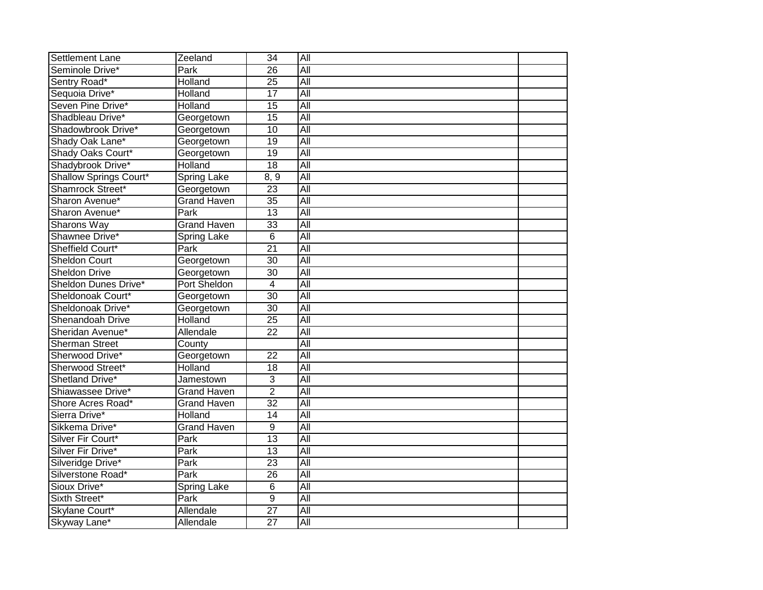| <b>Settlement Lane</b> | Zeeland             | $\overline{34}$ | All              |  |
|------------------------|---------------------|-----------------|------------------|--|
| Seminole Drive*        | Park                | $\overline{26}$ | All              |  |
| Sentry Road*           | <b>Holland</b>      | $\overline{25}$ | All              |  |
| Sequoia Drive*         | Holland             | 17              | All              |  |
| Seven Pine Drive*      | Holland             | 15              | <b>All</b>       |  |
| Shadbleau Drive*       | Georgetown          | $\overline{15}$ | All              |  |
| Shadowbrook Drive*     | Georgetown          | $\overline{10}$ | <b>All</b>       |  |
| Shady Oak Lane*        | Georgetown          | 19              | All              |  |
| Shady Oaks Court*      | Georgetown          | $\overline{19}$ | $\overline{All}$ |  |
| Shadybrook Drive*      | Holland             | 18              | All              |  |
| Shallow Springs Court* | <b>Spring Lake</b>  | 8, 9            | All              |  |
| Shamrock Street*       | Georgetown          | $\overline{23}$ | All              |  |
| Sharon Avenue*         | <b>Grand Haven</b>  | $\overline{35}$ | $\overline{All}$ |  |
| Sharon Avenue*         | Park                | 13              | All              |  |
| <b>Sharons Way</b>     | <b>Grand Haven</b>  | 33              | <b>All</b>       |  |
| Shawnee Drive*         | Spring Lake         | 6               | All              |  |
| Sheffield Court*       | Park                | $\overline{21}$ | All              |  |
| <b>Sheldon Court</b>   | Georgetown          | $\overline{30}$ | All              |  |
| <b>Sheldon Drive</b>   | Georgetown          | $\overline{30}$ | All              |  |
| Sheldon Dunes Drive*   | <b>Port Sheldon</b> | 4               | <b>All</b>       |  |
| Sheldonoak Court*      | Georgetown          | $\overline{30}$ | All              |  |
| Sheldonoak Drive*      | Georgetown          | $\overline{30}$ | All              |  |
| Shenandoah Drive       | <b>Holland</b>      | $\overline{25}$ | <b>All</b>       |  |
| Sheridan Avenue*       | Allendale           | $\overline{22}$ | All              |  |
| <b>Sherman Street</b>  | County              |                 | <b>All</b>       |  |
| Sherwood Drive*        | Georgetown          | $\overline{22}$ | All              |  |
| Sherwood Street*       | Holland             | 18              | All              |  |
| Shetland Drive*        | Jamestown           | 3               | All              |  |
| Shiawassee Drive*      | <b>Grand Haven</b>  | $\overline{2}$  | All              |  |
| Shore Acres Road*      | <b>Grand Haven</b>  | $\overline{32}$ | All              |  |
| Sierra Drive*          | <b>Holland</b>      | $\overline{14}$ | All              |  |
| Sikkema Drive*         | <b>Grand Haven</b>  | $\overline{9}$  | All              |  |
| Silver Fir Court*      | Park                | $\overline{13}$ | $\overline{All}$ |  |
| Silver Fir Drive*      | Park                | 13              | All              |  |
| Silveridge Drive*      | Park                | 23              | $\overline{All}$ |  |
| Silverstone Road*      | Park                | 26              | $\overline{All}$ |  |
| Sioux Drive*           | <b>Spring Lake</b>  | 6               | All              |  |
| Sixth Street*          | Park                | $\overline{9}$  | <b>All</b>       |  |
| Skylane Court*         | Allendale           | $\overline{27}$ | All              |  |
| Skyway Lane*           | Allendale           | $\overline{27}$ | $\overline{All}$ |  |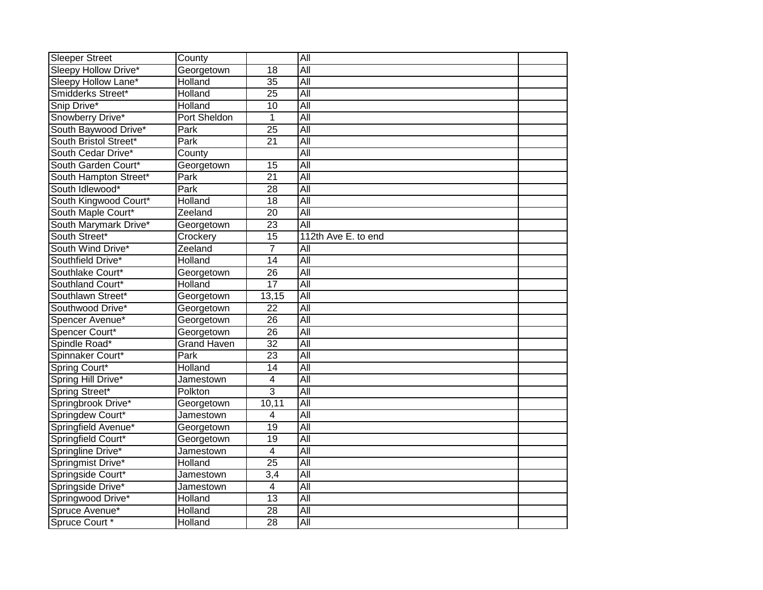| <b>Sleeper Street</b> | County             |                 | All                 |  |
|-----------------------|--------------------|-----------------|---------------------|--|
| Sleepy Hollow Drive*  | Georgetown         | $\overline{18}$ | All                 |  |
| Sleepy Hollow Lane*   | Holland            | 35              | All                 |  |
| Smidderks Street*     | Holland            | $\overline{25}$ | All                 |  |
| Snip Drive*           | Holland            | 10              | All                 |  |
| Snowberry Drive*      | Port Sheldon       | 1               | $\overline{All}$    |  |
| South Baywood Drive*  | Park               | $\overline{25}$ | $\overline{All}$    |  |
| South Bristol Street* | Park               | $\overline{21}$ | $\overline{All}$    |  |
| South Cedar Drive*    | County             |                 | $\overline{All}$    |  |
| South Garden Court*   | Georgetown         | $\overline{15}$ | All                 |  |
| South Hampton Street* | Park               | $\overline{21}$ | $\overline{All}$    |  |
| South Idlewood*       | Park               | $\overline{28}$ | All                 |  |
| South Kingwood Court* | Holland            | 18              | $\overline{All}$    |  |
| South Maple Court*    | Zeeland            | 20              | $\overline{All}$    |  |
| South Marymark Drive* | Georgetown         | $\overline{23}$ | All                 |  |
| South Street*         | Crockery           | $\overline{15}$ | 112th Ave E. to end |  |
| South Wind Drive*     | Zeeland            | $\overline{7}$  | $\overline{All}$    |  |
| Southfield Drive*     | <b>Holland</b>     | $\overline{14}$ | All                 |  |
| Southlake Court*      | Georgetown         | 26              | <b>All</b>          |  |
| Southland Court*      | Holland            | $\overline{17}$ | All                 |  |
| Southlawn Street*     | Georgetown         | 13,15           | All                 |  |
| Southwood Drive*      | Georgetown         | 22              | $\overline{All}$    |  |
| Spencer Avenue*       | Georgetown         | $\overline{26}$ | All                 |  |
| Spencer Court*        | Georgetown         | $\overline{26}$ | $\overline{All}$    |  |
| Spindle Road*         | <b>Grand Haven</b> | $\overline{32}$ | All                 |  |
| Spinnaker Court*      | Park               | 23              | All                 |  |
| Spring Court*         | Holland            | $\overline{14}$ | All                 |  |
| Spring Hill Drive*    | Jamestown          | 4               | $\overline{All}$    |  |
| Spring Street*        | Polkton            | 3               | All                 |  |
| Springbrook Drive*    | Georgetown         | 10,11           | All                 |  |
| Springdew Court*      | Jamestown          | 4               | All                 |  |
| Springfield Avenue*   | Georgetown         | $\overline{19}$ | $\overline{All}$    |  |
| Springfield Court*    | Georgetown         | 19              | $\overline{All}$    |  |
| Springline Drive*     | Jamestown          | 4               | $\overline{All}$    |  |
| Springmist Drive*     | Holland            | 25              | $\overline{All}$    |  |
| Springside Court*     | Jamestown          | 3,4             | $\overline{All}$    |  |
| Springside Drive*     | Jamestown          | 4               | $\overline{All}$    |  |
| Springwood Drive*     | <b>Holland</b>     | $\overline{13}$ | All                 |  |
| Spruce Avenue*        | Holland            | 28              | All                 |  |
| Spruce Court *        | Holland            | 28              | All                 |  |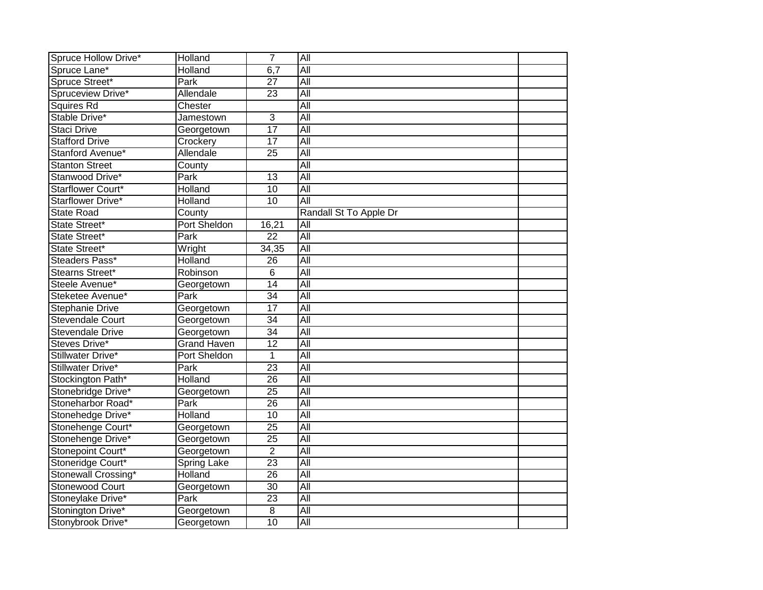| Spruce Hollow Drive*    | Holland            | $\overline{7}$  | All                    |  |
|-------------------------|--------------------|-----------------|------------------------|--|
| Spruce Lane*            | Holland            | 6,7             | All                    |  |
| Spruce Street*          | Park               | $\overline{27}$ | All                    |  |
| Spruceview Drive*       | Allendale          | $\overline{23}$ | <b>All</b>             |  |
| Squires Rd              | Chester            |                 | <b>All</b>             |  |
| Stable Drive*           | Jamestown          | 3               | $\overline{All}$       |  |
| <b>Staci Drive</b>      | Georgetown         | $\overline{17}$ | $\overline{All}$       |  |
| <b>Stafford Drive</b>   | Crockery           | 17              | $\overline{All}$       |  |
| Stanford Avenue*        | Allendale          | 25              | $\overline{All}$       |  |
| <b>Stanton Street</b>   | County             |                 | All                    |  |
| Stanwood Drive*         | Park               | 13              | $\overline{All}$       |  |
| Starflower Court*       | Holland            | 10              | $\overline{All}$       |  |
| Starflower Drive*       | Holland            | 10              | $\overline{All}$       |  |
| <b>State Road</b>       | County             |                 | Randall St To Apple Dr |  |
| State Street*           | Port Sheldon       | 16,21           | All                    |  |
| State Street*           | Park               | $\overline{22}$ | All                    |  |
| State Street*           | Wright             | 34,35           | $\overline{All}$       |  |
| Steaders Pass*          | Holland            | 26              | $\overline{All}$       |  |
| Stearns Street*         | Robinson           | $\overline{6}$  | All                    |  |
| Steele Avenue*          | Georgetown         | $\overline{14}$ | All                    |  |
| Steketee Avenue*        | Park               | 34              | All                    |  |
| <b>Stephanie Drive</b>  | Georgetown         | $\overline{17}$ | $\overline{All}$       |  |
| <b>Stevendale Court</b> | Georgetown         | $\overline{34}$ | All                    |  |
| <b>Stevendale Drive</b> | Georgetown         | $\overline{34}$ | $\overline{All}$       |  |
| Steves Drive*           | <b>Grand Haven</b> | $\overline{12}$ | All                    |  |
| Stillwater Drive*       | Port Sheldon       | 1               | All                    |  |
| Stillwater Drive*       | Park               | $\overline{23}$ | All                    |  |
| Stockington Path*       | Holland            | $\overline{26}$ | $\overline{All}$       |  |
| Stonebridge Drive*      | Georgetown         | $\overline{25}$ | All                    |  |
| Stoneharbor Road*       | Park               | 26              | All                    |  |
| Stonehedge Drive*       | Holland            | 10              | All                    |  |
| Stonehenge Court*       | Georgetown         | $\overline{25}$ | $\overline{All}$       |  |
| Stonehenge Drive*       | Georgetown         | 25              | $\overline{All}$       |  |
| Stonepoint Court*       | Georgetown         | $\overline{2}$  | $\overline{All}$       |  |
| Stoneridge Court*       | <b>Spring Lake</b> | 23              | $\overline{All}$       |  |
| Stonewall Crossing*     | Holland            | 26              | $\overline{All}$       |  |
| <b>Stonewood Court</b>  | Georgetown         | $\overline{30}$ | All                    |  |
| Stoneylake Drive*       | <b>Park</b>        | 23              | All                    |  |
| Stonington Drive*       | Georgetown         | 8               | All                    |  |
| Stonybrook Drive*       | Georgetown         | 10              | All                    |  |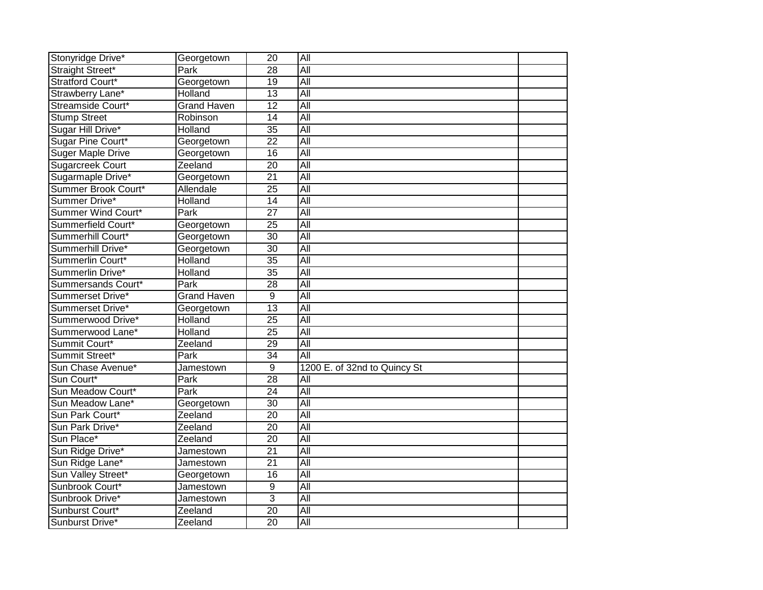| Stonyridge Drive*        | Georgetown         | $\overline{20}$ | All                          |  |
|--------------------------|--------------------|-----------------|------------------------------|--|
| Straight Street*         | Park               | 28              | All                          |  |
| Stratford Court*         | Georgetown         | 19              | All                          |  |
| Strawberry Lane*         | Holland            | $\overline{13}$ | All                          |  |
| Streamside Court*        | <b>Grand Haven</b> | $\overline{12}$ | All                          |  |
| <b>Stump Street</b>      | Robinson           | 14              | <b>All</b>                   |  |
| Sugar Hill Drive*        | Holland            | $\overline{35}$ | $\overline{All}$             |  |
| Sugar Pine Court*        | Georgetown         | $\overline{22}$ | $\overline{All}$             |  |
| <b>Suger Maple Drive</b> | Georgetown         | 16              | $\overline{All}$             |  |
| <b>Sugarcreek Court</b>  | Zeeland            | 20              | All                          |  |
| Sugarmaple Drive*        | Georgetown         | $\overline{21}$ | $\overline{All}$             |  |
| Summer Brook Court*      | Allendale          | $\overline{25}$ | All                          |  |
| Summer Drive*            | Holland            | 14              | $\overline{All}$             |  |
| Summer Wind Court*       | Park               | $\overline{27}$ | $\overline{All}$             |  |
| Summerfield Court*       | Georgetown         | $\overline{25}$ | All                          |  |
| Summerhill Court*        | Georgetown         | $\overline{30}$ | All                          |  |
| Summerhill Drive*        | Georgetown         | $\overline{30}$ | All                          |  |
| Summerlin Court*         | Holland            | $\overline{35}$ | All                          |  |
| Summerlin Drive*         | Holland            | 35              | <b>All</b>                   |  |
| Summersands Court*       | Park               | $\overline{28}$ | All                          |  |
| Summerset Drive*         | <b>Grand Haven</b> | 9               | All                          |  |
| Summerset Drive*         | Georgetown         | $\overline{13}$ | $\overline{All}$             |  |
| Summerwood Drive*        | Holland            | $\overline{25}$ | All                          |  |
| Summerwood Lane*         | Holland            | $\overline{25}$ | $\overline{All}$             |  |
| Summit Court*            | Zeeland            | $\overline{29}$ | All                          |  |
| Summit Street*           | Park               | $\overline{34}$ | <b>All</b>                   |  |
| Sun Chase Avenue*        | Jamestown          | $\overline{9}$  | 1200 E. of 32nd to Quincy St |  |
| Sun Court*               | <b>Park</b>        | 28              | $\overline{All}$             |  |
| Sun Meadow Court*        | Park               | $\overline{24}$ | All                          |  |
| Sun Meadow Lane*         | Georgetown         | 30              | All                          |  |
| Sun Park Court*          | Zeeland            | $\overline{20}$ | All                          |  |
| Sun Park Drive*          | Zeeland            | $\overline{20}$ | $\overline{All}$             |  |
| Sun Place*               | Zeeland            | 20              | $\overline{All}$             |  |
| Sun Ridge Drive*         | Jamestown          | $\overline{21}$ | $\overline{All}$             |  |
| Sun Ridge Lane*          | Jamestown          | 21              | All                          |  |
| Sun Valley Street*       | Georgetown         | 16              | $\overline{All}$             |  |
| Sunbrook Court*          | Jamestown          | $\overline{9}$  | $\overline{All}$             |  |
| Sunbrook Drive*          | Jamestown          | $\overline{3}$  | All                          |  |
| Sunburst Court*          | Zeeland            | $\overline{20}$ | All                          |  |
| Sunburst Drive*          | Zeeland            | 20              | All                          |  |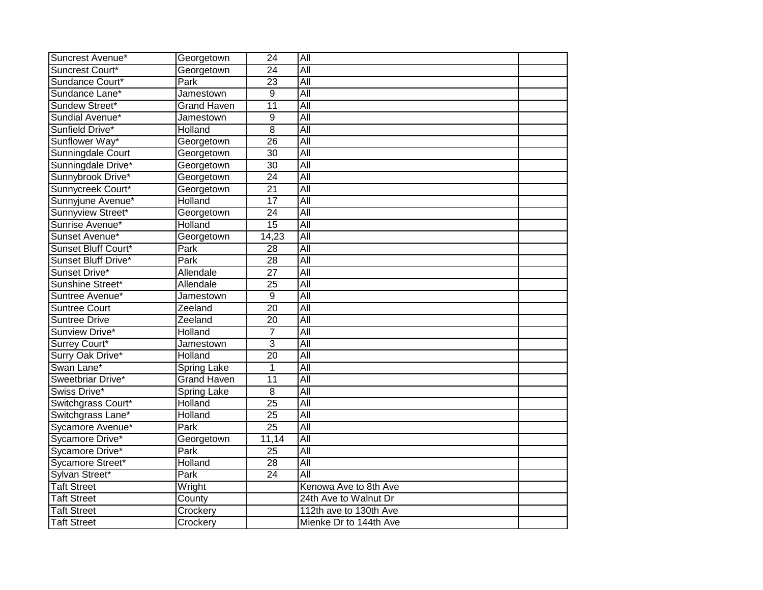| Suncrest Avenue*     | Georgetown         | $\overline{24}$ | All                    |  |
|----------------------|--------------------|-----------------|------------------------|--|
| Suncrest Court*      | Georgetown         | 24              | All                    |  |
| Sundance Court*      | Park               | $\overline{23}$ | $\overline{All}$       |  |
| Sundance Lane*       | Jamestown          | $\overline{9}$  | All                    |  |
| Sundew Street*       | <b>Grand Haven</b> | $\overline{11}$ | All                    |  |
| Sundial Avenue*      | Jamestown          | 9               | $\overline{All}$       |  |
| Sunfield Drive*      | Holland            | $\overline{8}$  | All                    |  |
| Sunflower Way*       | Georgetown         | $\overline{26}$ | All                    |  |
| Sunningdale Court    | Georgetown         | 30              | All                    |  |
| Sunningdale Drive*   | Georgetown         | 30              | $\overline{All}$       |  |
| Sunnybrook Drive*    | Georgetown         | 24              | $\overline{All}$       |  |
| Sunnycreek Court*    | Georgetown         | $\overline{21}$ | All                    |  |
| Sunnyjune Avenue*    | Holland            | 17              | $\overline{All}$       |  |
| Sunnyview Street*    | Georgetown         | $\overline{24}$ | All                    |  |
| Sunrise Avenue*      | Holland            | $\overline{15}$ | All                    |  |
| Sunset Avenue*       | Georgetown         | 14,23           | $\overline{All}$       |  |
| Sunset Bluff Court*  | Park               | $\overline{28}$ | All                    |  |
| Sunset Bluff Drive*  | Park               | $\overline{28}$ | All                    |  |
| Sunset Drive*        | Allendale          | $\overline{27}$ | All                    |  |
| Sunshine Street*     | Allendale          | $\overline{25}$ | All                    |  |
| Suntree Avenue*      | Jamestown          | 9               | All                    |  |
| <b>Suntree Court</b> | Zeeland            | $\overline{20}$ | All                    |  |
| <b>Suntree Drive</b> | Zeeland            | $\overline{20}$ | All                    |  |
| Sunview Drive*       | Holland            | $\overline{7}$  | All                    |  |
| Surrey Court*        | Jamestown          | $\overline{3}$  | All                    |  |
| Surry Oak Drive*     | Holland            | $\overline{20}$ | All                    |  |
| Swan Lane*           | Spring Lake        | $\mathbf{1}$    | All                    |  |
| Sweetbriar Drive*    | <b>Grand Haven</b> | 11              | All                    |  |
| Swiss Drive*         | <b>Spring Lake</b> | 8               | $\overline{All}$       |  |
| Switchgrass Court*   | Holland            | $\overline{25}$ | All                    |  |
| Switchgrass Lane*    | <b>Holland</b>     | $\overline{25}$ | $\overline{All}$       |  |
| Sycamore Avenue*     | Park               | $\overline{25}$ | All                    |  |
| Sycamore Drive*      | Georgetown         | 11,14           | All                    |  |
| Sycamore Drive*      | Park               | 25              | $\overline{All}$       |  |
| Sycamore Street*     | Holland            | 28              | All                    |  |
| Sylvan Street*       | Park               | 24              | All                    |  |
| <b>Taft Street</b>   | Wright             |                 | Kenowa Ave to 8th Ave  |  |
| <b>Taft Street</b>   | County             |                 | 24th Ave to Walnut Dr  |  |
| <b>Taft Street</b>   | Crockery           |                 | 112th ave to 130th Ave |  |
| <b>Taft Street</b>   | Crockery           |                 | Mienke Dr to 144th Ave |  |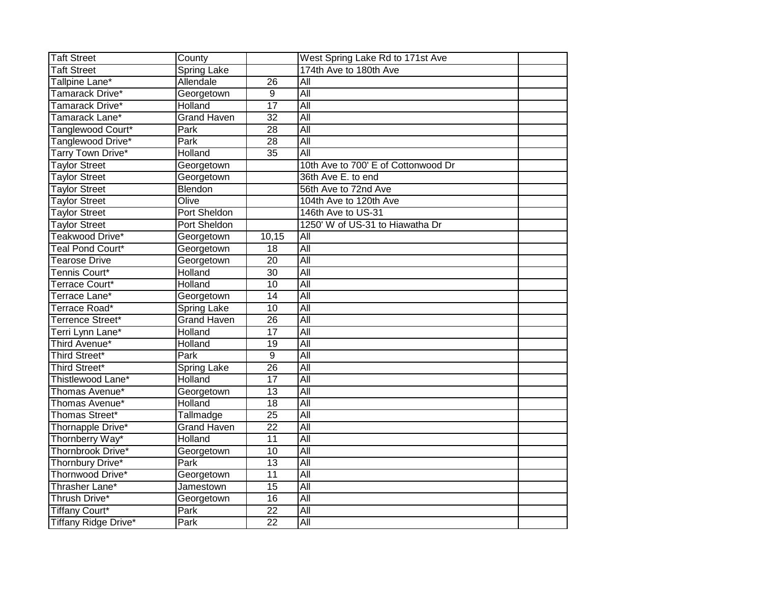| <b>Taft Street</b>      | County             |                 | West Spring Lake Rd to 171st Ave    |  |
|-------------------------|--------------------|-----------------|-------------------------------------|--|
| <b>Taft Street</b>      | <b>Spring Lake</b> |                 | 174th Ave to 180th Ave              |  |
| Tallpine Lane*          | Allendale          | $\overline{26}$ | All                                 |  |
| Tamarack Drive*         | Georgetown         | 9               | All                                 |  |
| Tamarack Drive*         | Holland            | $\overline{17}$ | All                                 |  |
| Tamarack Lane*          | <b>Grand Haven</b> | $\overline{32}$ | All                                 |  |
| Tanglewood Court*       | Park               | 28              | All                                 |  |
| Tanglewood Drive*       | Park               | 28              | $\overline{All}$                    |  |
| Tarry Town Drive*       | Holland            | $\overline{35}$ | All                                 |  |
| <b>Taylor Street</b>    | Georgetown         |                 | 10th Ave to 700' E of Cottonwood Dr |  |
| <b>Taylor Street</b>    | Georgetown         |                 | 36th Ave E. to end                  |  |
| <b>Taylor Street</b>    | Blendon            |                 | 56th Ave to 72nd Ave                |  |
| Taylor Street           | Olive              |                 | 104th Ave to 120th Ave              |  |
| <b>Taylor Street</b>    | Port Sheldon       |                 | 146th Ave to US-31                  |  |
| <b>Taylor Street</b>    | Port Sheldon       |                 | 1250' W of US-31 to Hiawatha Dr     |  |
| Teakwood Drive*         | Georgetown         | 10,15           | All                                 |  |
| <b>Teal Pond Court*</b> | Georgetown         | 18              | $\overline{All}$                    |  |
| Tearose Drive           | Georgetown         | $\overline{20}$ | All                                 |  |
| Tennis Court*           | Holland            | $\overline{30}$ | All                                 |  |
| Terrace Court*          | Holland            | 10              | $\overline{All}$                    |  |
| Terrace Lane*           | Georgetown         | 14              | $\overline{All}$                    |  |
| Terrace Road*           | <b>Spring Lake</b> | $\overline{10}$ | All                                 |  |
| Terrence Street*        | <b>Grand Haven</b> | $\overline{26}$ | All                                 |  |
| Terri Lynn Lane*        | Holland            | $\overline{17}$ | All                                 |  |
| Third Avenue*           | Holland            | $\overline{19}$ | All                                 |  |
| Third Street*           | Park               | $\overline{9}$  | All                                 |  |
| Third Street*           | <b>Spring Lake</b> | $\overline{26}$ | All                                 |  |
| Thistlewood Lane*       | Holland            | 17              | $\overline{All}$                    |  |
| Thomas Avenue*          | Georgetown         | $\overline{13}$ | All                                 |  |
| Thomas Avenue*          | Holland            | $\overline{18}$ | All                                 |  |
| Thomas Street*          | Tallmadge          | $\overline{25}$ | All                                 |  |
| Thornapple Drive*       | <b>Grand Haven</b> | $\overline{22}$ | All                                 |  |
| Thornberry Way*         | Holland            | $\overline{11}$ | All                                 |  |
| Thornbrook Drive*       | Georgetown         | 10              | All                                 |  |
| Thornbury Drive*        | Park               | 13              | $\overline{All}$                    |  |
| Thornwood Drive*        | Georgetown         | 11              | All                                 |  |
| Thrasher Lane*          | Jamestown          | 15              | All                                 |  |
| Thrush Drive*           | Georgetown         | 16              | All                                 |  |
| <b>Tiffany Court*</b>   | Park               | $\overline{22}$ | $\overline{All}$                    |  |
| Tiffany Ridge Drive*    | Park               | 22              | $\overline{All}$                    |  |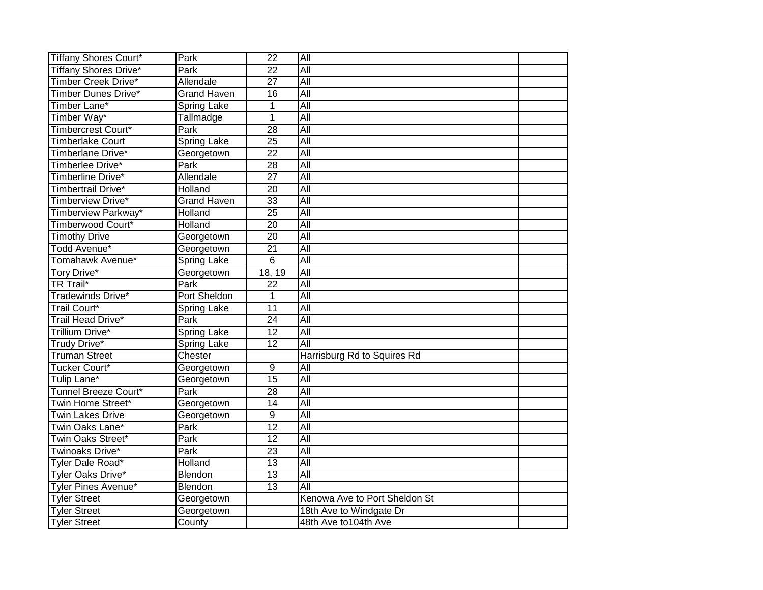| <b>Tiffany Shores Court*</b> | Park               | $\overline{22}$ | All                           |  |
|------------------------------|--------------------|-----------------|-------------------------------|--|
| <b>Tiffany Shores Drive*</b> | Park               | $\overline{22}$ | All                           |  |
| Timber Creek Drive*          | Allendale          | $\overline{27}$ | All                           |  |
| Timber Dunes Drive*          | <b>Grand Haven</b> | $\overline{16}$ | All                           |  |
| Timber Lane*                 | Spring Lake        | 1               | All                           |  |
| Timber Way*                  | Tallmadge          | 1               | All                           |  |
| Timbercrest Court*           | Park               | $\overline{28}$ | All                           |  |
| <b>Timberlake Court</b>      | <b>Spring Lake</b> | $\overline{25}$ | All                           |  |
| Timberlane Drive*            | Georgetown         | $\overline{22}$ | $\overline{All}$              |  |
| Timberlee Drive*             | Park               | 28              | All                           |  |
| Timberline Drive*            | Allendale          | 27              | $\overline{All}$              |  |
| Timbertrail Drive*           | Holland            | $\overline{20}$ | All                           |  |
| Timberview Drive*            | <b>Grand Haven</b> | $\overline{33}$ | All                           |  |
| Timberview Parkway*          | <b>Holland</b>     | $\overline{25}$ | $\overline{All}$              |  |
| Timberwood Court*            | Holland            | $\overline{20}$ | All                           |  |
| <b>Timothy Drive</b>         | Georgetown         | $\overline{20}$ | All                           |  |
| Todd Avenue*                 | Georgetown         | $\overline{21}$ | All                           |  |
| Tomahawk Avenue*             | Spring Lake        | 6               | All                           |  |
| Tory Drive*                  | Georgetown         | 18, 19          | All                           |  |
| <b>TR Trail*</b>             | Park               | $\overline{22}$ | $\overline{All}$              |  |
| <b>Tradewinds Drive*</b>     | Port Sheldon       | 1               | All                           |  |
| <b>Trail Court*</b>          | <b>Spring Lake</b> | 11              | All                           |  |
| <b>Trail Head Drive*</b>     | Park               | $\overline{24}$ | All                           |  |
| Trillium Drive*              | <b>Spring Lake</b> | $\overline{12}$ | All                           |  |
| Trudy Drive*                 | Spring Lake        | $\overline{12}$ | All                           |  |
| <b>Truman Street</b>         | Chester            |                 | Harrisburg Rd to Squires Rd   |  |
| Tucker Court*                | Georgetown         | 9               | $\overline{All}$              |  |
| Tulip Lane*                  | Georgetown         | $\overline{15}$ | $\overline{All}$              |  |
| Tunnel Breeze Court*         | Park               | 28              | All                           |  |
| Twin Home Street*            | Georgetown         | $\overline{14}$ | All                           |  |
| <b>Twin Lakes Drive</b>      | Georgetown         | $\overline{9}$  | All                           |  |
| Twin Oaks Lane*              | Park               | $\overline{12}$ | All                           |  |
| Twin Oaks Street*            | Park               | 12              | All                           |  |
| Twinoaks Drive*              | Park               | 23              | $\overline{All}$              |  |
| Tyler Dale Road*             | Holland            | 13              | $\overline{All}$              |  |
| Tyler Oaks Drive*            | Blendon            | 13              | $\overline{All}$              |  |
| <b>Tyler Pines Avenue*</b>   | Blendon            | $\overline{13}$ | All                           |  |
| <b>Tyler Street</b>          | Georgetown         |                 | Kenowa Ave to Port Sheldon St |  |
| <b>Tyler Street</b>          | Georgetown         |                 | 18th Ave to Windgate Dr       |  |
| <b>Tyler Street</b>          | County             |                 | 48th Ave to104th Ave          |  |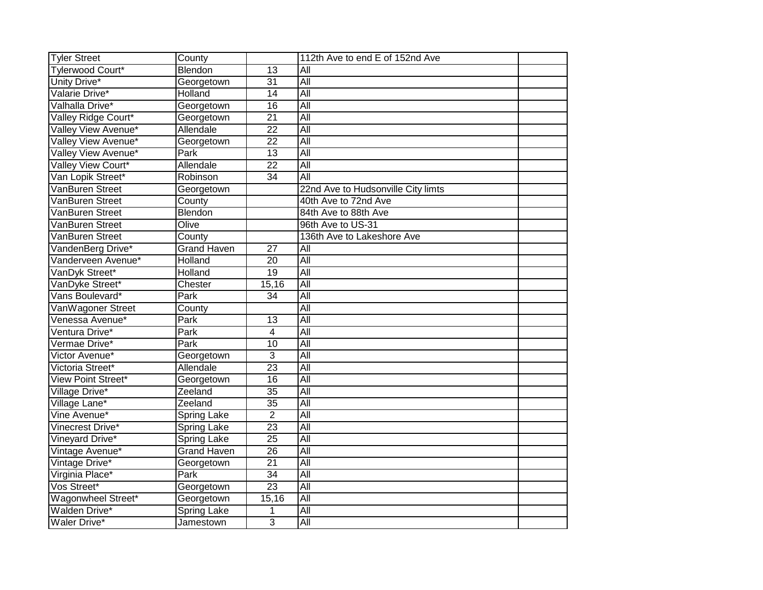| <b>Tyler Street</b>       | County             |                 | 112th Ave to end E of 152nd Ave    |  |
|---------------------------|--------------------|-----------------|------------------------------------|--|
| <b>Tylerwood Court*</b>   | Blendon            | $\overline{13}$ | $\overline{All}$                   |  |
| Unity Drive*              | Georgetown         | $\overline{31}$ | All                                |  |
| Valarie Drive*            | Holland            | $\overline{14}$ | All                                |  |
| Valhalla Drive*           | Georgetown         | $\overline{16}$ | All                                |  |
| Valley Ridge Court*       | Georgetown         | $\overline{21}$ | All                                |  |
| Valley View Avenue*       | Allendale          | $\overline{22}$ | All                                |  |
| Valley View Avenue*       | Georgetown         | 22              | All                                |  |
| Valley View Avenue*       | Park               | 13              | All                                |  |
| Valley View Court*        | Allendale          | 22              | All                                |  |
| Van Lopik Street*         | Robinson           | 34              | $\overline{All}$                   |  |
| VanBuren Street           | Georgetown         |                 | 22nd Ave to Hudsonville City limts |  |
| VanBuren Street           | County             |                 | 40th Ave to 72nd Ave               |  |
| VanBuren Street           | Blendon            |                 | 84th Ave to 88th Ave               |  |
| VanBuren Street           | Olive              |                 | 96th Ave to US-31                  |  |
| VanBuren Street           | County             |                 | 136th Ave to Lakeshore Ave         |  |
| VandenBerg Drive*         | <b>Grand Haven</b> | $\overline{27}$ | $\overline{All}$                   |  |
| Vanderveen Avenue*        | Holland            | $\overline{20}$ | All                                |  |
| VanDyk Street*            | Holland            | 19              | All                                |  |
| VanDyke Street*           | Chester            | 15,16           | All                                |  |
| Vans Boulevard*           | Park               | $\overline{34}$ | All                                |  |
| VanWagoner Street         | County             |                 | All                                |  |
| Venessa Avenue*           | Park               | 13              | All                                |  |
| Ventura Drive*            | Park               | 4               | $\overline{All}$                   |  |
| Vermae Drive*             | Park               | 10              | All                                |  |
| Victor Avenue*            | Georgetown         | $\overline{3}$  | All                                |  |
| Victoria Street*          | Allendale          | 23              | All                                |  |
| <b>View Point Street*</b> | Georgetown         | 16              | $\overline{All}$                   |  |
| Village Drive*            | Zeeland            | $\overline{35}$ | $\overline{All}$                   |  |
| Village Lane*             | Zeeland            | $\overline{35}$ | All                                |  |
| Vine Avenue*              | Spring Lake        | $\overline{2}$  | All                                |  |
| Vinecrest Drive*          | <b>Spring Lake</b> | $\overline{23}$ | All                                |  |
| Vineyard Drive*           | <b>Spring Lake</b> | 25              | $\overline{All}$                   |  |
| Vintage Avenue*           | <b>Grand Haven</b> | $\overline{26}$ | All                                |  |
| Vintage Drive*            | Georgetown         | $\overline{21}$ | $\overline{All}$                   |  |
| Virginia Place*           | Park               | 34              | $\overline{All}$                   |  |
| Vos Street*               | Georgetown         | $\overline{23}$ | All                                |  |
| Wagonwheel Street*        | Georgetown         | 15,16           | All                                |  |
| Walden Drive*             | Spring Lake        | 1               | All                                |  |
| Waler Drive*              | Jamestown          | $\overline{3}$  | $\overline{All}$                   |  |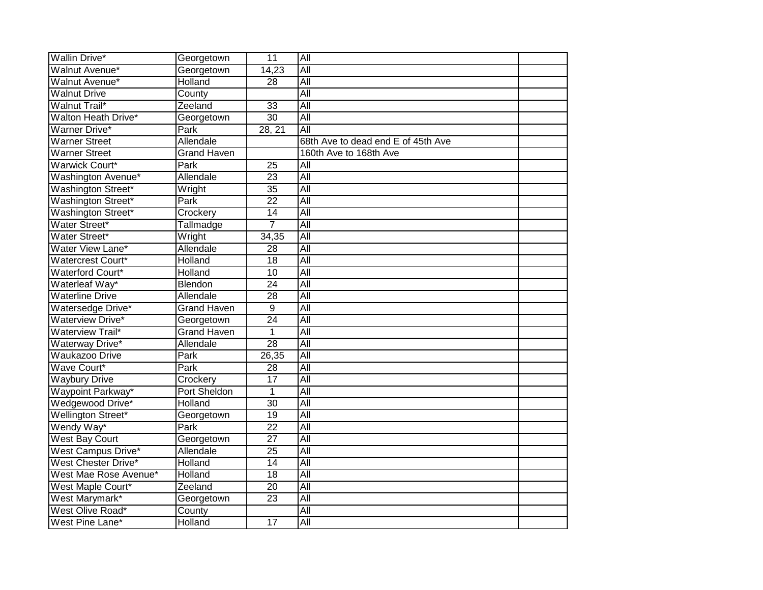| <b>Wallin Drive*</b>       | Georgetown          | $\overline{11}$ | All                                |  |
|----------------------------|---------------------|-----------------|------------------------------------|--|
| Walnut Avenue*             | Georgetown          | 14,23           | All                                |  |
| Walnut Avenue*             | Holland             | $\overline{28}$ | All                                |  |
| <b>Walnut Drive</b>        | County              |                 | <b>All</b>                         |  |
| <b>Walnut Trail*</b>       | Zeeland             | 33              | $\overline{All}$                   |  |
| Walton Heath Drive*        | Georgetown          | $\overline{30}$ | Αll                                |  |
| <b>Warner Drive*</b>       | Park                | 28, 21          | $\overline{All}$                   |  |
| <b>Warner Street</b>       | Allendale           |                 | 68th Ave to dead end E of 45th Ave |  |
| <b>Warner Street</b>       | <b>Grand Haven</b>  |                 | 160th Ave to 168th Ave             |  |
| Warwick Court*             | Park                | 25              | All                                |  |
| Washington Avenue*         | Allendale           | $\overline{23}$ | All                                |  |
| Washington Street*         | Wright              | $\overline{35}$ | All                                |  |
| Washington Street*         | Park                | $\overline{22}$ | All                                |  |
| Washington Street*         | Crockery            | 14              | $\overline{All}$                   |  |
| Water Street*              | Tallmadge           | $\overline{7}$  | All                                |  |
| Water Street*              | Wright              | 34,35           | $\overline{All}$                   |  |
| Water View Lane*           | Allendale           | $\overline{28}$ | All                                |  |
| Watercrest Court*          | Holland             | $\overline{18}$ | All                                |  |
| <b>Waterford Court*</b>    | Holland             | $\overline{10}$ | All                                |  |
| Waterleaf Way*             | Blendon             | $\overline{24}$ | All                                |  |
| <b>Waterline Drive</b>     | Allendale           | $\overline{28}$ | All                                |  |
| Watersedge Drive*          | <b>Grand Haven</b>  | $\overline{9}$  | All                                |  |
| <b>Waterview Drive*</b>    | Georgetown          | $\overline{24}$ | All                                |  |
| <b>Waterview Trail*</b>    | <b>Grand Haven</b>  | 1               | All                                |  |
| Waterway Drive*            | Allendale           | $\overline{28}$ | All                                |  |
| <b>Waukazoo Drive</b>      | Park                | 26,35           | All                                |  |
| Wave Court*                | Park                | 28              | All                                |  |
| <b>Waybury Drive</b>       | Crockery            | $\overline{17}$ | $\overline{All}$                   |  |
| Waypoint Parkway*          | <b>Port Sheldon</b> | 1               | All                                |  |
| Wedgewood Drive*           | Holland             | $\overline{30}$ | All                                |  |
| Wellington Street*         | Georgetown          | 19              | All                                |  |
| Wendy Way*                 | Park                | $\overline{22}$ | All                                |  |
| <b>West Bay Court</b>      | Georgetown          | $\overline{27}$ | $\overline{All}$                   |  |
| West Campus Drive*         | Allendale           | 25              | $\overline{All}$                   |  |
| <b>West Chester Drive*</b> | Holland             | 14              | $\overline{All}$                   |  |
| West Mae Rose Avenue*      | Holland             | 18              | $\overline{All}$                   |  |
| West Maple Court*          | Zeeland             | $\overline{20}$ | All                                |  |
| West Marymark*             | Georgetown          | $\overline{23}$ | All                                |  |
| West Olive Road*           | County              |                 | All                                |  |
| West Pine Lane*            | Holland             | 17              | All                                |  |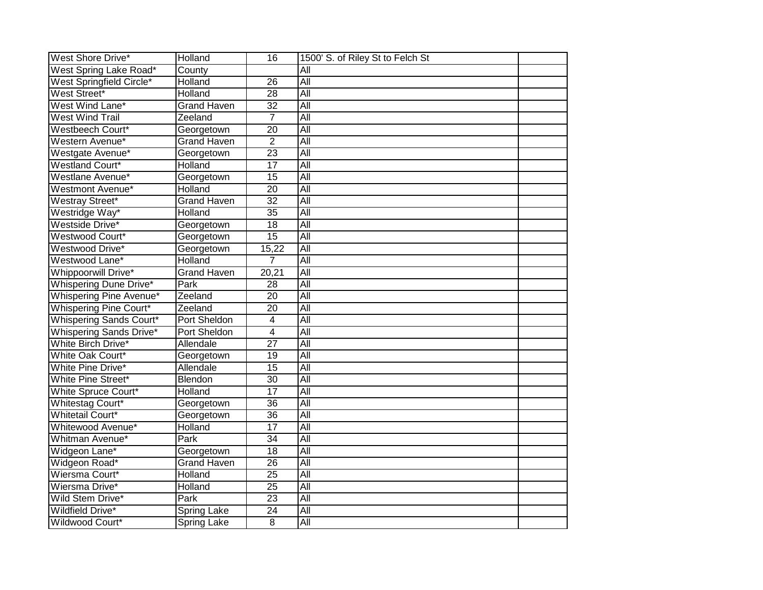| <b>West Shore Drive*</b>       | Holland            | $\overline{16}$ | 1500' S. of Riley St to Felch St |  |
|--------------------------------|--------------------|-----------------|----------------------------------|--|
| West Spring Lake Road*         | County             |                 | $\overline{All}$                 |  |
| West Springfield Circle*       | Holland            | $\overline{26}$ | All                              |  |
| West Street*                   | Holland            | $\overline{28}$ | All                              |  |
| West Wind Lane*                | <b>Grand Haven</b> | $\overline{32}$ | All                              |  |
| <b>West Wind Trail</b>         | Zeeland            | 7               | All                              |  |
| Westbeech Court*               | Georgetown         | 20              | All                              |  |
| Western Avenue*                | <b>Grand Haven</b> | $\overline{2}$  | All                              |  |
| Westgate Avenue*               | Georgetown         | 23              | $\overline{All}$                 |  |
| Westland Court*                | Holland            | 17              | All                              |  |
| Westlane Avenue*               | Georgetown         | 15              | $\overline{All}$                 |  |
| <b>Westmont Avenue*</b>        | Holland            | $\overline{20}$ | $\overline{All}$                 |  |
| Westray Street*                | <b>Grand Haven</b> | $\overline{32}$ | $\overline{All}$                 |  |
| Westridge Way*                 | Holland            | $\overline{35}$ | $\overline{All}$                 |  |
| Westside Drive*                | Georgetown         | $\overline{18}$ | All                              |  |
| Westwood Court*                | Georgetown         | $\overline{15}$ | All                              |  |
| Westwood Drive*                | Georgetown         | 15,22           | All                              |  |
| Westwood Lane*                 | Holland            | 7               | All                              |  |
| <b>Whippoorwill Drive*</b>     | <b>Grand Haven</b> | 20,21           | All                              |  |
| <b>Whispering Dune Drive*</b>  | Park               | $\overline{28}$ | $\overline{All}$                 |  |
| <b>Whispering Pine Avenue*</b> | Zeeland            | $\overline{20}$ | All                              |  |
| <b>Whispering Pine Court*</b>  | Zeeland            | $\overline{20}$ | All                              |  |
| <b>Whispering Sands Court*</b> | Port Sheldon       | 4               | All                              |  |
| <b>Whispering Sands Drive*</b> | Port Sheldon       | $\overline{4}$  | $\overline{All}$                 |  |
| White Birch Drive*             | Allendale          | $\overline{27}$ | $\overline{All}$                 |  |
| White Oak Court*               | Georgetown         | 19              | All                              |  |
| White Pine Drive*              | Allendale          | 15              | All                              |  |
| White Pine Street*             | Blendon            | 30              | $\overline{All}$                 |  |
| White Spruce Court*            | Holland            | 17              | $\overline{All}$                 |  |
| <b>Whitestag Court*</b>        | Georgetown         | $\overline{36}$ | All                              |  |
| <b>Whitetail Court*</b>        | Georgetown         | 36              | All                              |  |
| Whitewood Avenue*              | <b>Holland</b>     | $\overline{17}$ | All                              |  |
| Whitman Avenue*                | Park               | $\overline{34}$ | $\overline{All}$                 |  |
| Widgeon Lane*                  | Georgetown         | $\overline{18}$ | All                              |  |
| Widgeon Road*                  | <b>Grand Haven</b> | 26              | $\overline{All}$                 |  |
| Wiersma Court*                 | Holland            | 25              | $\overline{All}$                 |  |
| Wiersma Drive*                 | Holland            | $\overline{25}$ | All                              |  |
| Wild Stem Drive*               | Park               | 23              | All                              |  |
| <b>Wildfield Drive*</b>        | <b>Spring Lake</b> | 24              | All                              |  |
| Wildwood Court*                | <b>Spring Lake</b> | 8               | $\overline{All}$                 |  |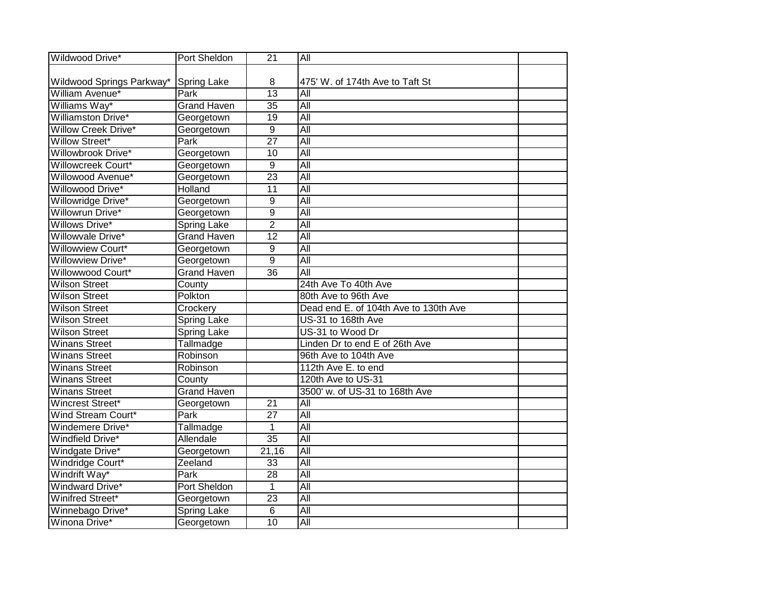| Wildwood Drive*            | Port Sheldon       | $\overline{21}$ | All                                   |  |
|----------------------------|--------------------|-----------------|---------------------------------------|--|
|                            |                    |                 |                                       |  |
| Wildwood Springs Parkway*  | <b>Spring Lake</b> | 8               | 475' W. of 174th Ave to Taft St       |  |
| William Avenue*            | Park               | $\overline{13}$ | All                                   |  |
| Williams Way*              | <b>Grand Haven</b> | $\overline{35}$ | All                                   |  |
| Williamston Drive*         | Georgetown         | $\overline{19}$ | All                                   |  |
| <b>Willow Creek Drive*</b> | Georgetown         | 9               | All                                   |  |
| <b>Willow Street*</b>      | Park               | $\overline{27}$ | All                                   |  |
| Willowbrook Drive*         | Georgetown         | 10              | All                                   |  |
| Willowcreek Court*         | Georgetown         | 9               | All                                   |  |
| Willowood Avenue*          | Georgetown         | $\overline{23}$ | $\overline{All}$                      |  |
| Willowood Drive*           | Holland            | 11              | All                                   |  |
| Willowridge Drive*         | Georgetown         | 9               | $\overline{All}$                      |  |
| <b>Willowrun Drive*</b>    | Georgetown         | 9               | $\overline{All}$                      |  |
| <b>Willows Drive*</b>      | Spring Lake        | $\overline{2}$  | All                                   |  |
| Willowvale Drive*          | <b>Grand Haven</b> | $\overline{12}$ | All                                   |  |
| Willowview Court*          | Georgetown         | 9               | All                                   |  |
| Willowview Drive*          | Georgetown         | 9               | All                                   |  |
| Willowwood Court*          | <b>Grand Haven</b> | $\overline{36}$ | All                                   |  |
| <b>Wilson Street</b>       | County             |                 | 24th Ave To 40th Ave                  |  |
| <b>Wilson Street</b>       | Polkton            |                 | 80th Ave to 96th Ave                  |  |
| <b>Wilson Street</b>       | Crockery           |                 | Dead end E. of 104th Ave to 130th Ave |  |
| <b>Wilson Street</b>       | <b>Spring Lake</b> |                 | US-31 to 168th Ave                    |  |
| <b>Wilson Street</b>       | Spring Lake        |                 | US-31 to Wood Dr                      |  |
| <b>Winans Street</b>       | Tallmadge          |                 | Linden Dr to end E of 26th Ave        |  |
| <b>Winans Street</b>       | Robinson           |                 | 96th Ave to 104th Ave                 |  |
| <b>Winans Street</b>       | Robinson           |                 | 112th Ave E. to end                   |  |
| <b>Winans Street</b>       | County             |                 | 120th Ave to US-31                    |  |
| <b>Winans Street</b>       | <b>Grand Haven</b> |                 | 3500' w. of US-31 to 168th Ave        |  |
| Wincrest Street*           | Georgetown         | $\overline{21}$ | $\overline{All}$                      |  |
| Wind Stream Court*         | Park               | $\overline{27}$ | All                                   |  |
| Windemere Drive*           | Tallmadge          | 1               | $\overline{All}$                      |  |
| Windfield Drive*           | Allendale          | $\overline{35}$ | All                                   |  |
| Windgate Drive*            | Georgetown         | 21,16           | All                                   |  |
| Windridge Court*           | Zeeland            | 33              | $\overline{All}$                      |  |
| Windrift Way*              | Park               | 28              | $\overline{All}$                      |  |
| <b>Windward Drive*</b>     | Port Sheldon       | 1               | $\overline{All}$                      |  |
| Winifred Street*           | Georgetown         | $\overline{23}$ | All                                   |  |
| Winnebago Drive*           | Spring Lake        | 6               | All                                   |  |
| Winona Drive*              | Georgetown         | $\overline{10}$ | All                                   |  |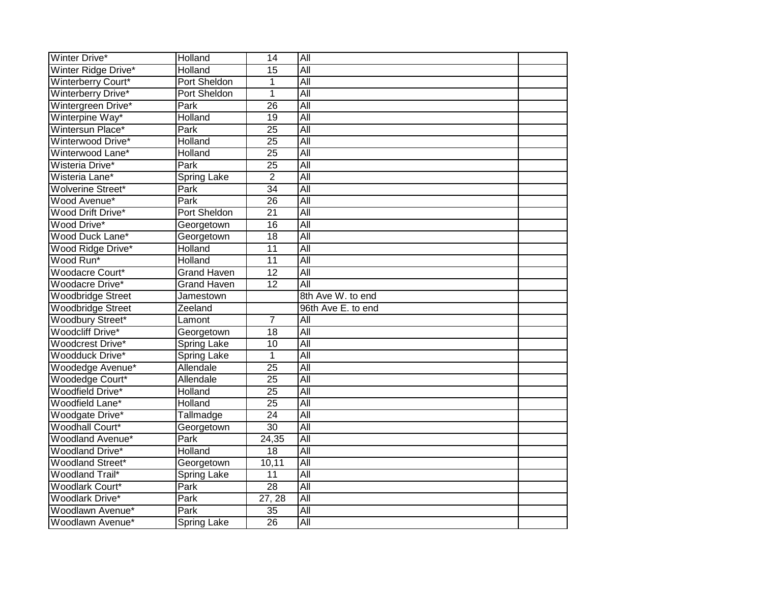| Winter Drive*             | Holland             | 14              | All                |  |
|---------------------------|---------------------|-----------------|--------------------|--|
| Winter Ridge Drive*       | Holland             | 15              | All                |  |
| Winterberry Court*        | Port Sheldon        | $\mathbf{1}$    | All                |  |
| <b>Winterberry Drive*</b> | Port Sheldon        | 1               | All                |  |
| Wintergreen Drive*        | Park                | 26              | All                |  |
| Winterpine Way*           | Holland             | 19              | All                |  |
| Wintersun Place*          | Park                | $\overline{25}$ | $\overline{All}$   |  |
| Winterwood Drive*         | Holland             | $\overline{25}$ | All                |  |
| Winterwood Lane*          | Holland             | 25              | $\overline{All}$   |  |
| Wisteria Drive*           | Park                | $\overline{25}$ | All                |  |
| Wisteria Lane*            | <b>Spring Lake</b>  | $\overline{2}$  | All                |  |
| Wolverine Street*         | Park                | $\overline{34}$ | <b>All</b>         |  |
| Wood Avenue*              | Park                | 26              | $\overline{All}$   |  |
| Wood Drift Drive*         | <b>Port Sheldon</b> | 21              | $\overline{All}$   |  |
| Wood Drive*               | Georgetown          | $\overline{16}$ | All                |  |
| Wood Duck Lane*           | Georgetown          | $\overline{18}$ | All                |  |
| Wood Ridge Drive*         | <b>Holland</b>      | $\overline{11}$ | All                |  |
| Wood Run*                 | Holland             | $\overline{11}$ | All                |  |
| Woodacre Court*           | <b>Grand Haven</b>  | $\overline{12}$ | <b>All</b>         |  |
| Woodacre Drive*           | <b>Grand Haven</b>  | $\overline{12}$ | All                |  |
| <b>Woodbridge Street</b>  | Jamestown           |                 | 8th Ave W. to end  |  |
| <b>Woodbridge Street</b>  | Zeeland             |                 | 96th Ave E. to end |  |
| <b>Woodbury Street*</b>   | Lamont              | $\overline{7}$  | $\overline{All}$   |  |
| <b>Woodcliff Drive*</b>   | Georgetown          | $\overline{18}$ | $\overline{All}$   |  |
| Woodcrest Drive*          | Spring Lake         | $\overline{10}$ | All                |  |
| Woodduck Drive*           | <b>Spring Lake</b>  | 1               | All                |  |
| Woodedge Avenue*          | Allendale           | $\overline{25}$ | All                |  |
| Woodedge Court*           | Allendale           | $\overline{25}$ | All                |  |
| <b>Woodfield Drive*</b>   | Holland             | $\overline{25}$ | All                |  |
| Woodfield Lane*           | Holland             | $\overline{25}$ | All                |  |
| Woodgate Drive*           | Tallmadge           | $\overline{24}$ | All                |  |
| <b>Woodhall Court*</b>    | Georgetown          | $\overline{30}$ | All                |  |
| Woodland Avenue*          | Park                | 24,35           | $\overline{All}$   |  |
| <b>Woodland Drive*</b>    | Holland             | 18              | $\overline{All}$   |  |
| <b>Woodland Street*</b>   | Georgetown          | 10,11           | $\overline{All}$   |  |
| <b>Woodland Trail*</b>    | <b>Spring Lake</b>  | 11              | $\overline{All}$   |  |
| <b>Woodlark Court*</b>    | Park                | 28              | All                |  |
| <b>Woodlark Drive*</b>    | Park                | 27, 28          | All                |  |
| Woodlawn Avenue*          | Park                | $\overline{35}$ | All                |  |
| Woodlawn Avenue*          | <b>Spring Lake</b>  | 26              | All                |  |